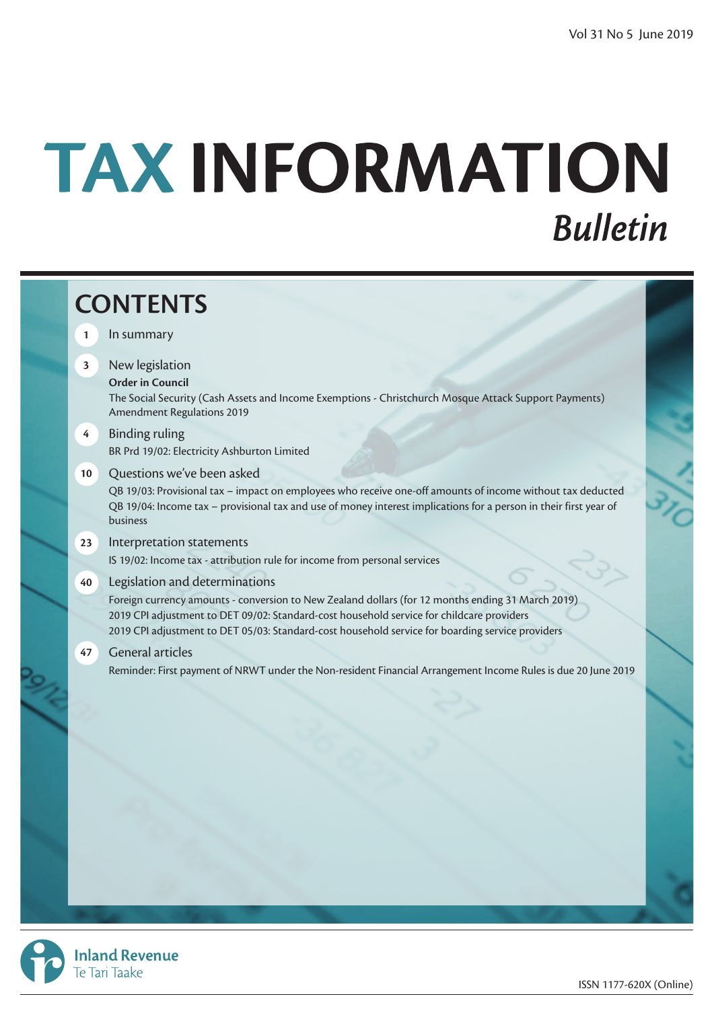# TAX INFORMATION **Bulletin**



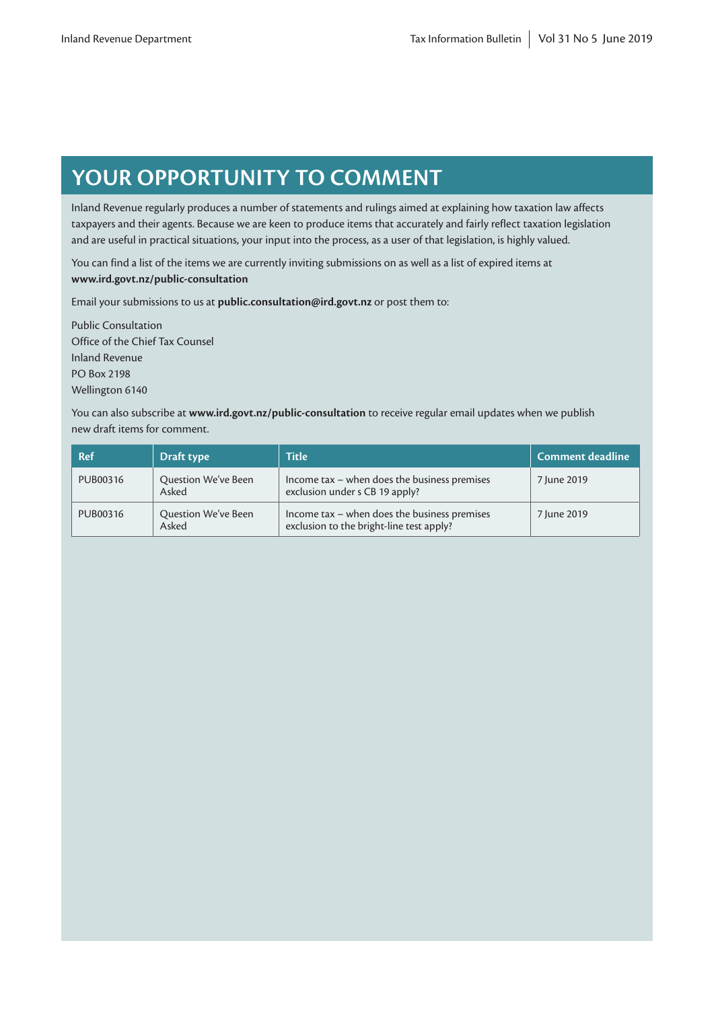# **YOUR OPPORTUNITY TO COMMENT**

Inland Revenue regularly produces a number of statements and rulings aimed at explaining how taxation law affects taxpayers and their agents. Because we are keen to produce items that accurately and fairly reflect taxation legislation and are useful in practical situations, your input into the process, as a user of that legislation, is highly valued.

You can find a list of the items we are currently inviting submissions on as well as a list of expired items at **[www.ird.govt.nz/public-consultation](http://www.ird.govt.nz/public-consultation)**

Email your submissions to us at **public.consultation@ird.govt.nz** or post them to:

Public Consultation Office of the Chief Tax Counsel Inland Revenue PO Box 2198 Wellington 6140

You can also subscribe at **[www.ird.govt.nz/public-consultation](http://www.ird.govt.nz/public-consultation)** to receive regular email updates when we publish new draft items for comment.

| <b>Ref</b> | Draft type                   | <b>Title</b>                                                                             | Comment deadline |
|------------|------------------------------|------------------------------------------------------------------------------------------|------------------|
| PUB00316   | Question We've Been<br>Asked | Income tax - when does the business premises<br>exclusion under s CB 19 apply?           | 7 June 2019      |
| PUB00316   | Question We've Been<br>Asked | Income tax - when does the business premises<br>exclusion to the bright-line test apply? | 7 June 2019      |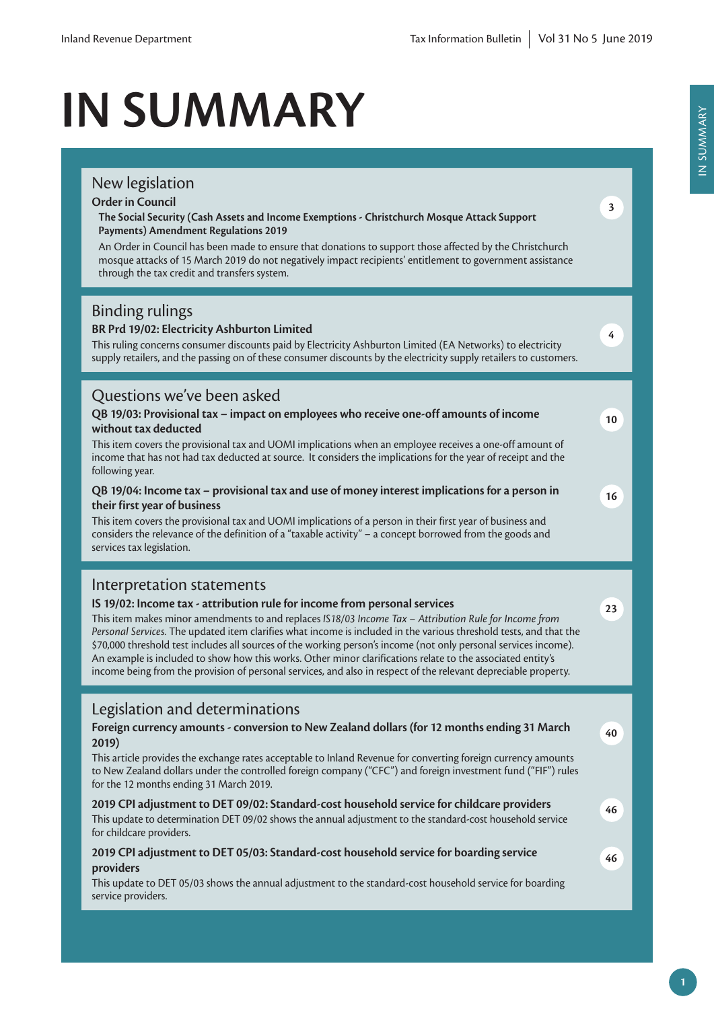# **IN SUMMARY**

# New legislation **Order in Council The Social Security (Cash Assets and Income Exemptions - Christchurch Mosque Attack Support Payments) Amendment Regulations 2019** An Order in Council has been made to ensure that donations to support those affected by the Christchurch mosque attacks of 15 March 2019 do not negatively impact recipients' entitlement to government assistance through the tax credit and transfers system. **3** Binding rulings **BR Prd 19/02: Electricity Ashburton Limited** This ruling concerns consumer discounts paid by Electricity Ashburton Limited (EA Networks) to electricity supply retailers, and the passing on of these consumer discounts by the electricity supply retailers to customers. **4** Questions we've been asked **QB 19/03: Provisional tax – impact on employees who receive one-off amounts of income without tax deducted** This item covers the provisional tax and UOMI implications when an employee receives a one-off amount of income that has not had tax deducted at source. It considers the implications for the year of receipt and the following year. **10 QB 19/04: Income tax – provisional tax and use of money interest implications for a person in their first year of business** This item covers the provisional tax and UOMI implications of a person in their first year of business and considers the relevance of the definition of a "taxable activity" – a concept borrowed from the goods and services tax legislation. **16** Interpretation statements **IS 19/02: Income tax - attribution rule for income from personal services** This item makes minor amendments to and replaces *IS18/03 Income Tax – Attribution Rule for Income from Personal Services.* The updated item clarifies what income is included in the various threshold tests, and that the \$70,000 threshold test includes all sources of the working person's income (not only personal services income). An example is included to show how this works. Other minor clarifications relate to the associated entity's income being from the provision of personal services, and also in respect of the relevant depreciable property. **23** Legislation and determinations **Foreign currency amounts - conversion to New Zealand dollars (for 12 months ending 31 March 2019)** This article provides the exchange rates acceptable to Inland Revenue for converting foreign currency amounts to New Zealand dollars under the controlled foreign company ("CFC") and foreign investment fund ("FIF") rules for the 12 months ending 31 March 2019. **40 2019 CPI adjustment to DET 09/02: Standard-cost household service for childcare providers** This update to determination DET 09/02 shows the annual adjustment to the standard-cost household service for childcare providers. **46 2019 CPI adjustment to DET 05/03: Standard-cost household service for boarding service providers** This update to DET 05/03 shows the annual adjustment to the standard-cost household service for boarding service providers. **46**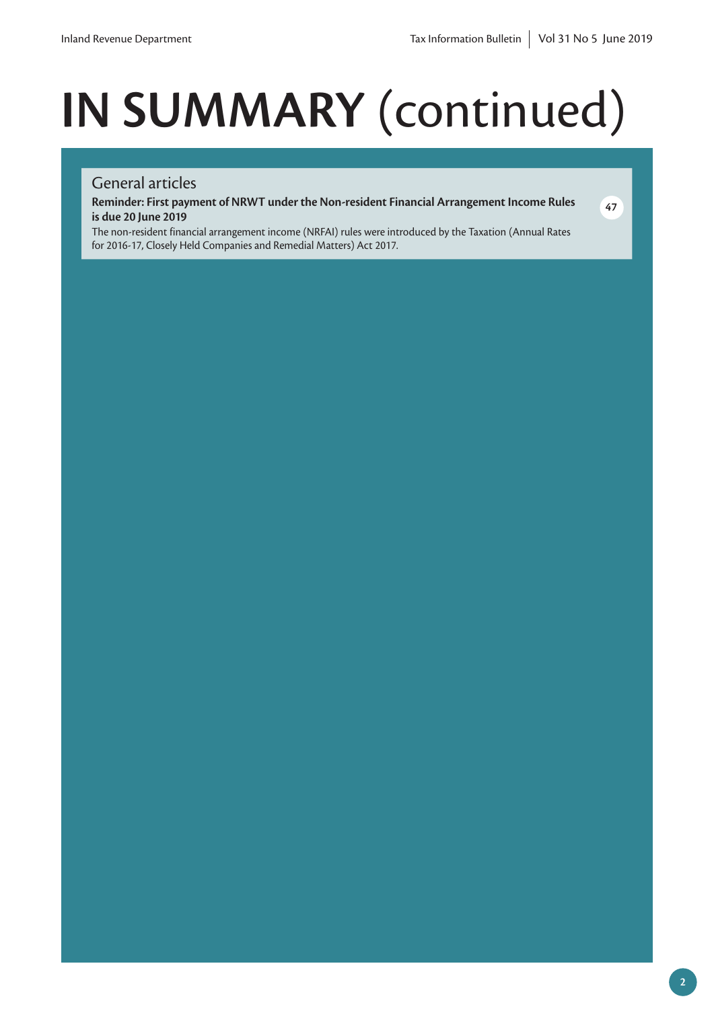# **IN SUMMARY** (continued)

# General articles

**Reminder: First payment of NRWT under the Non-resident Financial Arrangement Income Rules is due 20 June 2019**



The non-resident financial arrangement income (NRFAI) rules were introduced by the Taxation (Annual Rates for 2016-17, Closely Held Companies and Remedial Matters) Act 2017.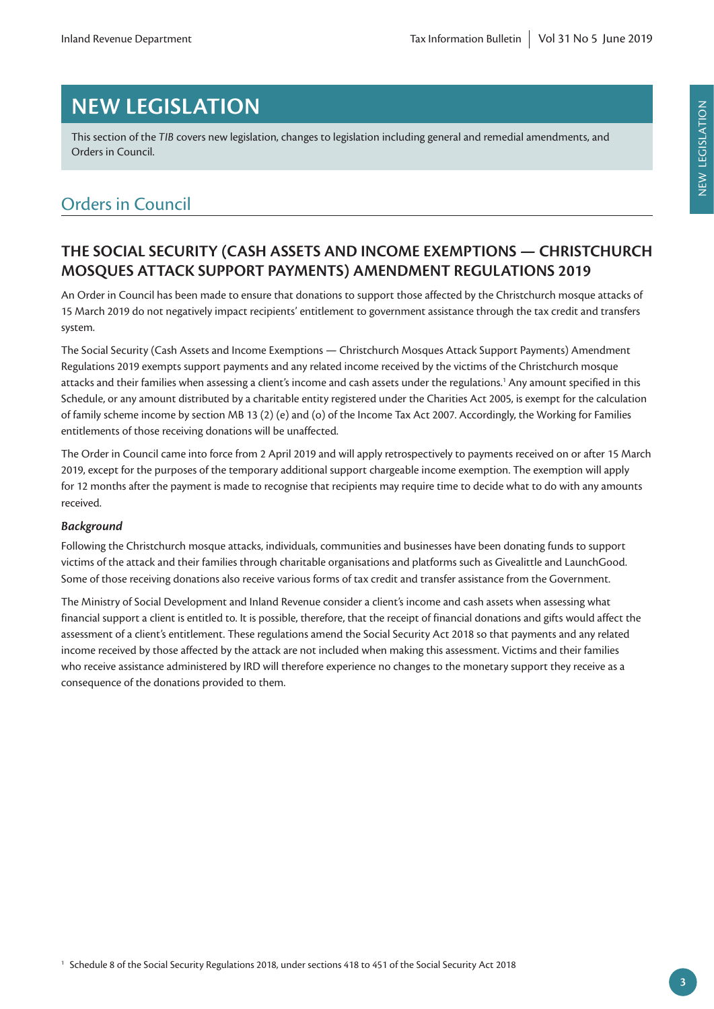# **NEW LEGISLATION**

This section of the *TIB* covers new legislation, changes to legislation including general and remedial amendments, and Orders in Council.

# Orders in Council

# **THE SOCIAL SECURITY (CASH ASSETS AND INCOME EXEMPTIONS — CHRISTCHURCH MOSQUES ATTACK SUPPORT PAYMENTS) AMENDMENT REGULATIONS 2019**

An Order in Council has been made to ensure that donations to support those affected by the Christchurch mosque attacks of 15 March 2019 do not negatively impact recipients' entitlement to government assistance through the tax credit and transfers system.

The Social Security (Cash Assets and Income Exemptions — Christchurch Mosques Attack Support Payments) Amendment Regulations 2019 exempts support payments and any related income received by the victims of the Christchurch mosque attacks and their families when assessing a client's income and cash assets under the regulations.1 Any amount specified in this Schedule, or any amount distributed by a charitable entity registered under the Charities Act 2005, is exempt for the calculation of family scheme income by section MB 13 (2) (e) and (o) of the Income Tax Act 2007. Accordingly, the Working for Families entitlements of those receiving donations will be unaffected.

The Order in Council came into force from 2 April 2019 and will apply retrospectively to payments received on or after 15 March 2019, except for the purposes of the temporary additional support chargeable income exemption. The exemption will apply for 12 months after the payment is made to recognise that recipients may require time to decide what to do with any amounts received.

# *Background*

Following the Christchurch mosque attacks, individuals, communities and businesses have been donating funds to support victims of the attack and their families through charitable organisations and platforms such as Givealittle and LaunchGood. Some of those receiving donations also receive various forms of tax credit and transfer assistance from the Government.

The Ministry of Social Development and Inland Revenue consider a client's income and cash assets when assessing what financial support a client is entitled to. It is possible, therefore, that the receipt of financial donations and gifts would affect the assessment of a client's entitlement. These regulations amend the Social Security Act 2018 so that payments and any related income received by those affected by the attack are not included when making this assessment. Victims and their families who receive assistance administered by IRD will therefore experience no changes to the monetary support they receive as a consequence of the donations provided to them.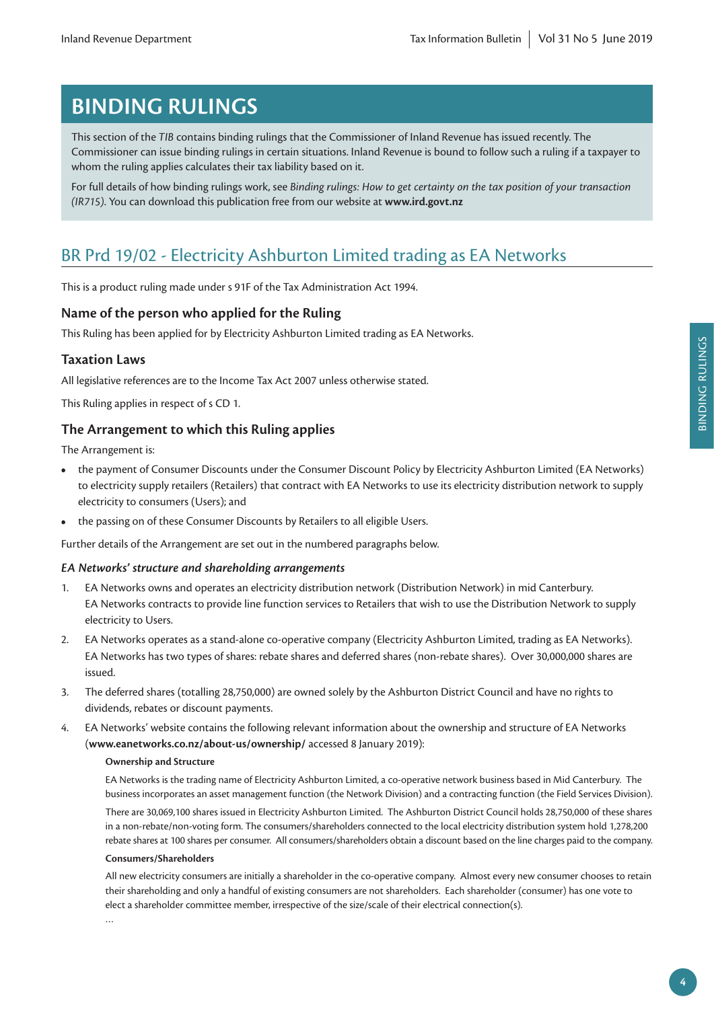# **BINDING RULINGS**

This section of the *TIB* contains binding rulings that the Commissioner of Inland Revenue has issued recently. The Commissioner can issue binding rulings in certain situations. Inland Revenue is bound to follow such a ruling if a taxpayer to whom the ruling applies calculates their tax liability based on it.

For full details of how binding rulings work, see *Binding rulings: How to get certainty on the tax position of your transaction (IR715)*. You can download this publication free from our website at **[www.ird.govt.nz](http://www.ird.govt.nz)**

# BR Prd 19/02 - Electricity Ashburton Limited trading as EA Networks

This is a product ruling made under s 91F of the Tax Administration Act 1994.

# **Name of the person who applied for the Ruling**

This Ruling has been applied for by Electricity Ashburton Limited trading as EA Networks.

# **Taxation Laws**

All legislative references are to the Income Tax Act 2007 unless otherwise stated.

This Ruling applies in respect of s CD 1.

# **The Arrangement to which this Ruling applies**

The Arrangement is:

- **•** the payment of Consumer Discounts under the Consumer Discount Policy by Electricity Ashburton Limited (EA Networks) to electricity supply retailers (Retailers) that contract with EA Networks to use its electricity distribution network to supply electricity to consumers (Users); and
- **•** the passing on of these Consumer Discounts by Retailers to all eligible Users.

Further details of the Arrangement are set out in the numbered paragraphs below.

#### *EA Networks' structure and shareholding arrangements*

- 1. EA Networks owns and operates an electricity distribution network (Distribution Network) in mid Canterbury. EA Networks contracts to provide line function services to Retailers that wish to use the Distribution Network to supply electricity to Users.
- 2. EA Networks operates as a stand-alone co-operative company (Electricity Ashburton Limited, trading as EA Networks). EA Networks has two types of shares: rebate shares and deferred shares (non-rebate shares). Over 30,000,000 shares are issued.
- 3. The deferred shares (totalling 28,750,000) are owned solely by the Ashburton District Council and have no rights to dividends, rebates or discount payments.
- 4. EA Networks' website contains the following relevant information about the ownership and structure of EA Networks (**[www.eanetworks.co.nz/about-us/ownership/](http://www.eanetworks.co.nz/about-us/ownership/)** accessed 8 January 2019):

#### **Ownership and Structure**

EA Networks is the trading name of Electricity Ashburton Limited, a co-operative network business based in Mid Canterbury. The business incorporates an asset management function (the Network Division) and a contracting function (the Field Services Division). There are 30,069,100 shares issued in Electricity Ashburton Limited. The Ashburton District Council holds 28,750,000 of these shares in a non-rebate/non-voting form. The consumers/shareholders connected to the local electricity distribution system hold 1,278,200 rebate shares at 100 shares per consumer. All consumers/shareholders obtain a discount based on the line charges paid to the company.

#### **Consumers/Shareholders**

All new electricity consumers are initially a shareholder in the co-operative company. Almost every new consumer chooses to retain their shareholding and only a handful of existing consumers are not shareholders. Each shareholder (consumer) has one vote to elect a shareholder committee member, irrespective of the size/scale of their electrical connection(s).

…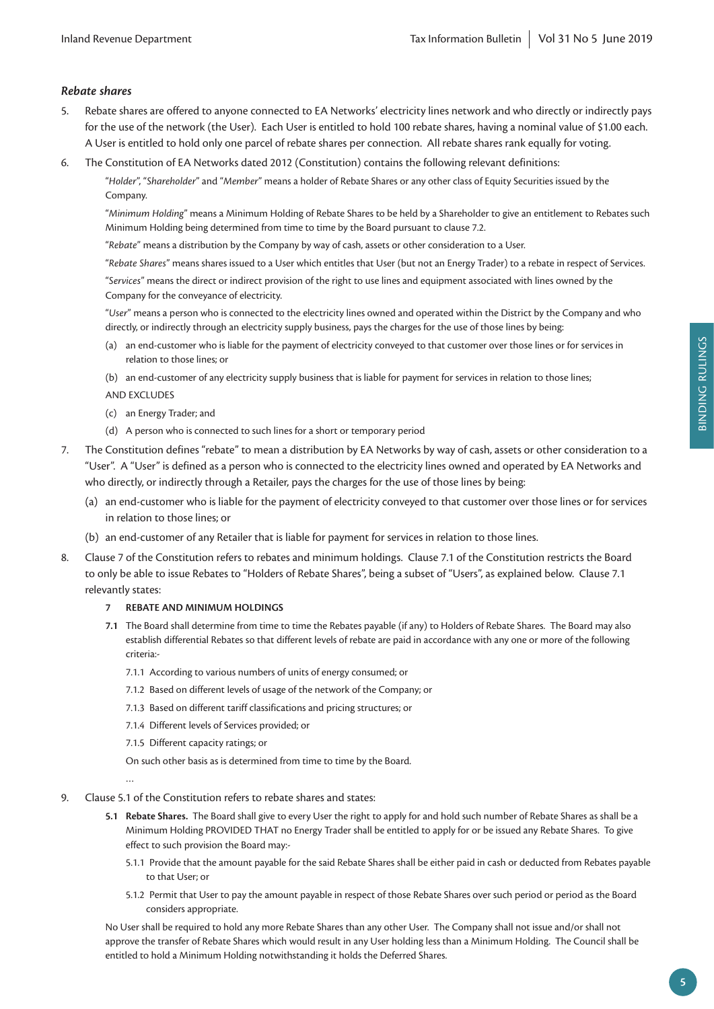#### *Rebate shares*

- 5. Rebate shares are offered to anyone connected to EA Networks' electricity lines network and who directly or indirectly pays for the use of the network (the User). Each User is entitled to hold 100 rebate shares, having a nominal value of \$1.00 each. A User is entitled to hold only one parcel of rebate shares per connection. All rebate shares rank equally for voting.
- 6. The Constitution of EA Networks dated 2012 (Constitution) contains the following relevant definitions:

"*Holder*", "*Shareholder*" and "*Member*" means a holder of Rebate Shares or any other class of Equity Securities issued by the Company.

"*Minimum Holding*" means a Minimum Holding of Rebate Shares to be held by a Shareholder to give an entitlement to Rebates such Minimum Holding being determined from time to time by the Board pursuant to clause 7.2.

"*Rebate*" means a distribution by the Company by way of cash, assets or other consideration to a User.

"*Rebate Shares*" means shares issued to a User which entitles that User (but not an Energy Trader) to a rebate in respect of Services.

"*Services*" means the direct or indirect provision of the right to use lines and equipment associated with lines owned by the Company for the conveyance of electricity.

"*User*" means a person who is connected to the electricity lines owned and operated within the District by the Company and who directly, or indirectly through an electricity supply business, pays the charges for the use of those lines by being:

(a) an end-customer who is liable for the payment of electricity conveyed to that customer over those lines or for services in relation to those lines; or

(b) an end-customer of any electricity supply business that is liable for payment for services in relation to those lines;

- AND EXCLUDES
- (c) an Energy Trader; and
- (d) A person who is connected to such lines for a short or temporary period
- 7. The Constitution defines "rebate" to mean a distribution by EA Networks by way of cash, assets or other consideration to a "User". A "User" is defined as a person who is connected to the electricity lines owned and operated by EA Networks and who directly, or indirectly through a Retailer, pays the charges for the use of those lines by being:
	- (a) an end-customer who is liable for the payment of electricity conveyed to that customer over those lines or for services in relation to those lines; or
	- (b) an end-customer of any Retailer that is liable for payment for services in relation to those lines.
- 8. Clause 7 of the Constitution refers to rebates and minimum holdings. Clause 7.1 of the Constitution restricts the Board to only be able to issue Rebates to "Holders of Rebate Shares", being a subset of "Users", as explained below. Clause 7.1 relevantly states:

#### **7 REBATE AND MINIMUM HOLDINGS**

- **7.1** The Board shall determine from time to time the Rebates payable (if any) to Holders of Rebate Shares. The Board may also establish differential Rebates so that different levels of rebate are paid in accordance with any one or more of the following criteria:-
	- 7.1.1 According to various numbers of units of energy consumed; or
	- 7.1.2 Based on different levels of usage of the network of the Company; or
	- 7.1.3 Based on different tariff classifications and pricing structures; or
	- 7.1.4 Different levels of Services provided; or
	- 7.1.5 Different capacity ratings; or

On such other basis as is determined from time to time by the Board.

…

- 9. Clause 5.1 of the Constitution refers to rebate shares and states:
	- **5.1 Rebate Shares.** The Board shall give to every User the right to apply for and hold such number of Rebate Shares as shall be a Minimum Holding PROVIDED THAT no Energy Trader shall be entitled to apply for or be issued any Rebate Shares. To give effect to such provision the Board may:-
		- 5.1.1 Provide that the amount payable for the said Rebate Shares shall be either paid in cash or deducted from Rebates payable to that User; or
		- 5.1.2 Permit that User to pay the amount payable in respect of those Rebate Shares over such period or period as the Board considers appropriate.

No User shall be required to hold any more Rebate Shares than any other User. The Company shall not issue and/or shall not approve the transfer of Rebate Shares which would result in any User holding less than a Minimum Holding. The Council shall be entitled to hold a Minimum Holding notwithstanding it holds the Deferred Shares.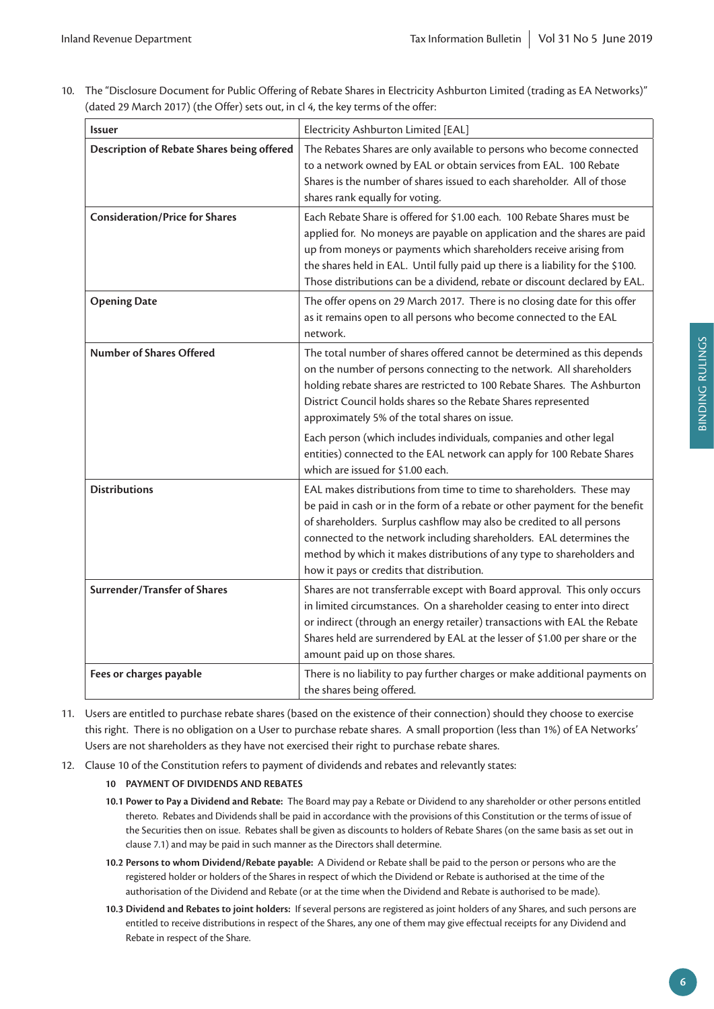10. The "Disclosure Document for Public Offering of Rebate Shares in Electricity Ashburton Limited (trading as EA Networks)" (dated 29 March 2017) (the Offer) sets out, in cl 4, the key terms of the offer:

| <b>Issuer</b>                              | Electricity Ashburton Limited [EAL]                                                                                                                                                                                                                                                                                                                                                                                                                                                                                                  |
|--------------------------------------------|--------------------------------------------------------------------------------------------------------------------------------------------------------------------------------------------------------------------------------------------------------------------------------------------------------------------------------------------------------------------------------------------------------------------------------------------------------------------------------------------------------------------------------------|
| Description of Rebate Shares being offered | The Rebates Shares are only available to persons who become connected<br>to a network owned by EAL or obtain services from EAL. 100 Rebate<br>Shares is the number of shares issued to each shareholder. All of those<br>shares rank equally for voting.                                                                                                                                                                                                                                                                             |
| <b>Consideration/Price for Shares</b>      | Each Rebate Share is offered for \$1.00 each. 100 Rebate Shares must be<br>applied for. No moneys are payable on application and the shares are paid<br>up from moneys or payments which shareholders receive arising from<br>the shares held in EAL. Until fully paid up there is a liability for the \$100.<br>Those distributions can be a dividend, rebate or discount declared by EAL.                                                                                                                                          |
| <b>Opening Date</b>                        | The offer opens on 29 March 2017. There is no closing date for this offer<br>as it remains open to all persons who become connected to the EAL<br>network.                                                                                                                                                                                                                                                                                                                                                                           |
| <b>Number of Shares Offered</b>            | The total number of shares offered cannot be determined as this depends<br>on the number of persons connecting to the network. All shareholders<br>holding rebate shares are restricted to 100 Rebate Shares. The Ashburton<br>District Council holds shares so the Rebate Shares represented<br>approximately 5% of the total shares on issue.<br>Each person (which includes individuals, companies and other legal<br>entities) connected to the EAL network can apply for 100 Rebate Shares<br>which are issued for \$1.00 each. |
| <b>Distributions</b>                       | EAL makes distributions from time to time to shareholders. These may<br>be paid in cash or in the form of a rebate or other payment for the benefit<br>of shareholders. Surplus cashflow may also be credited to all persons<br>connected to the network including shareholders. EAL determines the<br>method by which it makes distributions of any type to shareholders and<br>how it pays or credits that distribution.                                                                                                           |
| Surrender/Transfer of Shares               | Shares are not transferrable except with Board approval. This only occurs<br>in limited circumstances. On a shareholder ceasing to enter into direct<br>or indirect (through an energy retailer) transactions with EAL the Rebate<br>Shares held are surrendered by EAL at the lesser of \$1.00 per share or the<br>amount paid up on those shares.                                                                                                                                                                                  |
| Fees or charges payable                    | There is no liability to pay further charges or make additional payments on<br>the shares being offered.                                                                                                                                                                                                                                                                                                                                                                                                                             |

- 11. Users are entitled to purchase rebate shares (based on the existence of their connection) should they choose to exercise this right. There is no obligation on a User to purchase rebate shares. A small proportion (less than 1%) of EA Networks' Users are not shareholders as they have not exercised their right to purchase rebate shares.
- 12. Clause 10 of the Constitution refers to payment of dividends and rebates and relevantly states:
	- **10 PAYMENT OF DIVIDENDS AND REBATES**
	- **10.1 Power to Pay a Dividend and Rebate:** The Board may pay a Rebate or Dividend to any shareholder or other persons entitled thereto. Rebates and Dividends shall be paid in accordance with the provisions of this Constitution or the terms of issue of the Securities then on issue. Rebates shall be given as discounts to holders of Rebate Shares (on the same basis as set out in clause 7.1) and may be paid in such manner as the Directors shall determine.
	- **10.2 Persons to whom Dividend/Rebate payable:** A Dividend or Rebate shall be paid to the person or persons who are the registered holder or holders of the Shares in respect of which the Dividend or Rebate is authorised at the time of the authorisation of the Dividend and Rebate (or at the time when the Dividend and Rebate is authorised to be made).
	- **10.3 Dividend and Rebates to joint holders:** If several persons are registered as joint holders of any Shares, and such persons are entitled to receive distributions in respect of the Shares, any one of them may give effectual receipts for any Dividend and Rebate in respect of the Share.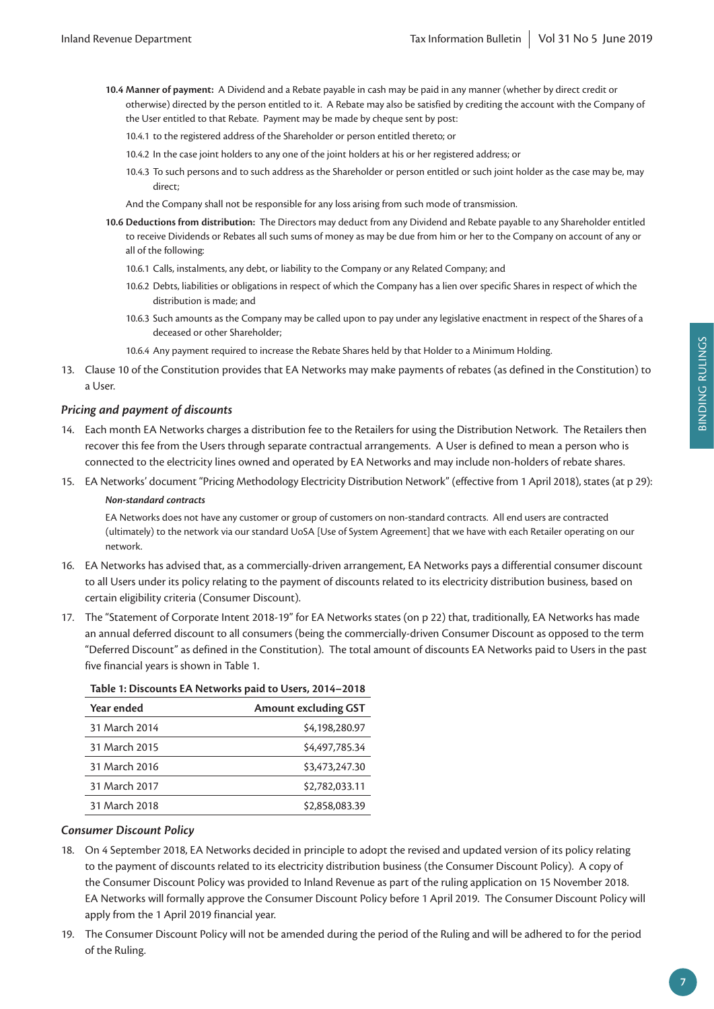- **10.4 Manner of payment:** A Dividend and a Rebate payable in cash may be paid in any manner (whether by direct credit or otherwise) directed by the person entitled to it. A Rebate may also be satisfied by crediting the account with the Company of the User entitled to that Rebate. Payment may be made by cheque sent by post:
	- 10.4.1 to the registered address of the Shareholder or person entitled thereto; or
	- 10.4.2 In the case joint holders to any one of the joint holders at his or her registered address; or
	- 10.4.3 To such persons and to such address as the Shareholder or person entitled or such joint holder as the case may be, may direct;

And the Company shall not be responsible for any loss arising from such mode of transmission.

- **10.6 Deductions from distribution:** The Directors may deduct from any Dividend and Rebate payable to any Shareholder entitled to receive Dividends or Rebates all such sums of money as may be due from him or her to the Company on account of any or all of the following:
	- 10.6.1 Calls, instalments, any debt, or liability to the Company or any Related Company; and
	- 10.6.2 Debts, liabilities or obligations in respect of which the Company has a lien over specific Shares in respect of which the distribution is made; and
	- 10.6.3 Such amounts as the Company may be called upon to pay under any legislative enactment in respect of the Shares of a deceased or other Shareholder;
	- 10.6.4 Any payment required to increase the Rebate Shares held by that Holder to a Minimum Holding.
- 13. Clause 10 of the Constitution provides that EA Networks may make payments of rebates (as defined in the Constitution) to a User.

#### *Pricing and payment of discounts*

- 14. Each month EA Networks charges a distribution fee to the Retailers for using the Distribution Network. The Retailers then recover this fee from the Users through separate contractual arrangements. A User is defined to mean a person who is connected to the electricity lines owned and operated by EA Networks and may include non-holders of rebate shares.
- 15. EA Networks' document "Pricing Methodology Electricity Distribution Network" (effective from 1 April 2018), states (at p 29): *Non-standard contracts*

EA Networks does not have any customer or group of customers on non-standard contracts. All end users are contracted (ultimately) to the network via our standard UoSA [Use of System Agreement] that we have with each Retailer operating on our network.

- 16. EA Networks has advised that, as a commercially-driven arrangement, EA Networks pays a differential consumer discount to all Users under its policy relating to the payment of discounts related to its electricity distribution business, based on certain eligibility criteria (Consumer Discount).
- 17. The "Statement of Corporate Intent 2018-19" for EA Networks states (on p 22) that, traditionally, EA Networks has made an annual deferred discount to all consumers (being the commercially-driven Consumer Discount as opposed to the term "Deferred Discount" as defined in the Constitution). The total amount of discounts EA Networks paid to Users in the past five financial years is shown in Table 1.

| rable 1. Discounts LA Networks paid to Oscis, 2014–2010 |                             |  |  |  |  |  |  |
|---------------------------------------------------------|-----------------------------|--|--|--|--|--|--|
| Year ended                                              | <b>Amount excluding GST</b> |  |  |  |  |  |  |
| 31 March 2014                                           | \$4,198,280.97              |  |  |  |  |  |  |
| 31 March 2015                                           | \$4,497,785.34              |  |  |  |  |  |  |
| 31 March 2016                                           | \$3,473,247.30              |  |  |  |  |  |  |
| 31 March 2017                                           | \$2,782,033.11              |  |  |  |  |  |  |
| 31 March 2018                                           | \$2,858,083.39              |  |  |  |  |  |  |

# **Table 1: Discounts EA Networks paid to Users, 2014–2018**

#### *Consumer Discount Policy*

- 18. On 4 September 2018, EA Networks decided in principle to adopt the revised and updated version of its policy relating to the payment of discounts related to its electricity distribution business (the Consumer Discount Policy). A copy of the Consumer Discount Policy was provided to Inland Revenue as part of the ruling application on 15 November 2018. EA Networks will formally approve the Consumer Discount Policy before 1 April 2019. The Consumer Discount Policy will apply from the 1 April 2019 financial year.
- 19. The Consumer Discount Policy will not be amended during the period of the Ruling and will be adhered to for the period of the Ruling.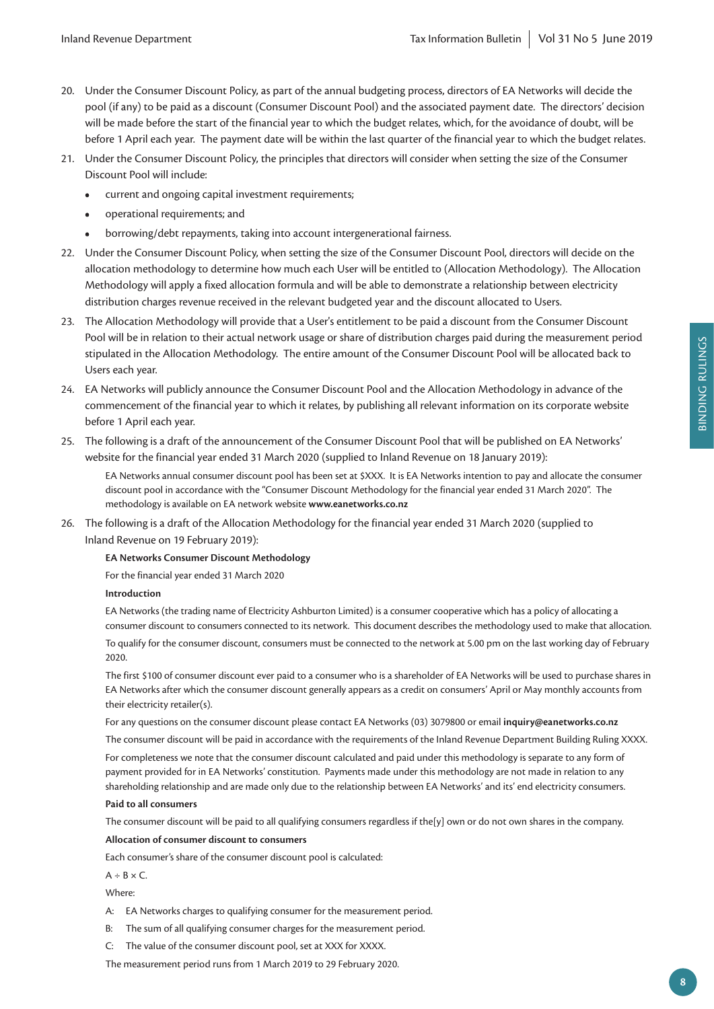- 20. Under the Consumer Discount Policy, as part of the annual budgeting process, directors of EA Networks will decide the pool (if any) to be paid as a discount (Consumer Discount Pool) and the associated payment date. The directors' decision will be made before the start of the financial year to which the budget relates, which, for the avoidance of doubt, will be before 1 April each year. The payment date will be within the last quarter of the financial year to which the budget relates.
- 21. Under the Consumer Discount Policy, the principles that directors will consider when setting the size of the Consumer Discount Pool will include:
	- **•** current and ongoing capital investment requirements;
	- **•** operational requirements; and
	- **•** borrowing/debt repayments, taking into account intergenerational fairness.
- 22. Under the Consumer Discount Policy, when setting the size of the Consumer Discount Pool, directors will decide on the allocation methodology to determine how much each User will be entitled to (Allocation Methodology). The Allocation Methodology will apply a fixed allocation formula and will be able to demonstrate a relationship between electricity distribution charges revenue received in the relevant budgeted year and the discount allocated to Users.
- 23. The Allocation Methodology will provide that a User's entitlement to be paid a discount from the Consumer Discount Pool will be in relation to their actual network usage or share of distribution charges paid during the measurement period stipulated in the Allocation Methodology. The entire amount of the Consumer Discount Pool will be allocated back to Users each year.
- 24. EA Networks will publicly announce the Consumer Discount Pool and the Allocation Methodology in advance of the commencement of the financial year to which it relates, by publishing all relevant information on its corporate website before 1 April each year.
- 25. The following is a draft of the announcement of the Consumer Discount Pool that will be published on EA Networks' website for the financial year ended 31 March 2020 (supplied to Inland Revenue on 18 January 2019):

EA Networks annual consumer discount pool has been set at \$XXX. It is EA Networks intention to pay and allocate the consumer discount pool in accordance with the "Consumer Discount Methodology for the financial year ended 31 March 2020". The methodology is available on EA network website **[www.eanetworks.co.nz](http://www.eanetworks.co.nz)**

26. The following is a draft of the Allocation Methodology for the financial year ended 31 March 2020 (supplied to Inland Revenue on 19 February 2019):

#### **EA Networks Consumer Discount Methodology**

For the financial year ended 31 March 2020

#### **Introduction**

EA Networks (the trading name of Electricity Ashburton Limited) is a consumer cooperative which has a policy of allocating a consumer discount to consumers connected to its network. This document describes the methodology used to make that allocation.

To qualify for the consumer discount, consumers must be connected to the network at 5.00 pm on the last working day of February 2020.

The first \$100 of consumer discount ever paid to a consumer who is a shareholder of EA Networks will be used to purchase shares in EA Networks after which the consumer discount generally appears as a credit on consumers' April or May monthly accounts from their electricity retailer(s).

For any questions on the consumer discount please contact EA Networks (03) 3079800 or email **[inquiry@eanetworks.co.nz](mailto:inquiry%40eanetworks.co.nz?subject=)**

The consumer discount will be paid in accordance with the requirements of the Inland Revenue Department Building Ruling XXXX.

For completeness we note that the consumer discount calculated and paid under this methodology is separate to any form of payment provided for in EA Networks' constitution. Payments made under this methodology are not made in relation to any shareholding relationship and are made only due to the relationship between EA Networks' and its' end electricity consumers.

#### **Paid to all consumers**

The consumer discount will be paid to all qualifying consumers regardless if the[y] own or do not own shares in the company.

**Allocation of consumer discount to consumers**

Each consumer's share of the consumer discount pool is calculated:

 $A \div B \times C$ .

Where:

- A: EA Networks charges to qualifying consumer for the measurement period.
- B: The sum of all qualifying consumer charges for the measurement period.
- C: The value of the consumer discount pool, set at XXX for XXXX.

The measurement period runs from 1 March 2019 to 29 February 2020.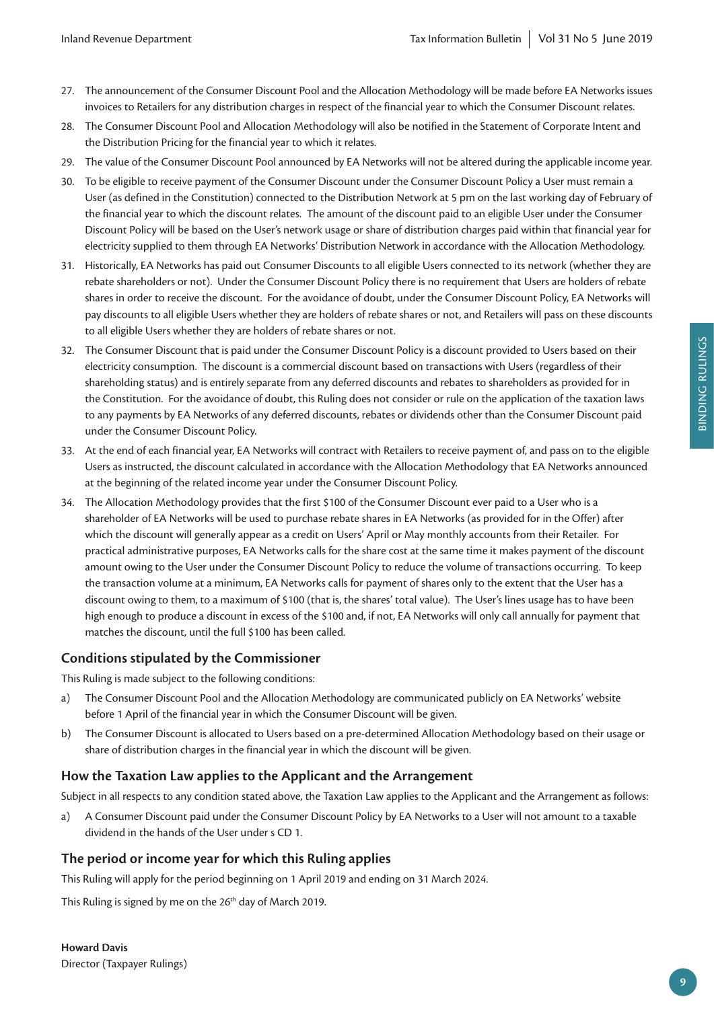- 27. The announcement of the Consumer Discount Pool and the Allocation Methodology will be made before EA Networks issues invoices to Retailers for any distribution charges in respect of the financial year to which the Consumer Discount relates.
- 28. The Consumer Discount Pool and Allocation Methodology will also be notified in the Statement of Corporate Intent and the Distribution Pricing for the financial year to which it relates.
- 29. The value of the Consumer Discount Pool announced by EA Networks will not be altered during the applicable income year.
- 30. To be eligible to receive payment of the Consumer Discount under the Consumer Discount Policy a User must remain a User (as defined in the Constitution) connected to the Distribution Network at 5 pm on the last working day of February of the financial year to which the discount relates. The amount of the discount paid to an eligible User under the Consumer Discount Policy will be based on the User's network usage or share of distribution charges paid within that financial year for electricity supplied to them through EA Networks' Distribution Network in accordance with the Allocation Methodology.
- 31. Historically, EA Networks has paid out Consumer Discounts to all eligible Users connected to its network (whether they are rebate shareholders or not). Under the Consumer Discount Policy there is no requirement that Users are holders of rebate shares in order to receive the discount. For the avoidance of doubt, under the Consumer Discount Policy, EA Networks will pay discounts to all eligible Users whether they are holders of rebate shares or not, and Retailers will pass on these discounts to all eligible Users whether they are holders of rebate shares or not.
- 32. The Consumer Discount that is paid under the Consumer Discount Policy is a discount provided to Users based on their electricity consumption. The discount is a commercial discount based on transactions with Users (regardless of their shareholding status) and is entirely separate from any deferred discounts and rebates to shareholders as provided for in the Constitution. For the avoidance of doubt, this Ruling does not consider or rule on the application of the taxation laws to any payments by EA Networks of any deferred discounts, rebates or dividends other than the Consumer Discount paid under the Consumer Discount Policy.
- 33. At the end of each financial year, EA Networks will contract with Retailers to receive payment of, and pass on to the eligible Users as instructed, the discount calculated in accordance with the Allocation Methodology that EA Networks announced at the beginning of the related income year under the Consumer Discount Policy.
- 34. The Allocation Methodology provides that the first \$100 of the Consumer Discount ever paid to a User who is a shareholder of EA Networks will be used to purchase rebate shares in EA Networks (as provided for in the Offer) after which the discount will generally appear as a credit on Users' April or May monthly accounts from their Retailer. For practical administrative purposes, EA Networks calls for the share cost at the same time it makes payment of the discount amount owing to the User under the Consumer Discount Policy to reduce the volume of transactions occurring. To keep the transaction volume at a minimum, EA Networks calls for payment of shares only to the extent that the User has a discount owing to them, to a maximum of \$100 (that is, the shares' total value). The User's lines usage has to have been high enough to produce a discount in excess of the \$100 and, if not, EA Networks will only call annually for payment that matches the discount, until the full \$100 has been called.

# **Conditions stipulated by the Commissioner**

This Ruling is made subject to the following conditions:

- a) The Consumer Discount Pool and the Allocation Methodology are communicated publicly on EA Networks' website before 1 April of the financial year in which the Consumer Discount will be given.
- b) The Consumer Discount is allocated to Users based on a pre-determined Allocation Methodology based on their usage or share of distribution charges in the financial year in which the discount will be given.

# **How the Taxation Law applies to the Applicant and the Arrangement**

Subject in all respects to any condition stated above, the Taxation Law applies to the Applicant and the Arrangement as follows:

a) A Consumer Discount paid under the Consumer Discount Policy by EA Networks to a User will not amount to a taxable dividend in the hands of the User under s CD 1.

# **The period or income year for which this Ruling applies**

This Ruling will apply for the period beginning on 1 April 2019 and ending on 31 March 2024.

This Ruling is signed by me on the 26<sup>th</sup> day of March 2019.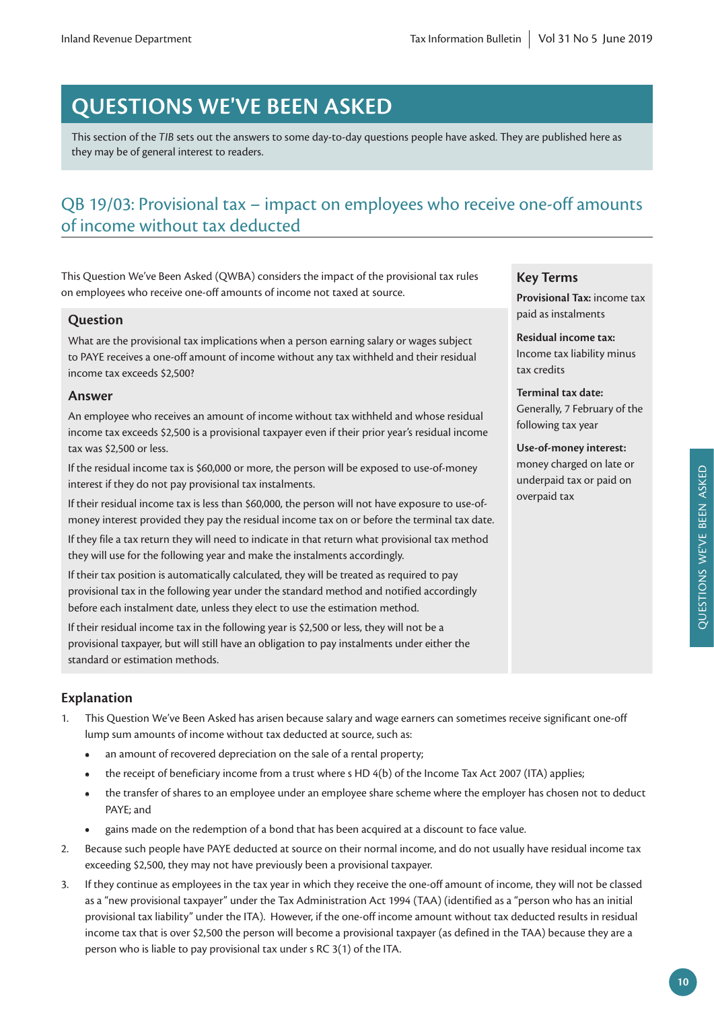# **QUESTIONS WE'VE BEEN ASKED**

This section of the *TIB* sets out the answers to some day-to-day questions people have asked. They are published here as they may be of general interest to readers.

# QB 19/03: Provisional tax – impact on employees who receive one-off amounts of income without tax deducted

This Question We've Been Asked (QWBA) considers the impact of the provisional tax rules on employees who receive one-off amounts of income not taxed at source.

# **Question**

What are the provisional tax implications when a person earning salary or wages subject to PAYE receives a one-off amount of income without any tax withheld and their residual income tax exceeds \$2,500?

# **Answer**

An employee who receives an amount of income without tax withheld and whose residual income tax exceeds \$2,500 is a provisional taxpayer even if their prior year's residual income tax was \$2,500 or less.

If the residual income tax is \$60,000 or more, the person will be exposed to use-of-money interest if they do not pay provisional tax instalments.

If their residual income tax is less than \$60,000, the person will not have exposure to use-ofmoney interest provided they pay the residual income tax on or before the terminal tax date.

If they file a tax return they will need to indicate in that return what provisional tax method they will use for the following year and make the instalments accordingly.

If their tax position is automatically calculated, they will be treated as required to pay provisional tax in the following year under the standard method and notified accordingly before each instalment date, unless they elect to use the estimation method.

If their residual income tax in the following year is \$2,500 or less, they will not be a provisional taxpayer, but will still have an obligation to pay instalments under either the standard or estimation methods.

# **Explanation**

- 1. This Question We've Been Asked has arisen because salary and wage earners can sometimes receive significant one-off lump sum amounts of income without tax deducted at source, such as:
	- **•** an amount of recovered depreciation on the sale of a rental property;
	- the receipt of beneficiary income from a trust where s HD 4(b) of the Income Tax Act 2007 (ITA) applies;
	- **•** the transfer of shares to an employee under an employee share scheme where the employer has chosen not to deduct PAYE; and
	- **•** gains made on the redemption of a bond that has been acquired at a discount to face value.
- 2. Because such people have PAYE deducted at source on their normal income, and do not usually have residual income tax exceeding \$2,500, they may not have previously been a provisional taxpayer.
- 3. If they continue as employees in the tax year in which they receive the one-off amount of income, they will not be classed as a "new provisional taxpayer" under the Tax Administration Act 1994 (TAA) (identified as a "person who has an initial provisional tax liability" under the ITA). However, if the one-off income amount without tax deducted results in residual income tax that is over \$2,500 the person will become a provisional taxpayer (as defined in the TAA) because they are a person who is liable to pay provisional tax under s RC 3(1) of the ITA.

# **Key Terms**

**Provisional Tax:** income tax paid as instalments

**Residual income tax:**  Income tax liability minus tax credits

**Terminal tax date:** Generally, 7 February of the following tax year

**Use-of-money interest:**  money charged on late or underpaid tax or paid on overpaid tax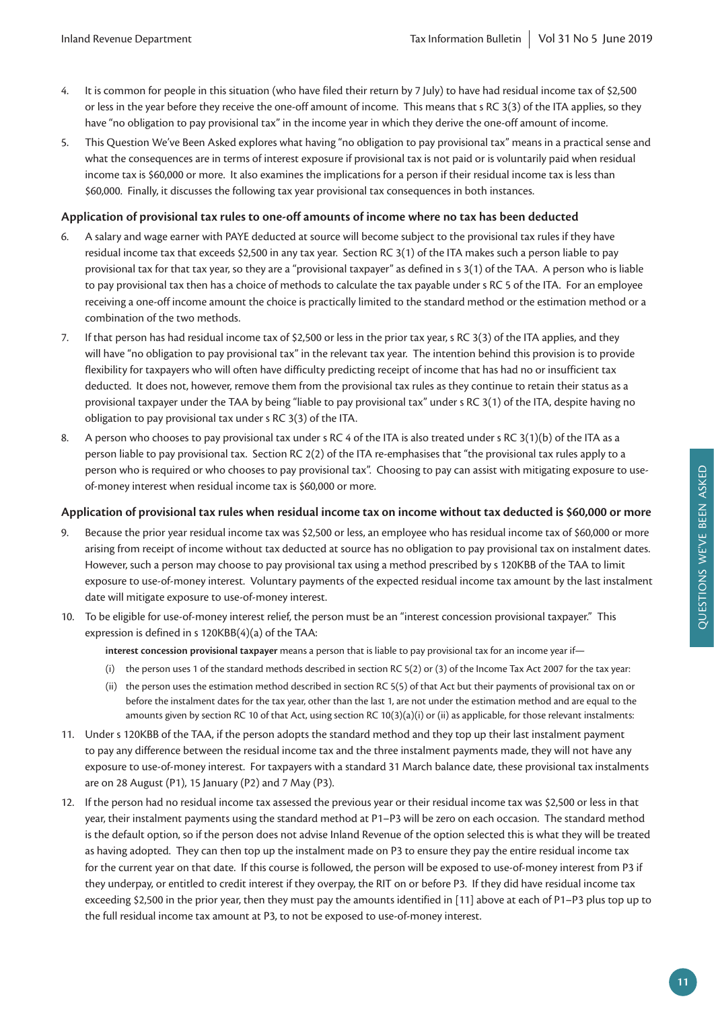- 4. It is common for people in this situation (who have filed their return by 7 July) to have had residual income tax of \$2,500 or less in the year before they receive the one-off amount of income. This means that s RC 3(3) of the ITA applies, so they have "no obligation to pay provisional tax" in the income year in which they derive the one-off amount of income.
- 5. This Question We've Been Asked explores what having "no obligation to pay provisional tax" means in a practical sense and what the consequences are in terms of interest exposure if provisional tax is not paid or is voluntarily paid when residual income tax is \$60,000 or more. It also examines the implications for a person if their residual income tax is less than \$60,000. Finally, it discusses the following tax year provisional tax consequences in both instances.

## **Application of provisional tax rules to one-off amounts of income where no tax has been deducted**

- 6. A salary and wage earner with PAYE deducted at source will become subject to the provisional tax rules if they have residual income tax that exceeds \$2,500 in any tax year. Section RC 3(1) of the ITA makes such a person liable to pay provisional tax for that tax year, so they are a "provisional taxpayer" as defined in s 3(1) of the TAA. A person who is liable to pay provisional tax then has a choice of methods to calculate the tax payable under s RC 5 of the ITA. For an employee receiving a one-off income amount the choice is practically limited to the standard method or the estimation method or a combination of the two methods.
- 7. If that person has had residual income tax of \$2,500 or less in the prior tax year, s RC 3(3) of the ITA applies, and they will have "no obligation to pay provisional tax" in the relevant tax year. The intention behind this provision is to provide flexibility for taxpayers who will often have difficulty predicting receipt of income that has had no or insufficient tax deducted. It does not, however, remove them from the provisional tax rules as they continue to retain their status as a provisional taxpayer under the TAA by being "liable to pay provisional tax" under s RC 3(1) of the ITA, despite having no obligation to pay provisional tax under s RC 3(3) of the ITA.
- 8. A person who chooses to pay provisional tax under s RC 4 of the ITA is also treated under s RC 3(1)(b) of the ITA as a person liable to pay provisional tax. Section RC 2(2) of the ITA re-emphasises that "the provisional tax rules apply to a person who is required or who chooses to pay provisional tax". Choosing to pay can assist with mitigating exposure to useof-money interest when residual income tax is \$60,000 or more.

# **Application of provisional tax rules when residual income tax on income without tax deducted is \$60,000 or more**

- 9. Because the prior year residual income tax was \$2,500 or less, an employee who has residual income tax of \$60,000 or more arising from receipt of income without tax deducted at source has no obligation to pay provisional tax on instalment dates. However, such a person may choose to pay provisional tax using a method prescribed by s 120KBB of the TAA to limit exposure to use-of-money interest. Voluntary payments of the expected residual income tax amount by the last instalment date will mitigate exposure to use-of-money interest.
- 10. To be eligible for use-of-money interest relief, the person must be an "interest concession provisional taxpayer." This expression is defined in s 120KBB(4)(a) of the TAA:

**interest concession provisional taxpayer** means a person that is liable to pay provisional tax for an income year if—

- (i) the person uses 1 of the standard methods described in section RC 5(2) or (3) of the Income Tax Act 2007 for the tax year:
- (ii) the person uses the estimation method described in section RC 5(5) of that Act but their payments of provisional tax on or before the instalment dates for the tax year, other than the last 1, are not under the estimation method and are equal to the amounts given by section RC 10 of that Act, using section RC 10(3)(a)(i) or (ii) as applicable, for those relevant instalments:
- 11. Under s 120KBB of the TAA, if the person adopts the standard method and they top up their last instalment payment to pay any difference between the residual income tax and the three instalment payments made, they will not have any exposure to use-of-money interest. For taxpayers with a standard 31 March balance date, these provisional tax instalments are on 28 August (P1), 15 January (P2) and 7 May (P3).
- 12. If the person had no residual income tax assessed the previous year or their residual income tax was \$2,500 or less in that year, their instalment payments using the standard method at P1–P3 will be zero on each occasion. The standard method is the default option, so if the person does not advise Inland Revenue of the option selected this is what they will be treated as having adopted. They can then top up the instalment made on P3 to ensure they pay the entire residual income tax for the current year on that date. If this course is followed, the person will be exposed to use-of-money interest from P3 if they underpay, or entitled to credit interest if they overpay, the RIT on or before P3. If they did have residual income tax exceeding \$2,500 in the prior year, then they must pay the amounts identified in [11] above at each of P1–P3 plus top up to the full residual income tax amount at P3, to not be exposed to use-of-money interest.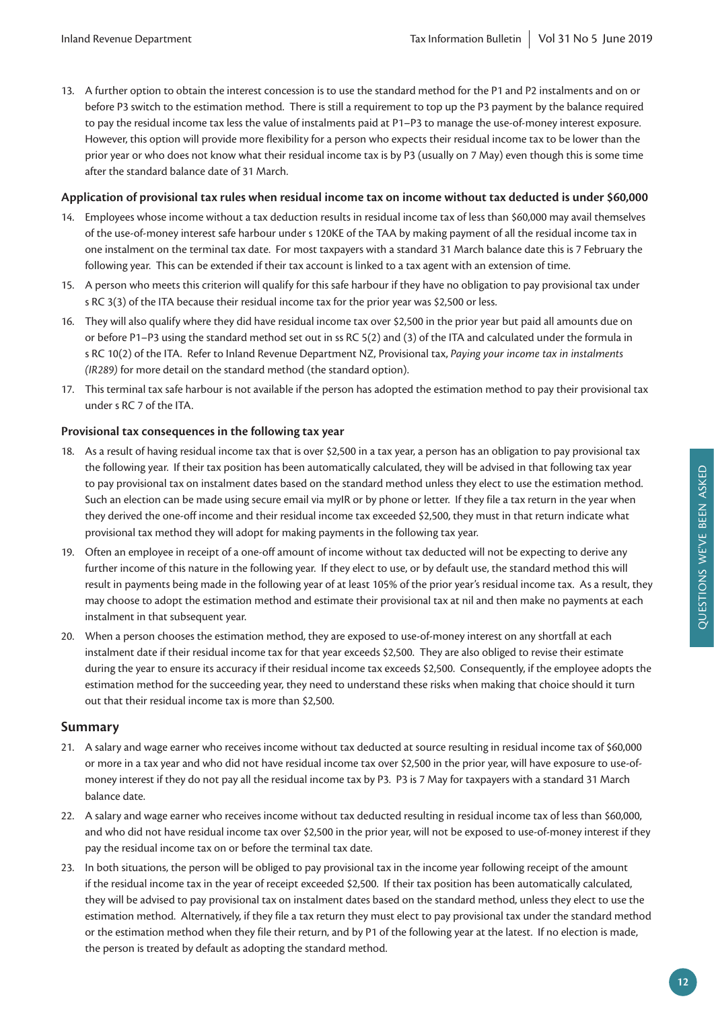13. A further option to obtain the interest concession is to use the standard method for the P1 and P2 instalments and on or before P3 switch to the estimation method. There is still a requirement to top up the P3 payment by the balance required to pay the residual income tax less the value of instalments paid at P1–P3 to manage the use-of-money interest exposure. However, this option will provide more flexibility for a person who expects their residual income tax to be lower than the prior year or who does not know what their residual income tax is by P3 (usually on 7 May) even though this is some time after the standard balance date of 31 March.

## **Application of provisional tax rules when residual income tax on income without tax deducted is under \$60,000**

- 14. Employees whose income without a tax deduction results in residual income tax of less than \$60,000 may avail themselves of the use-of-money interest safe harbour under s 120KE of the TAA by making payment of all the residual income tax in one instalment on the terminal tax date. For most taxpayers with a standard 31 March balance date this is 7 February the following year. This can be extended if their tax account is linked to a tax agent with an extension of time.
- 15. A person who meets this criterion will qualify for this safe harbour if they have no obligation to pay provisional tax under s RC 3(3) of the ITA because their residual income tax for the prior year was \$2,500 or less.
- 16. They will also qualify where they did have residual income tax over \$2,500 in the prior year but paid all amounts due on or before P1–P3 using the standard method set out in ss RC 5(2) and (3) of the ITA and calculated under the formula in s RC 10(2) of the ITA. Refer to Inland Revenue Department NZ, Provisional tax, *Paying your income tax in instalments (IR289)* for more detail on the standard method (the standard option).
- 17. This terminal tax safe harbour is not available if the person has adopted the estimation method to pay their provisional tax under s RC 7 of the ITA.

## **Provisional tax consequences in the following tax year**

- 18. As a result of having residual income tax that is over \$2,500 in a tax year, a person has an obligation to pay provisional tax the following year. If their tax position has been automatically calculated, they will be advised in that following tax year to pay provisional tax on instalment dates based on the standard method unless they elect to use the estimation method. Such an election can be made using secure email via myIR or by phone or letter. If they file a tax return in the year when they derived the one-off income and their residual income tax exceeded \$2,500, they must in that return indicate what provisional tax method they will adopt for making payments in the following tax year.
- 19. Often an employee in receipt of a one-off amount of income without tax deducted will not be expecting to derive any further income of this nature in the following year. If they elect to use, or by default use, the standard method this will result in payments being made in the following year of at least 105% of the prior year's residual income tax. As a result, they may choose to adopt the estimation method and estimate their provisional tax at nil and then make no payments at each instalment in that subsequent year.
- 20. When a person chooses the estimation method, they are exposed to use-of-money interest on any shortfall at each instalment date if their residual income tax for that year exceeds \$2,500. They are also obliged to revise their estimate during the year to ensure its accuracy if their residual income tax exceeds \$2,500. Consequently, if the employee adopts the estimation method for the succeeding year, they need to understand these risks when making that choice should it turn out that their residual income tax is more than \$2,500.

# **Summary**

- 21. A salary and wage earner who receives income without tax deducted at source resulting in residual income tax of \$60,000 or more in a tax year and who did not have residual income tax over \$2,500 in the prior year, will have exposure to use-ofmoney interest if they do not pay all the residual income tax by P3. P3 is 7 May for taxpayers with a standard 31 March balance date.
- 22. A salary and wage earner who receives income without tax deducted resulting in residual income tax of less than \$60,000, and who did not have residual income tax over \$2,500 in the prior year, will not be exposed to use-of-money interest if they pay the residual income tax on or before the terminal tax date.
- 23. In both situations, the person will be obliged to pay provisional tax in the income year following receipt of the amount if the residual income tax in the year of receipt exceeded \$2,500. If their tax position has been automatically calculated, they will be advised to pay provisional tax on instalment dates based on the standard method, unless they elect to use the estimation method. Alternatively, if they file a tax return they must elect to pay provisional tax under the standard method or the estimation method when they file their return, and by P1 of the following year at the latest. If no election is made, the person is treated by default as adopting the standard method.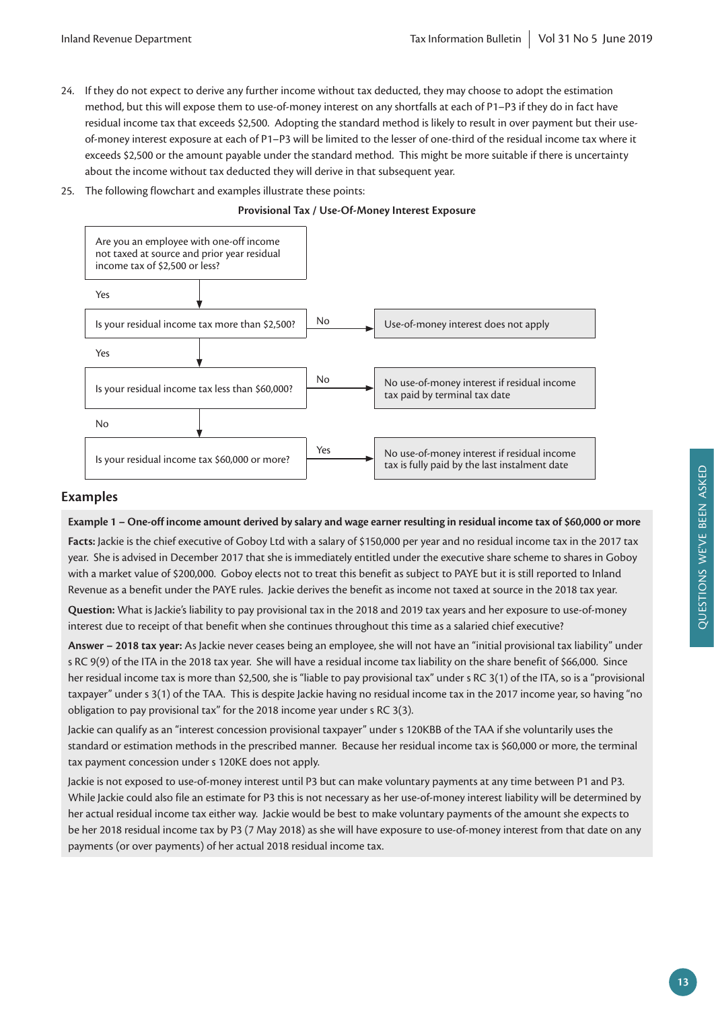- 24. If they do not expect to derive any further income without tax deducted, they may choose to adopt the estimation method, but this will expose them to use-of-money interest on any shortfalls at each of P1–P3 if they do in fact have residual income tax that exceeds \$2,500. Adopting the standard method is likely to result in over payment but their useof-money interest exposure at each of P1–P3 will be limited to the lesser of one-third of the residual income tax where it exceeds \$2,500 or the amount payable under the standard method. This might be more suitable if there is uncertainty about the income without tax deducted they will derive in that subsequent year.
- 25. The following flowchart and examples illustrate these points:

**Provisional Tax / Use-Of-Money Interest Exposure**



# **Examples**

**Example 1 – One-off income amount derived by salary and wage earner resulting in residual income tax of \$60,000 or more**

**Facts:** Jackie is the chief executive of Goboy Ltd with a salary of \$150,000 per year and no residual income tax in the 2017 tax year. She is advised in December 2017 that she is immediately entitled under the executive share scheme to shares in Goboy with a market value of \$200,000. Goboy elects not to treat this benefit as subject to PAYE but it is still reported to Inland Revenue as a benefit under the PAYE rules. Jackie derives the benefit as income not taxed at source in the 2018 tax year.

**Question:** What is Jackie's liability to pay provisional tax in the 2018 and 2019 tax years and her exposure to use-of-money interest due to receipt of that benefit when she continues throughout this time as a salaried chief executive?

**Answer – 2018 tax year:** As Jackie never ceases being an employee, she will not have an "initial provisional tax liability" under s RC 9(9) of the ITA in the 2018 tax year. She will have a residual income tax liability on the share benefit of \$66,000. Since her residual income tax is more than \$2,500, she is "liable to pay provisional tax" under s RC 3(1) of the ITA, so is a "provisional taxpayer" under s 3(1) of the TAA. This is despite Jackie having no residual income tax in the 2017 income year, so having "no obligation to pay provisional tax" for the 2018 income year under s RC 3(3).

Jackie can qualify as an "interest concession provisional taxpayer" under s 120KBB of the TAA if she voluntarily uses the standard or estimation methods in the prescribed manner. Because her residual income tax is \$60,000 or more, the terminal tax payment concession under s 120KE does not apply.

Jackie is not exposed to use-of-money interest until P3 but can make voluntary payments at any time between P1 and P3. While Jackie could also file an estimate for P3 this is not necessary as her use-of-money interest liability will be determined by her actual residual income tax either way. Jackie would be best to make voluntary payments of the amount she expects to be her 2018 residual income tax by P3 (7 May 2018) as she will have exposure to use-of-money interest from that date on any payments (or over payments) of her actual 2018 residual income tax.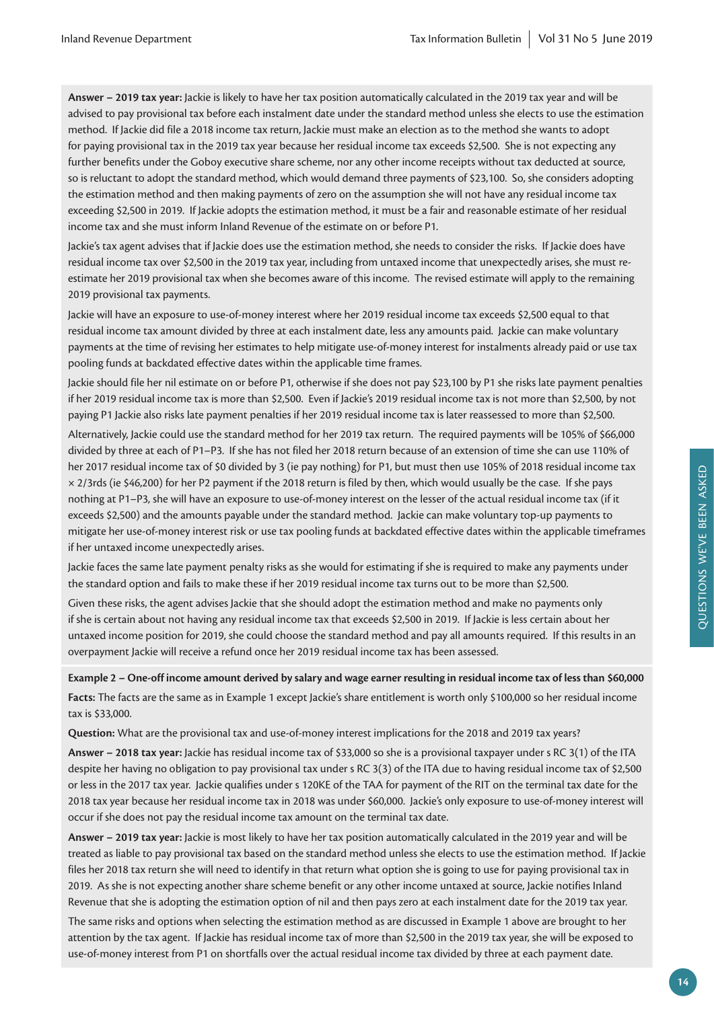**Answer – 2019 tax year:** Jackie is likely to have her tax position automatically calculated in the 2019 tax year and will be advised to pay provisional tax before each instalment date under the standard method unless she elects to use the estimation method. If Jackie did file a 2018 income tax return, Jackie must make an election as to the method she wants to adopt for paying provisional tax in the 2019 tax year because her residual income tax exceeds \$2,500. She is not expecting any further benefits under the Goboy executive share scheme, nor any other income receipts without tax deducted at source, so is reluctant to adopt the standard method, which would demand three payments of \$23,100. So, she considers adopting the estimation method and then making payments of zero on the assumption she will not have any residual income tax exceeding \$2,500 in 2019. If Jackie adopts the estimation method, it must be a fair and reasonable estimate of her residual income tax and she must inform Inland Revenue of the estimate on or before P1.

Jackie's tax agent advises that if Jackie does use the estimation method, she needs to consider the risks. If Jackie does have residual income tax over \$2,500 in the 2019 tax year, including from untaxed income that unexpectedly arises, she must reestimate her 2019 provisional tax when she becomes aware of this income. The revised estimate will apply to the remaining 2019 provisional tax payments.

Jackie will have an exposure to use-of-money interest where her 2019 residual income tax exceeds \$2,500 equal to that residual income tax amount divided by three at each instalment date, less any amounts paid. Jackie can make voluntary payments at the time of revising her estimates to help mitigate use-of-money interest for instalments already paid or use tax pooling funds at backdated effective dates within the applicable time frames.

Jackie should file her nil estimate on or before P1, otherwise if she does not pay \$23,100 by P1 she risks late payment penalties if her 2019 residual income tax is more than \$2,500. Even if Jackie's 2019 residual income tax is not more than \$2,500, by not paying P1 Jackie also risks late payment penalties if her 2019 residual income tax is later reassessed to more than \$2,500.

Alternatively, Jackie could use the standard method for her 2019 tax return. The required payments will be 105% of \$66,000 divided by three at each of P1–P3. If she has not filed her 2018 return because of an extension of time she can use 110% of her 2017 residual income tax of \$0 divided by 3 (ie pay nothing) for P1, but must then use 105% of 2018 residual income tax  $\times$  2/3rds (ie \$46,200) for her P2 payment if the 2018 return is filed by then, which would usually be the case. If she pays nothing at P1–P3, she will have an exposure to use-of-money interest on the lesser of the actual residual income tax (if it exceeds \$2,500) and the amounts payable under the standard method. Jackie can make voluntary top-up payments to mitigate her use-of-money interest risk or use tax pooling funds at backdated effective dates within the applicable timeframes if her untaxed income unexpectedly arises.

Jackie faces the same late payment penalty risks as she would for estimating if she is required to make any payments under the standard option and fails to make these if her 2019 residual income tax turns out to be more than \$2,500.

Given these risks, the agent advises Jackie that she should adopt the estimation method and make no payments only if she is certain about not having any residual income tax that exceeds \$2,500 in 2019. If Jackie is less certain about her untaxed income position for 2019, she could choose the standard method and pay all amounts required. If this results in an overpayment Jackie will receive a refund once her 2019 residual income tax has been assessed.

**Example 2 – One-off income amount derived by salary and wage earner resulting in residual income tax of less than \$60,000 Facts:** The facts are the same as in Example 1 except Jackie's share entitlement is worth only \$100,000 so her residual income tax is \$33,000.

**Question:** What are the provisional tax and use-of-money interest implications for the 2018 and 2019 tax years?

**Answer – 2018 tax year:** Jackie has residual income tax of \$33,000 so she is a provisional taxpayer under s RC 3(1) of the ITA despite her having no obligation to pay provisional tax under s RC 3(3) of the ITA due to having residual income tax of \$2,500 or less in the 2017 tax year. Jackie qualifies under s 120KE of the TAA for payment of the RIT on the terminal tax date for the 2018 tax year because her residual income tax in 2018 was under \$60,000. Jackie's only exposure to use-of-money interest will occur if she does not pay the residual income tax amount on the terminal tax date.

**Answer – 2019 tax year:** Jackie is most likely to have her tax position automatically calculated in the 2019 year and will be treated as liable to pay provisional tax based on the standard method unless she elects to use the estimation method. If Jackie files her 2018 tax return she will need to identify in that return what option she is going to use for paying provisional tax in 2019. As she is not expecting another share scheme benefit or any other income untaxed at source, Jackie notifies Inland Revenue that she is adopting the estimation option of nil and then pays zero at each instalment date for the 2019 tax year.

The same risks and options when selecting the estimation method as are discussed in Example 1 above are brought to her attention by the tax agent. If Jackie has residual income tax of more than \$2,500 in the 2019 tax year, she will be exposed to use-of-money interest from P1 on shortfalls over the actual residual income tax divided by three at each payment date.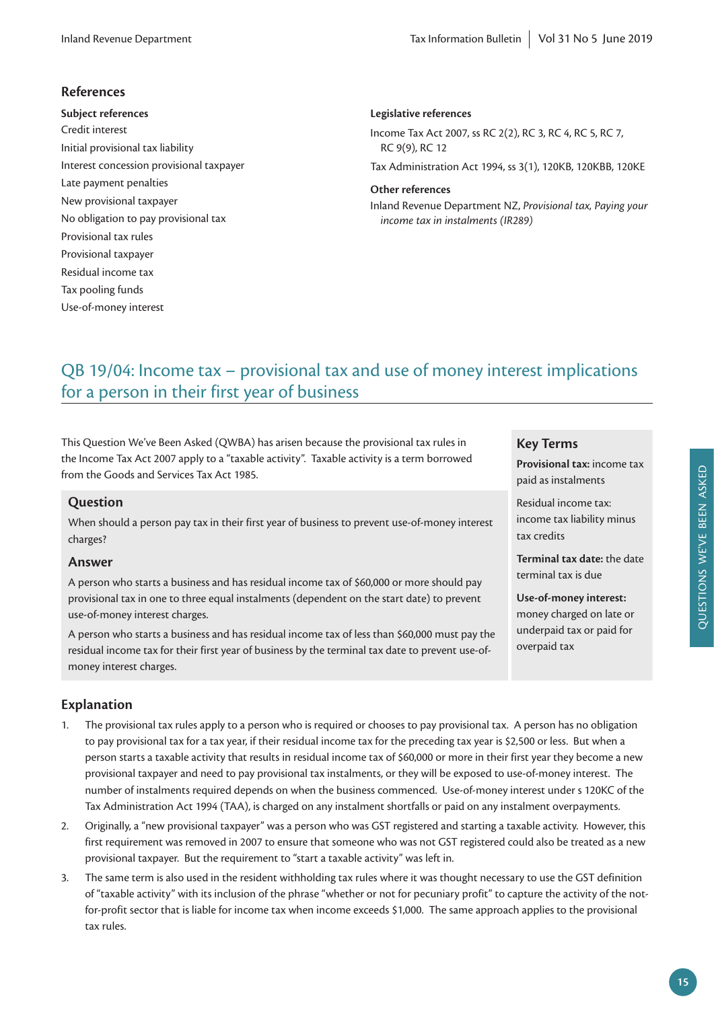# **References**

**Subject references** Credit interest Initial provisional tax liability Interest concession provisional taxpayer Late payment penalties New provisional taxpayer No obligation to pay provisional tax Provisional tax rules Provisional taxpayer Residual income tax Tax pooling funds Use-of-money interest

## **Legislative references**

Income Tax Act 2007, ss RC 2(2), RC 3, RC 4, RC 5, RC 7, RC 9(9), RC 12

Tax Administration Act 1994, ss 3(1), 120KB, 120KBB, 120KE

#### **Other references**

Inland Revenue Department NZ, *Provisional tax, Paying your income tax in instalments (IR289)*

# QB 19/04: Income tax – provisional tax and use of money interest implications for a person in their first year of business

This Question We've Been Asked (QWBA) has arisen because the provisional tax rules in the Income Tax Act 2007 apply to a "taxable activity". Taxable activity is a term borrowed from the Goods and Services Tax Act 1985.

## **Question**

When should a person pay tax in their first year of business to prevent use-of-money interest charges?

#### **Answer**

A person who starts a business and has residual income tax of \$60,000 or more should pay provisional tax in one to three equal instalments (dependent on the start date) to prevent use-of-money interest charges.

A person who starts a business and has residual income tax of less than \$60,000 must pay the residual income tax for their first year of business by the terminal tax date to prevent use-ofmoney interest charges.

## **Key Terms**

**Provisional tax:** income tax paid as instalments

Residual income tax: income tax liability minus tax credits

**Terminal tax date:** the date terminal tax is due

**Use-of-money interest:** 

money charged on late or underpaid tax or paid for overpaid tax

# **Explanation**

- 1. The provisional tax rules apply to a person who is required or chooses to pay provisional tax. A person has no obligation to pay provisional tax for a tax year, if their residual income tax for the preceding tax year is \$2,500 or less. But when a person starts a taxable activity that results in residual income tax of \$60,000 or more in their first year they become a new provisional taxpayer and need to pay provisional tax instalments, or they will be exposed to use-of-money interest. The number of instalments required depends on when the business commenced. Use-of-money interest under s 120KC of the Tax Administration Act 1994 (TAA), is charged on any instalment shortfalls or paid on any instalment overpayments.
- 2. Originally, a "new provisional taxpayer" was a person who was GST registered and starting a taxable activity. However, this first requirement was removed in 2007 to ensure that someone who was not GST registered could also be treated as a new provisional taxpayer. But the requirement to "start a taxable activity" was left in.
- 3. The same term is also used in the resident withholding tax rules where it was thought necessary to use the GST definition of "taxable activity" with its inclusion of the phrase "whether or not for pecuniary profit" to capture the activity of the notfor-profit sector that is liable for income tax when income exceeds \$1,000. The same approach applies to the provisional tax rules.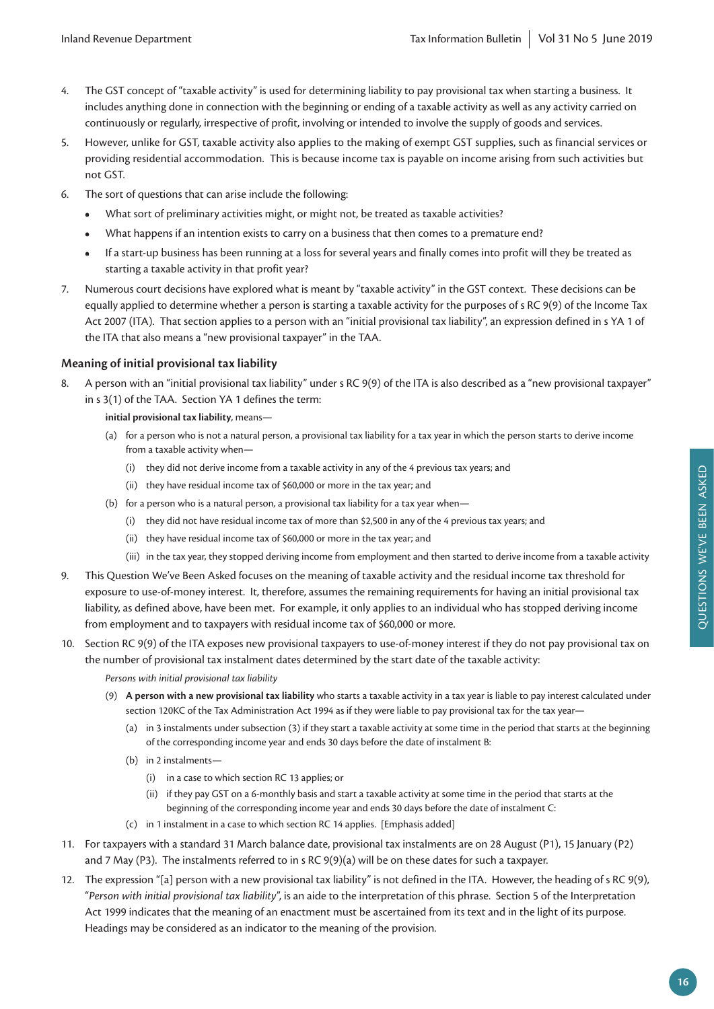- 4. The GST concept of "taxable activity" is used for determining liability to pay provisional tax when starting a business. It includes anything done in connection with the beginning or ending of a taxable activity as well as any activity carried on continuously or regularly, irrespective of profit, involving or intended to involve the supply of goods and services.
- 5. However, unlike for GST, taxable activity also applies to the making of exempt GST supplies, such as financial services or providing residential accommodation. This is because income tax is payable on income arising from such activities but not GST.
- 6. The sort of questions that can arise include the following:
	- **•** What sort of preliminary activities might, or might not, be treated as taxable activities?
	- **•** What happens if an intention exists to carry on a business that then comes to a premature end?
	- **•** If a start-up business has been running at a loss for several years and finally comes into profit will they be treated as starting a taxable activity in that profit year?
- 7. Numerous court decisions have explored what is meant by "taxable activity" in the GST context. These decisions can be equally applied to determine whether a person is starting a taxable activity for the purposes of s RC 9(9) of the Income Tax Act 2007 (ITA). That section applies to a person with an "initial provisional tax liability", an expression defined in s YA 1 of the ITA that also means a "new provisional taxpayer" in the TAA.

# **Meaning of initial provisional tax liability**

- 8. A person with an "initial provisional tax liability" under s RC 9(9) of the ITA is also described as a "new provisional taxpayer" in s 3(1) of the TAA. Section YA 1 defines the term:
	- **initial provisional tax liability**, means—
	- (a) for a person who is not a natural person, a provisional tax liability for a tax year in which the person starts to derive income from a taxable activity when—
		- (i) they did not derive income from a taxable activity in any of the 4 previous tax years; and
		- (ii) they have residual income tax of \$60,000 or more in the tax year; and
	- (b) for a person who is a natural person, a provisional tax liability for a tax year when—
		- (i) they did not have residual income tax of more than \$2,500 in any of the 4 previous tax years; and
		- (ii) they have residual income tax of \$60,000 or more in the tax year; and
		- (iii) in the tax year, they stopped deriving income from employment and then started to derive income from a taxable activity
- 9. This Question We've Been Asked focuses on the meaning of taxable activity and the residual income tax threshold for exposure to use-of-money interest. It, therefore, assumes the remaining requirements for having an initial provisional tax liability, as defined above, have been met. For example, it only applies to an individual who has stopped deriving income from employment and to taxpayers with residual income tax of \$60,000 or more.
- 10. Section RC 9(9) of the ITA exposes new provisional taxpayers to use-of-money interest if they do not pay provisional tax on the number of provisional tax instalment dates determined by the start date of the taxable activity:

*Persons with initial provisional tax liability*

- (9) **A person with a new provisional tax liability** who starts a taxable activity in a tax year is liable to pay interest calculated under section 120KC of the Tax Administration Act 1994 as if they were liable to pay provisional tax for the tax year—
	- (a) in 3 instalments under subsection (3) if they start a taxable activity at some time in the period that starts at the beginning of the corresponding income year and ends 30 days before the date of instalment B:
	- (b) in 2 instalments—
		- (i) in a case to which section RC 13 applies; or
		- (ii) if they pay GST on a 6-monthly basis and start a taxable activity at some time in the period that starts at the beginning of the corresponding income year and ends 30 days before the date of instalment C:
	- (c) in 1 instalment in a case to which section RC 14 applies. [Emphasis added]
- 11. For taxpayers with a standard 31 March balance date, provisional tax instalments are on 28 August (P1), 15 January (P2) and 7 May (P3). The instalments referred to in s RC 9(9)(a) will be on these dates for such a taxpayer.
- 12. The expression "[a] person with a new provisional tax liability" is not defined in the ITA. However, the heading of s RC 9(9), "*Person with initial provisional tax liability*", is an aide to the interpretation of this phrase. Section 5 of the Interpretation Act 1999 indicates that the meaning of an enactment must be ascertained from its text and in the light of its purpose. Headings may be considered as an indicator to the meaning of the provision.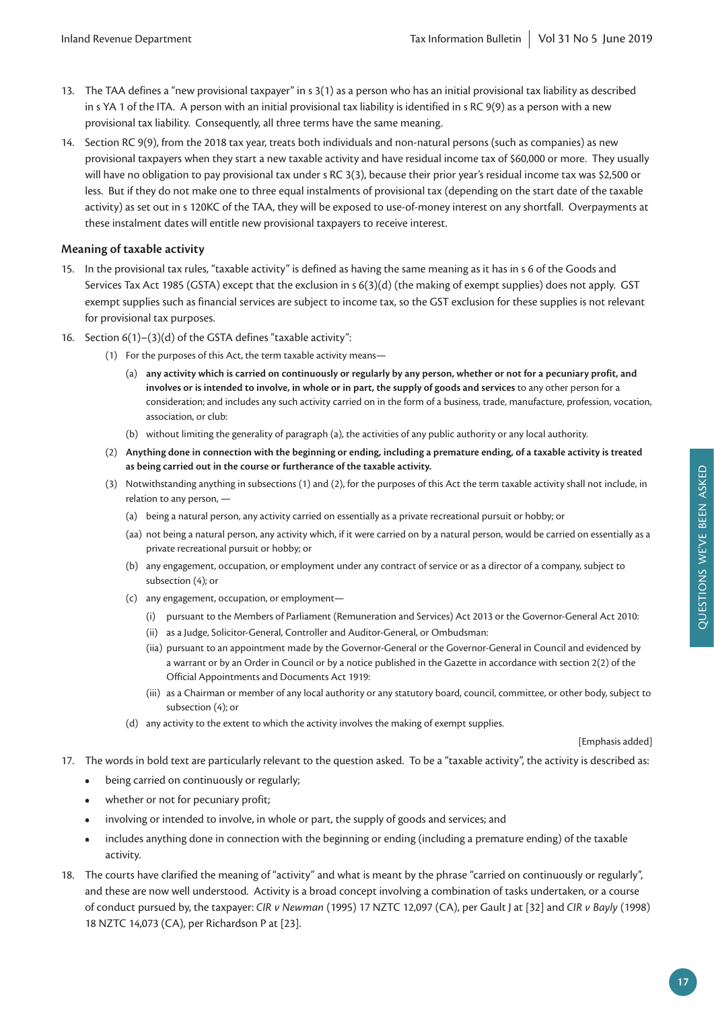- 13. The TAA defines a "new provisional taxpayer" in s 3(1) as a person who has an initial provisional tax liability as described in s YA 1 of the ITA. A person with an initial provisional tax liability is identified in s RC 9(9) as a person with a new provisional tax liability. Consequently, all three terms have the same meaning.
- 14. Section RC 9(9), from the 2018 tax year, treats both individuals and non-natural persons (such as companies) as new provisional taxpayers when they start a new taxable activity and have residual income tax of \$60,000 or more. They usually will have no obligation to pay provisional tax under s RC 3(3), because their prior year's residual income tax was \$2,500 or less. But if they do not make one to three equal instalments of provisional tax (depending on the start date of the taxable activity) as set out in s 120KC of the TAA, they will be exposed to use-of-money interest on any shortfall. Overpayments at these instalment dates will entitle new provisional taxpayers to receive interest.

## **Meaning of taxable activity**

- 15. In the provisional tax rules, "taxable activity" is defined as having the same meaning as it has in s 6 of the Goods and Services Tax Act 1985 (GSTA) except that the exclusion in s 6(3)(d) (the making of exempt supplies) does not apply. GST exempt supplies such as financial services are subject to income tax, so the GST exclusion for these supplies is not relevant for provisional tax purposes.
- 16. Section 6(1)–(3)(d) of the GSTA defines "taxable activity":
	- (1) For the purposes of this Act, the term taxable activity means—
		- (a) **any activity which is carried on continuously or regularly by any person, whether or not for a pecuniary profit, and involves or is intended to involve, in whole or in part, the supply of goods and services** to any other person for a consideration; and includes any such activity carried on in the form of a business, trade, manufacture, profession, vocation, association, or club:
		- (b) without limiting the generality of paragraph (a), the activities of any public authority or any local authority.
	- (2) **Anything done in connection with the beginning or ending, including a premature ending, of a taxable activity is treated as being carried out in the course or furtherance of the taxable activity.**
	- (3) Notwithstanding anything in subsections (1) and (2), for the purposes of this Act the term taxable activity shall not include, in relation to any person, —
		- (a) being a natural person, any activity carried on essentially as a private recreational pursuit or hobby; or
		- (aa) not being a natural person, any activity which, if it were carried on by a natural person, would be carried on essentially as a private recreational pursuit or hobby; or
		- (b) any engagement, occupation, or employment under any contract of service or as a director of a company, subject to subsection (4); or
		- (c) any engagement, occupation, or employment—
			- (i) pursuant to the Members of Parliament (Remuneration and Services) Act 2013 or the Governor-General Act 2010:
			- (ii) as a Judge, Solicitor-General, Controller and Auditor-General, or Ombudsman:
			- (iia) pursuant to an appointment made by the Governor-General or the Governor-General in Council and evidenced by a warrant or by an Order in Council or by a notice published in the Gazette in accordance with section 2(2) of the Official Appointments and Documents Act 1919:
			- (iii) as a Chairman or member of any local authority or any statutory board, council, committee, or other body, subject to subsection (4); or
		- (d) any activity to the extent to which the activity involves the making of exempt supplies.

[Emphasis added]

- 17. The words in bold text are particularly relevant to the question asked. To be a "taxable activity", the activity is described as:
	- **•** being carried on continuously or regularly;
	- **•** whether or not for pecuniary profit;
	- **•** involving or intended to involve, in whole or part, the supply of goods and services; and
	- **•** includes anything done in connection with the beginning or ending (including a premature ending) of the taxable activity.
- 18. The courts have clarified the meaning of "activity" and what is meant by the phrase "carried on continuously or regularly", and these are now well understood. Activity is a broad concept involving a combination of tasks undertaken, or a course of conduct pursued by, the taxpayer: *CIR v Newman* (1995) 17 NZTC 12,097 (CA), per Gault J at [32] and *CIR v Bayly* (1998) 18 NZTC 14,073 (CA), per Richardson P at [23].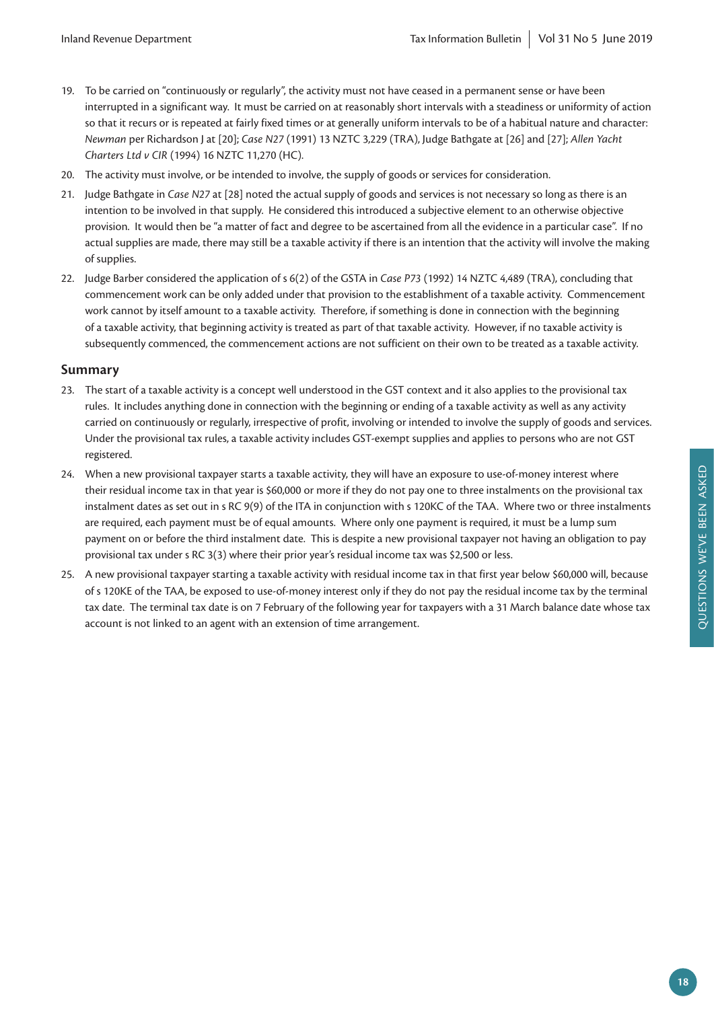- 19. To be carried on "continuously or regularly", the activity must not have ceased in a permanent sense or have been interrupted in a significant way. It must be carried on at reasonably short intervals with a steadiness or uniformity of action so that it recurs or is repeated at fairly fixed times or at generally uniform intervals to be of a habitual nature and character: *Newman* per Richardson J at [20]; *Case N27* (1991) 13 NZTC 3,229 (TRA), Judge Bathgate at [26] and [27]; *Allen Yacht Charters Ltd v CIR* (1994) 16 NZTC 11,270 (HC).
- 20. The activity must involve, or be intended to involve, the supply of goods or services for consideration.
- 21. Judge Bathgate in *Case N27* at [28] noted the actual supply of goods and services is not necessary so long as there is an intention to be involved in that supply. He considered this introduced a subjective element to an otherwise objective provision. It would then be "a matter of fact and degree to be ascertained from all the evidence in a particular case". If no actual supplies are made, there may still be a taxable activity if there is an intention that the activity will involve the making of supplies.
- 22. Judge Barber considered the application of s 6(2) of the GSTA in *Case P73* (1992) 14 NZTC 4,489 (TRA), concluding that commencement work can be only added under that provision to the establishment of a taxable activity. Commencement work cannot by itself amount to a taxable activity. Therefore, if something is done in connection with the beginning of a taxable activity, that beginning activity is treated as part of that taxable activity. However, if no taxable activity is subsequently commenced, the commencement actions are not sufficient on their own to be treated as a taxable activity.

# **Summary**

- 23. The start of a taxable activity is a concept well understood in the GST context and it also applies to the provisional tax rules. It includes anything done in connection with the beginning or ending of a taxable activity as well as any activity carried on continuously or regularly, irrespective of profit, involving or intended to involve the supply of goods and services. Under the provisional tax rules, a taxable activity includes GST-exempt supplies and applies to persons who are not GST registered.
- 24. When a new provisional taxpayer starts a taxable activity, they will have an exposure to use-of-money interest where their residual income tax in that year is \$60,000 or more if they do not pay one to three instalments on the provisional tax instalment dates as set out in s RC 9(9) of the ITA in conjunction with s 120KC of the TAA. Where two or three instalments are required, each payment must be of equal amounts. Where only one payment is required, it must be a lump sum payment on or before the third instalment date. This is despite a new provisional taxpayer not having an obligation to pay provisional tax under s RC 3(3) where their prior year's residual income tax was \$2,500 or less.
- 25. A new provisional taxpayer starting a taxable activity with residual income tax in that first year below \$60,000 will, because of s 120KE of the TAA, be exposed to use-of-money interest only if they do not pay the residual income tax by the terminal tax date. The terminal tax date is on 7 February of the following year for taxpayers with a 31 March balance date whose tax account is not linked to an agent with an extension of time arrangement.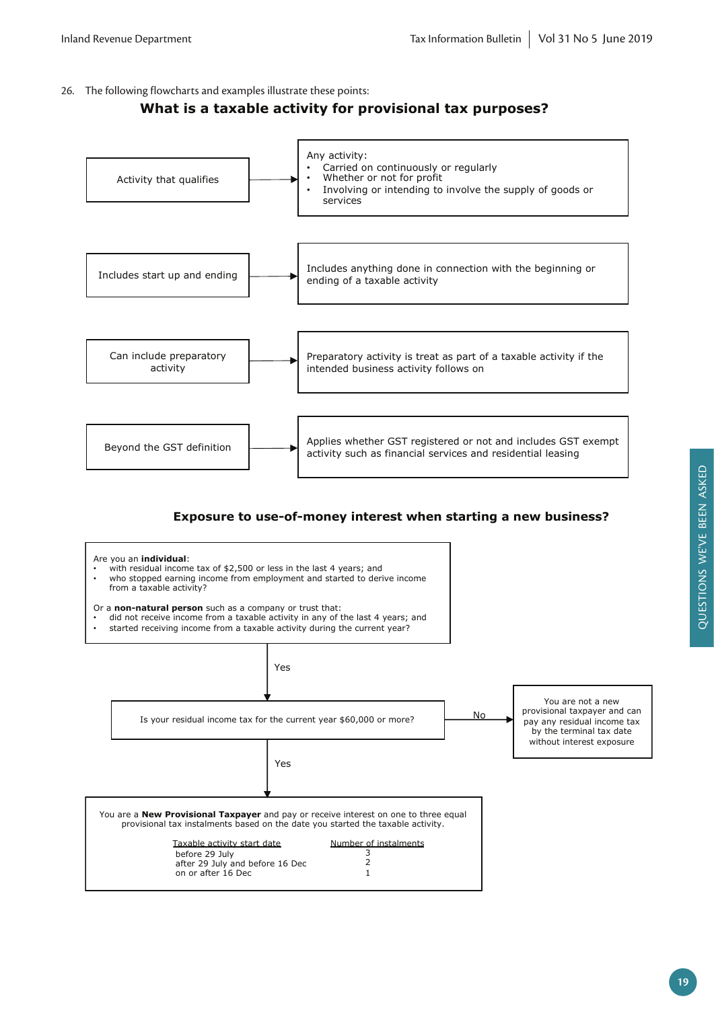26. The following flowcharts and examples illustrate these points:

# **What is a taxable activity for provisional tax purposes?**



# **Exposure to use-of-money interest when starting a new business?**

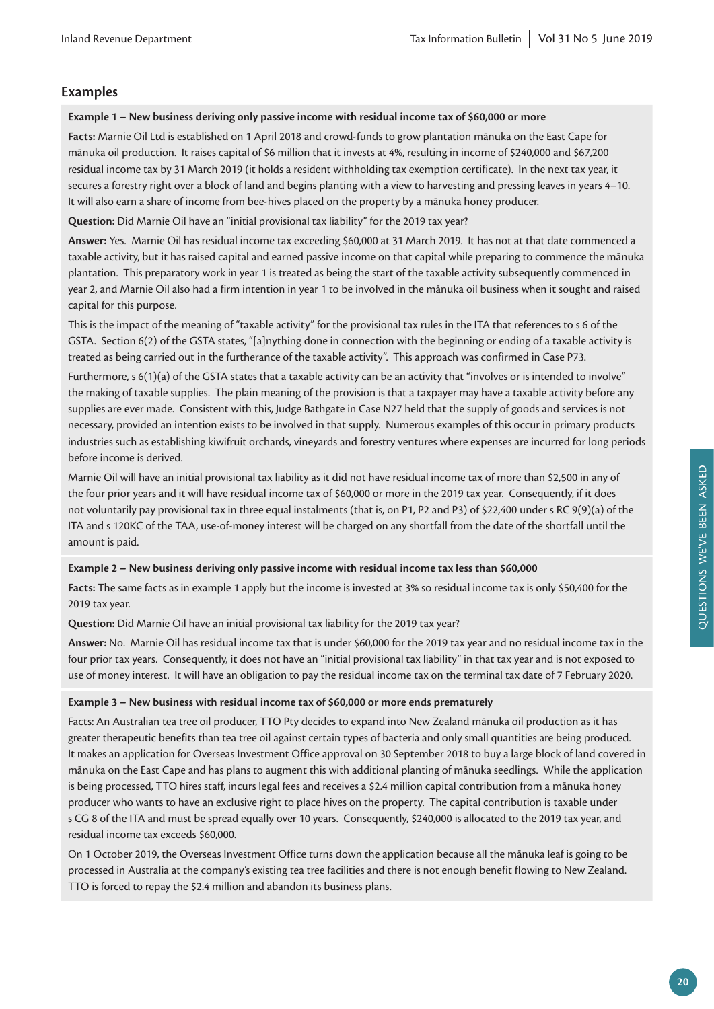# **Examples**

## **Example 1 – New business deriving only passive income with residual income tax of \$60,000 or more**

**Facts:** Marnie Oil Ltd is established on 1 April 2018 and crowd-funds to grow plantation mānuka on the East Cape for mānuka oil production. It raises capital of \$6 million that it invests at 4%, resulting in income of \$240,000 and \$67,200 residual income tax by 31 March 2019 (it holds a resident withholding tax exemption certificate). In the next tax year, it secures a forestry right over a block of land and begins planting with a view to harvesting and pressing leaves in years 4–10. It will also earn a share of income from bee-hives placed on the property by a mānuka honey producer.

**Question:** Did Marnie Oil have an "initial provisional tax liability" for the 2019 tax year?

**Answer:** Yes. Marnie Oil has residual income tax exceeding \$60,000 at 31 March 2019. It has not at that date commenced a taxable activity, but it has raised capital and earned passive income on that capital while preparing to commence the mānuka plantation. This preparatory work in year 1 is treated as being the start of the taxable activity subsequently commenced in year 2, and Marnie Oil also had a firm intention in year 1 to be involved in the mānuka oil business when it sought and raised capital for this purpose.

This is the impact of the meaning of "taxable activity" for the provisional tax rules in the ITA that references to s 6 of the GSTA. Section 6(2) of the GSTA states, "[a]nything done in connection with the beginning or ending of a taxable activity is treated as being carried out in the furtherance of the taxable activity". This approach was confirmed in Case P73.

Furthermore, s 6(1)(a) of the GSTA states that a taxable activity can be an activity that "involves or is intended to involve" the making of taxable supplies. The plain meaning of the provision is that a taxpayer may have a taxable activity before any supplies are ever made. Consistent with this, Judge Bathgate in Case N27 held that the supply of goods and services is not necessary, provided an intention exists to be involved in that supply. Numerous examples of this occur in primary products industries such as establishing kiwifruit orchards, vineyards and forestry ventures where expenses are incurred for long periods before income is derived.

Marnie Oil will have an initial provisional tax liability as it did not have residual income tax of more than \$2,500 in any of the four prior years and it will have residual income tax of \$60,000 or more in the 2019 tax year. Consequently, if it does not voluntarily pay provisional tax in three equal instalments (that is, on P1, P2 and P3) of \$22,400 under s RC 9(9)(a) of the ITA and s 120KC of the TAA, use-of-money interest will be charged on any shortfall from the date of the shortfall until the amount is paid.

# **Example 2 – New business deriving only passive income with residual income tax less than \$60,000**

**Facts:** The same facts as in example 1 apply but the income is invested at 3% so residual income tax is only \$50,400 for the 2019 tax year.

**Question:** Did Marnie Oil have an initial provisional tax liability for the 2019 tax year?

**Answer:** No. Marnie Oil has residual income tax that is under \$60,000 for the 2019 tax year and no residual income tax in the four prior tax years. Consequently, it does not have an "initial provisional tax liability" in that tax year and is not exposed to use of money interest. It will have an obligation to pay the residual income tax on the terminal tax date of 7 February 2020.

# **Example 3 – New business with residual income tax of \$60,000 or more ends prematurely**

Facts: An Australian tea tree oil producer, TTO Pty decides to expand into New Zealand mānuka oil production as it has greater therapeutic benefits than tea tree oil against certain types of bacteria and only small quantities are being produced. It makes an application for Overseas Investment Office approval on 30 September 2018 to buy a large block of land covered in mānuka on the East Cape and has plans to augment this with additional planting of mānuka seedlings. While the application is being processed, TTO hires staff, incurs legal fees and receives a \$2.4 million capital contribution from a mānuka honey producer who wants to have an exclusive right to place hives on the property. The capital contribution is taxable under s CG 8 of the ITA and must be spread equally over 10 years. Consequently, \$240,000 is allocated to the 2019 tax year, and residual income tax exceeds \$60,000.

On 1 October 2019, the Overseas Investment Office turns down the application because all the mānuka leaf is going to be processed in Australia at the company's existing tea tree facilities and there is not enough benefit flowing to New Zealand. TTO is forced to repay the \$2.4 million and abandon its business plans.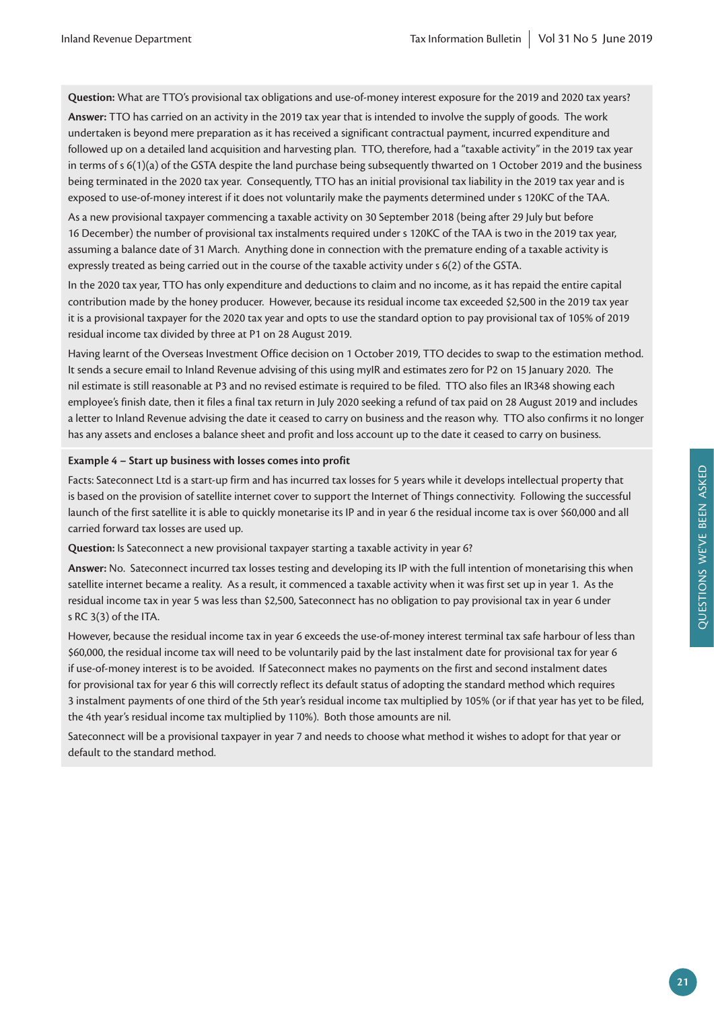**Question:** What are TTO's provisional tax obligations and use-of-money interest exposure for the 2019 and 2020 tax years?

**Answer:** TTO has carried on an activity in the 2019 tax year that is intended to involve the supply of goods. The work undertaken is beyond mere preparation as it has received a significant contractual payment, incurred expenditure and followed up on a detailed land acquisition and harvesting plan. TTO, therefore, had a "taxable activity" in the 2019 tax year in terms of s 6(1)(a) of the GSTA despite the land purchase being subsequently thwarted on 1 October 2019 and the business being terminated in the 2020 tax year. Consequently, TTO has an initial provisional tax liability in the 2019 tax year and is exposed to use-of-money interest if it does not voluntarily make the payments determined under s 120KC of the TAA.

As a new provisional taxpayer commencing a taxable activity on 30 September 2018 (being after 29 July but before 16 December) the number of provisional tax instalments required under s 120KC of the TAA is two in the 2019 tax year, assuming a balance date of 31 March. Anything done in connection with the premature ending of a taxable activity is expressly treated as being carried out in the course of the taxable activity under s 6(2) of the GSTA.

In the 2020 tax year, TTO has only expenditure and deductions to claim and no income, as it has repaid the entire capital contribution made by the honey producer. However, because its residual income tax exceeded \$2,500 in the 2019 tax year it is a provisional taxpayer for the 2020 tax year and opts to use the standard option to pay provisional tax of 105% of 2019 residual income tax divided by three at P1 on 28 August 2019.

Having learnt of the Overseas Investment Office decision on 1 October 2019, TTO decides to swap to the estimation method. It sends a secure email to Inland Revenue advising of this using myIR and estimates zero for P2 on 15 January 2020. The nil estimate is still reasonable at P3 and no revised estimate is required to be filed. TTO also files an IR348 showing each employee's finish date, then it files a final tax return in July 2020 seeking a refund of tax paid on 28 August 2019 and includes a letter to Inland Revenue advising the date it ceased to carry on business and the reason why. TTO also confirms it no longer has any assets and encloses a balance sheet and profit and loss account up to the date it ceased to carry on business.

#### **Example 4 – Start up business with losses comes into profit**

Facts: Sateconnect Ltd is a start-up firm and has incurred tax losses for 5 years while it develops intellectual property that is based on the provision of satellite internet cover to support the Internet of Things connectivity. Following the successful launch of the first satellite it is able to quickly monetarise its IP and in year 6 the residual income tax is over \$60,000 and all carried forward tax losses are used up.

**Question:** Is Sateconnect a new provisional taxpayer starting a taxable activity in year 6?

**Answer:** No. Sateconnect incurred tax losses testing and developing its IP with the full intention of monetarising this when satellite internet became a reality. As a result, it commenced a taxable activity when it was first set up in year 1. As the residual income tax in year 5 was less than \$2,500, Sateconnect has no obligation to pay provisional tax in year 6 under s RC 3(3) of the ITA.

However, because the residual income tax in year 6 exceeds the use-of-money interest terminal tax safe harbour of less than \$60,000, the residual income tax will need to be voluntarily paid by the last instalment date for provisional tax for year 6 if use-of-money interest is to be avoided. If Sateconnect makes no payments on the first and second instalment dates for provisional tax for year 6 this will correctly reflect its default status of adopting the standard method which requires 3 instalment payments of one third of the 5th year's residual income tax multiplied by 105% (or if that year has yet to be filed, the 4th year's residual income tax multiplied by 110%). Both those amounts are nil.

Sateconnect will be a provisional taxpayer in year 7 and needs to choose what method it wishes to adopt for that year or default to the standard method.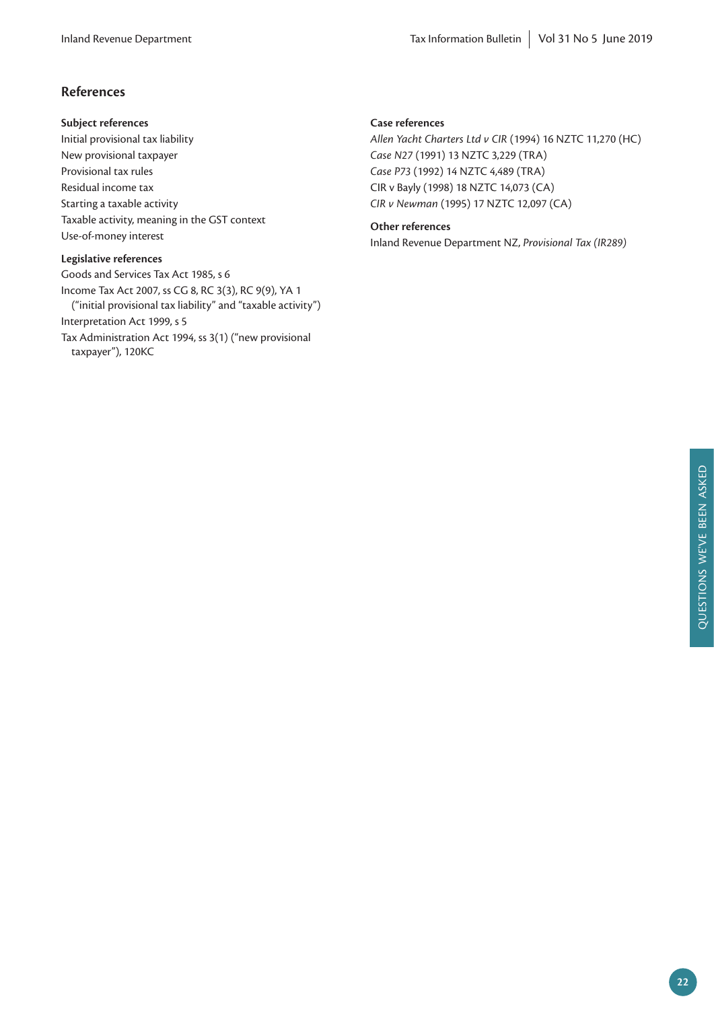# **References**

#### **Subject references**

Initial provisional tax liability New provisional taxpayer Provisional tax rules Residual income tax Starting a taxable activity Taxable activity, meaning in the GST context Use-of-money interest

#### **Legislative references**

Goods and Services Tax Act 1985, s 6 Income Tax Act 2007, ss CG 8, RC 3(3), RC 9(9), YA 1 ("initial provisional tax liability" and "taxable activity") Interpretation Act 1999, s 5 Tax Administration Act 1994, ss 3(1) ("new provisional taxpayer"), 120KC

## **Case references**

*Allen Yacht Charters Ltd v CIR* (1994) 16 NZTC 11,270 (HC) *Case N27* (1991) 13 NZTC 3,229 (TRA) *Case P73* (1992) 14 NZTC 4,489 (TRA) CIR v Bayly (1998) 18 NZTC 14,073 (CA) *CIR v Newman* (1995) 17 NZTC 12,097 (CA)

#### **Other references**

Inland Revenue Department NZ, *Provisional Tax (IR289)*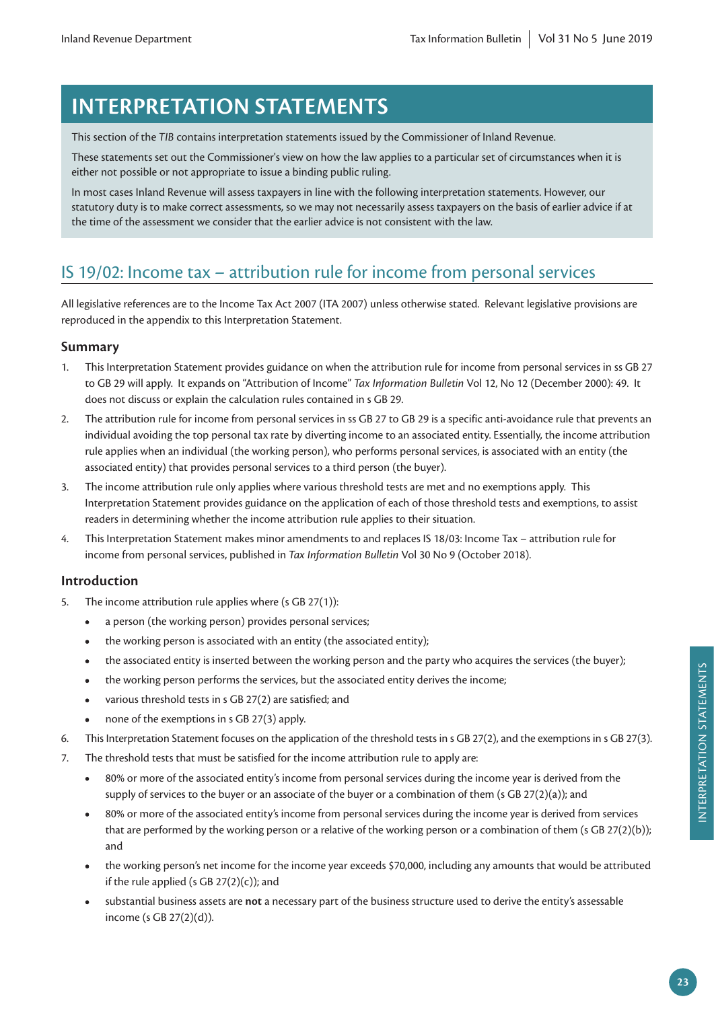# **INTERPRETATION STATEMENTS**

This section of the *TIB* contains interpretation statements issued by the Commissioner of Inland Revenue.

These statements set out the Commissioner's view on how the law applies to a particular set of circumstances when it is either not possible or not appropriate to issue a binding public ruling.

In most cases Inland Revenue will assess taxpayers in line with the following interpretation statements. However, our statutory duty is to make correct assessments, so we may not necessarily assess taxpayers on the basis of earlier advice if at the time of the assessment we consider that the earlier advice is not consistent with the law.

# IS 19/02: Income tax – attribution rule for income from personal services

All legislative references are to the Income Tax Act 2007 (ITA 2007) unless otherwise stated. Relevant legislative provisions are reproduced in the appendix to this Interpretation Statement.

# **Summary**

- 1. This Interpretation Statement provides guidance on when the attribution rule for income from personal services in ss GB 27 to GB 29 will apply. It expands on "Attribution of Income" *Tax Information Bulletin* Vol 12, No 12 (December 2000): 49. It does not discuss or explain the calculation rules contained in s GB 29.
- 2. The attribution rule for income from personal services in ss GB 27 to GB 29 is a specific anti-avoidance rule that prevents an individual avoiding the top personal tax rate by diverting income to an associated entity. Essentially, the income attribution rule applies when an individual (the working person), who performs personal services, is associated with an entity (the associated entity) that provides personal services to a third person (the buyer).
- 3. The income attribution rule only applies where various threshold tests are met and no exemptions apply. This Interpretation Statement provides guidance on the application of each of those threshold tests and exemptions, to assist readers in determining whether the income attribution rule applies to their situation.
- 4. This Interpretation Statement makes minor amendments to and replaces IS 18/03: Income Tax attribution rule for income from personal services, published in *Tax Information Bulletin* Vol 30 No 9 (October 2018).

# **Introduction**

- 5. The income attribution rule applies where (s GB 27(1)):
	- **•** a person (the working person) provides personal services;
	- **•** the working person is associated with an entity (the associated entity);
	- the associated entity is inserted between the working person and the party who acquires the services (the buyer);
	- the working person performs the services, but the associated entity derives the income;
	- **•** various threshold tests in s GB 27(2) are satisfied; and
	- **•** none of the exemptions in s GB 27(3) apply.
- 6. This Interpretation Statement focuses on the application of the threshold tests in s GB 27(2), and the exemptions in s GB 27(3).
- 7. The threshold tests that must be satisfied for the income attribution rule to apply are:
	- **•** 80% or more of the associated entity's income from personal services during the income year is derived from the supply of services to the buyer or an associate of the buyer or a combination of them (s GB 27(2)(a)); and
	- **•** 80% or more of the associated entity's income from personal services during the income year is derived from services that are performed by the working person or a relative of the working person or a combination of them (s GB 27(2)(b)); and
	- **•** the working person's net income for the income year exceeds \$70,000, including any amounts that would be attributed if the rule applied (s GB  $27(2)(c)$ ); and
	- **•** substantial business assets are **not** a necessary part of the business structure used to derive the entity's assessable income (s GB 27(2)(d)).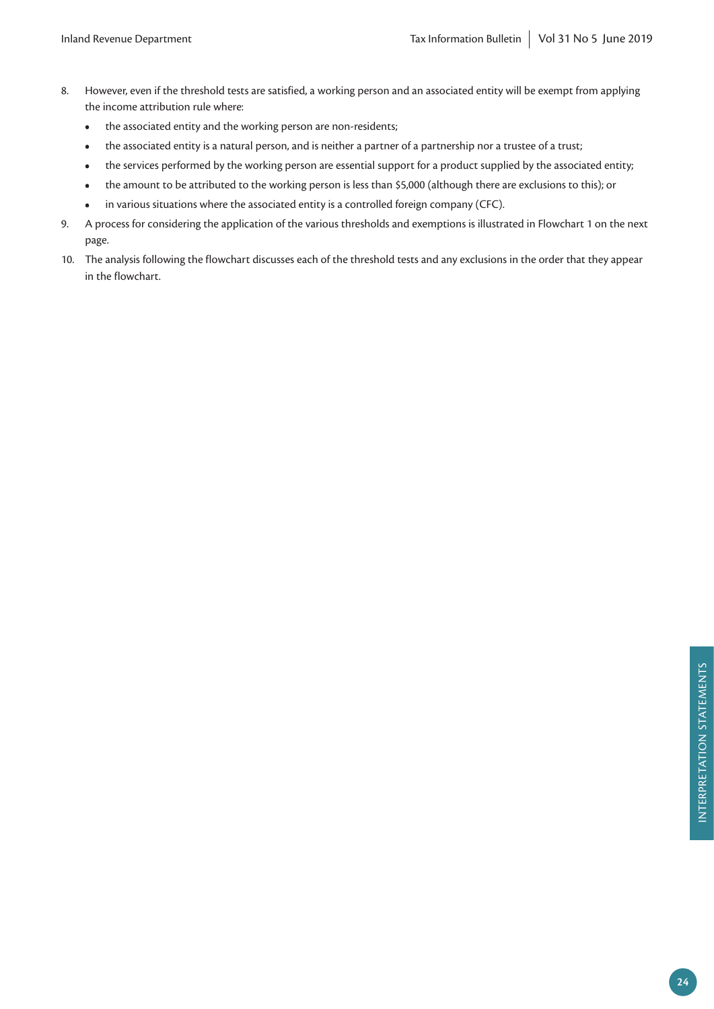- 8. However, even if the threshold tests are satisfied, a working person and an associated entity will be exempt from applying the income attribution rule where:
	- **•** the associated entity and the working person are non-residents;
	- the associated entity is a natural person, and is neither a partner of a partnership nor a trustee of a trust;
	- the services performed by the working person are essential support for a product supplied by the associated entity;
	- **•** the amount to be attributed to the working person is less than \$5,000 (although there are exclusions to this); or
	- **•** in various situations where the associated entity is a controlled foreign company (CFC).
- 9. A process for considering the application of the various thresholds and exemptions is illustrated in Flowchart 1 on the next page.
- 10. The analysis following the flowchart discusses each of the threshold tests and any exclusions in the order that they appear in the flowchart.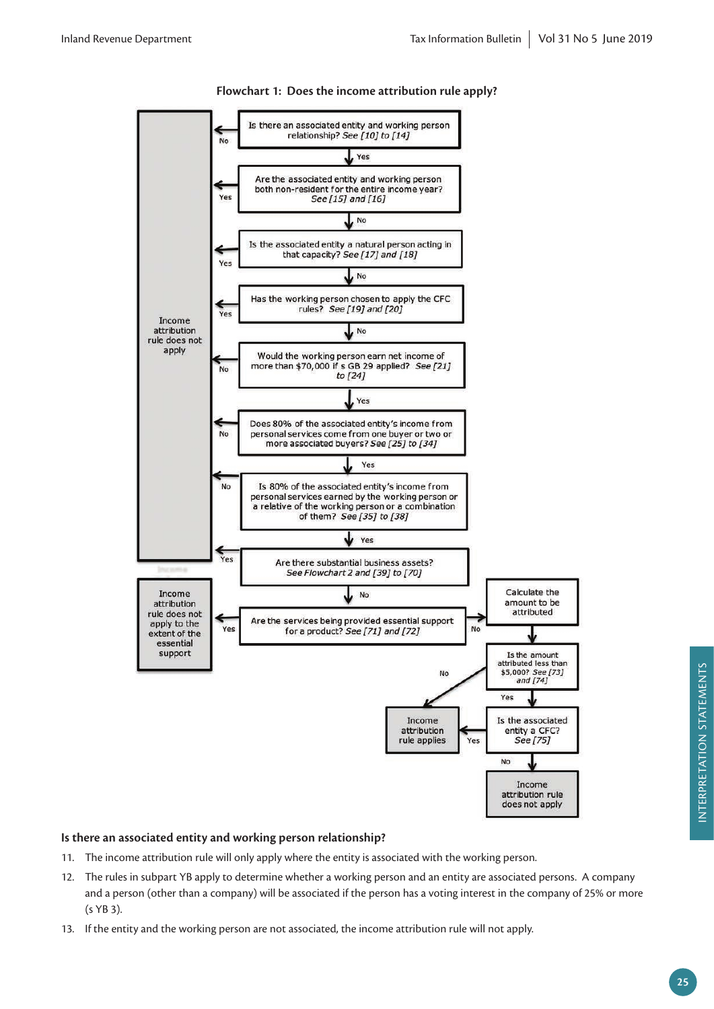

# **Flowchart 1: Does the income attribution rule apply?**

# **Is there an associated entity and working person relationship?**

- 11. The income attribution rule will only apply where the entity is associated with the working person.
- 12. The rules in subpart YB apply to determine whether a working person and an entity are associated persons. A company and a person (other than a company) will be associated if the person has a voting interest in the company of 25% or more (s YB 3).
- 13. If the entity and the working person are not associated, the income attribution rule will not apply.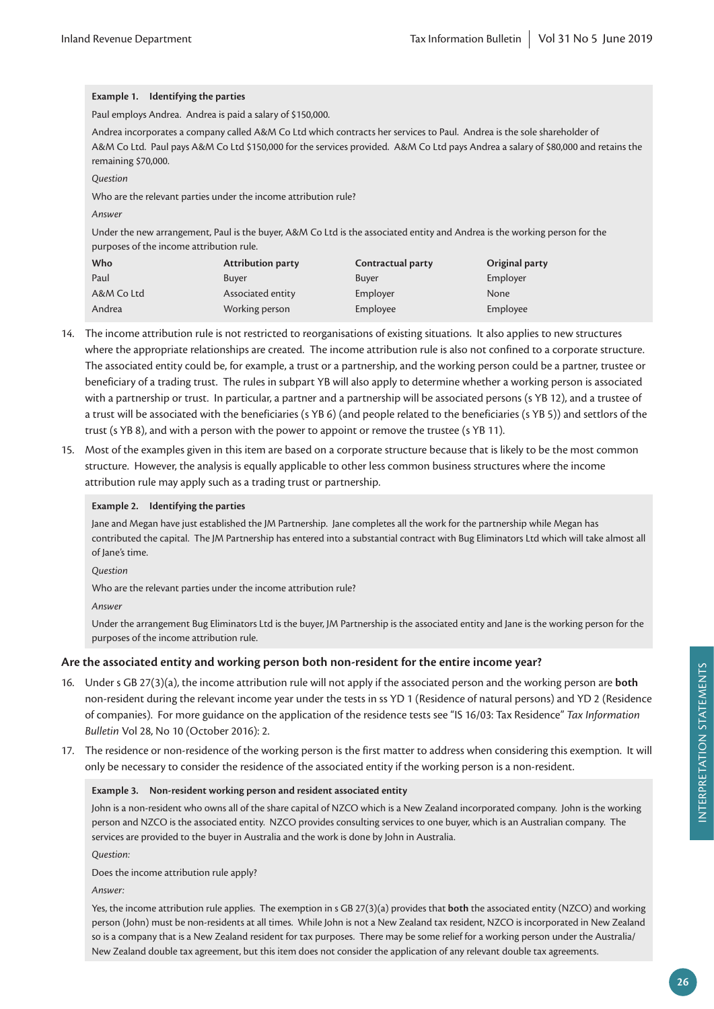# **Example 1. Identifying the parties**

Paul employs Andrea. Andrea is paid a salary of \$150,000.

Andrea incorporates a company called A&M Co Ltd which contracts her services to Paul. Andrea is the sole shareholder of A&M Co Ltd. Paul pays A&M Co Ltd \$150,000 for the services provided. A&M Co Ltd pays Andrea a salary of \$80,000 and retains the remaining \$70,000.

*Question*

Who are the relevant parties under the income attribution rule?

*Answer*

Under the new arrangement, Paul is the buyer, A&M Co Ltd is the associated entity and Andrea is the working person for the purposes of the income attribution rule.

| Who        | <b>Attribution party</b> | Contractual party | Original party |
|------------|--------------------------|-------------------|----------------|
| Paul       | Buver                    | Buver             | Employer       |
| A&M Co Ltd | Associated entity        | Employer          | None           |
| Andrea     | Working person           | Employee          | Employee       |

- 14. The income attribution rule is not restricted to reorganisations of existing situations. It also applies to new structures where the appropriate relationships are created. The income attribution rule is also not confined to a corporate structure. The associated entity could be, for example, a trust or a partnership, and the working person could be a partner, trustee or beneficiary of a trading trust. The rules in subpart YB will also apply to determine whether a working person is associated with a partnership or trust. In particular, a partner and a partnership will be associated persons (s YB 12), and a trustee of a trust will be associated with the beneficiaries (s YB 6) (and people related to the beneficiaries (s YB 5)) and settlors of the trust (s YB 8), and with a person with the power to appoint or remove the trustee (s YB 11).
- 15. Most of the examples given in this item are based on a corporate structure because that is likely to be the most common structure. However, the analysis is equally applicable to other less common business structures where the income attribution rule may apply such as a trading trust or partnership.

#### **Example 2. Identifying the parties**

Jane and Megan have just established the JM Partnership. Jane completes all the work for the partnership while Megan has contributed the capital. The JM Partnership has entered into a substantial contract with Bug Eliminators Ltd which will take almost all of Jane's time.

*Question*

Who are the relevant parties under the income attribution rule?

*Answer*

Under the arrangement Bug Eliminators Ltd is the buyer, JM Partnership is the associated entity and Jane is the working person for the purposes of the income attribution rule.

# **Are the associated entity and working person both non-resident for the entire income year?**

- 16. Under s GB 27(3)(a), the income attribution rule will not apply if the associated person and the working person are **both** non-resident during the relevant income year under the tests in ss YD 1 (Residence of natural persons) and YD 2 (Residence of companies). For more guidance on the application of the residence tests see "IS 16/03: Tax Residence" *Tax Information Bulletin* Vol 28, No 10 (October 2016): 2.
- 17. The residence or non-residence of the working person is the first matter to address when considering this exemption. It will only be necessary to consider the residence of the associated entity if the working person is a non-resident.

#### **Example 3. Non-resident working person and resident associated entity**

John is a non-resident who owns all of the share capital of NZCO which is a New Zealand incorporated company. John is the working person and NZCO is the associated entity. NZCO provides consulting services to one buyer, which is an Australian company. The services are provided to the buyer in Australia and the work is done by John in Australia.

*Question:*

Does the income attribution rule apply?

*Answer:*

Yes, the income attribution rule applies. The exemption in s GB 27(3)(a) provides that **both** the associated entity (NZCO) and working person (John) must be non-residents at all times. While John is not a New Zealand tax resident, NZCO is incorporated in New Zealand so is a company that is a New Zealand resident for tax purposes. There may be some relief for a working person under the Australia/ New Zealand double tax agreement, but this item does not consider the application of any relevant double tax agreements.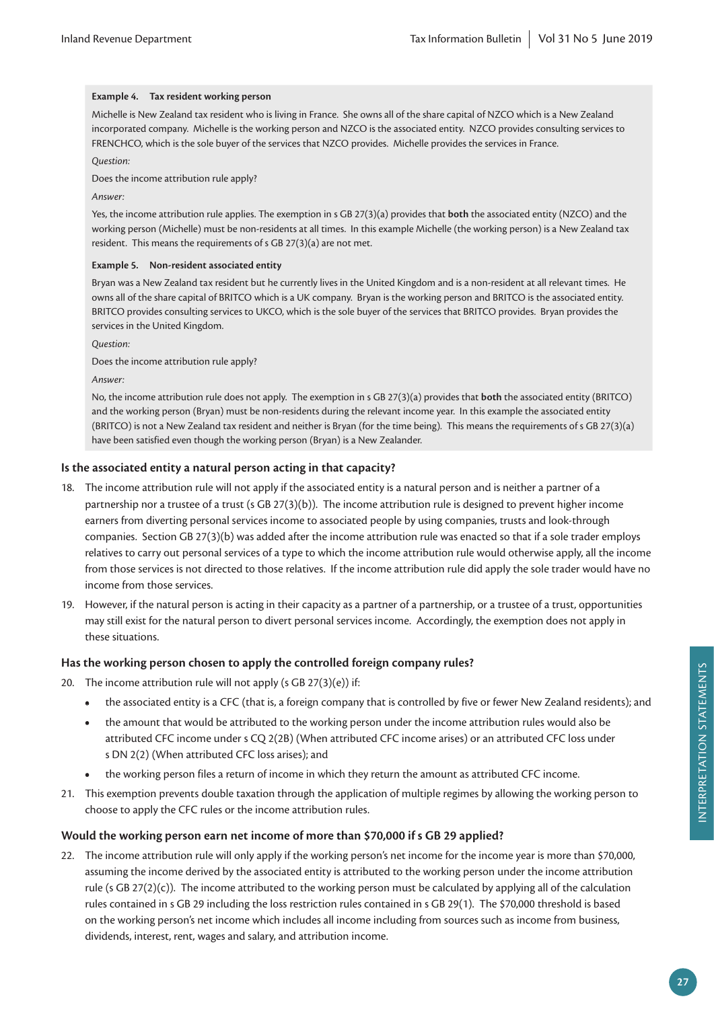#### **Example 4. Tax resident working person**

Michelle is New Zealand tax resident who is living in France. She owns all of the share capital of NZCO which is a New Zealand incorporated company. Michelle is the working person and NZCO is the associated entity. NZCO provides consulting services to FRENCHCO, which is the sole buyer of the services that NZCO provides. Michelle provides the services in France.

#### *Question:*

Does the income attribution rule apply?

#### *Answer:*

Yes, the income attribution rule applies. The exemption in s GB 27(3)(a) provides that **both** the associated entity (NZCO) and the working person (Michelle) must be non-residents at all times. In this example Michelle (the working person) is a New Zealand tax resident. This means the requirements of s GB 27(3)(a) are not met.

#### **Example 5. Non-resident associated entity**

Bryan was a New Zealand tax resident but he currently lives in the United Kingdom and is a non-resident at all relevant times. He owns all of the share capital of BRITCO which is a UK company. Bryan is the working person and BRITCO is the associated entity. BRITCO provides consulting services to UKCO, which is the sole buyer of the services that BRITCO provides. Bryan provides the services in the United Kingdom.

*Question:*

Does the income attribution rule apply?

*Answer:*

No, the income attribution rule does not apply. The exemption in s GB 27(3)(a) provides that **both** the associated entity (BRITCO) and the working person (Bryan) must be non-residents during the relevant income year. In this example the associated entity (BRITCO) is not a New Zealand tax resident and neither is Bryan (for the time being). This means the requirements of s GB 27(3)(a) have been satisfied even though the working person (Bryan) is a New Zealander.

#### **Is the associated entity a natural person acting in that capacity?**

- 18. The income attribution rule will not apply if the associated entity is a natural person and is neither a partner of a partnership nor a trustee of a trust (s GB 27(3)(b)). The income attribution rule is designed to prevent higher income earners from diverting personal services income to associated people by using companies, trusts and look-through companies. Section GB 27(3)(b) was added after the income attribution rule was enacted so that if a sole trader employs relatives to carry out personal services of a type to which the income attribution rule would otherwise apply, all the income from those services is not directed to those relatives. If the income attribution rule did apply the sole trader would have no income from those services.
- 19. However, if the natural person is acting in their capacity as a partner of a partnership, or a trustee of a trust, opportunities may still exist for the natural person to divert personal services income. Accordingly, the exemption does not apply in these situations.

## **Has the working person chosen to apply the controlled foreign company rules?**

- 20. The income attribution rule will not apply (s GB  $27(3)(e)$ ) if:
	- **•** the associated entity is a CFC (that is, a foreign company that is controlled by five or fewer New Zealand residents); and
	- **•** the amount that would be attributed to the working person under the income attribution rules would also be attributed CFC income under s CQ 2(2B) (When attributed CFC income arises) or an attributed CFC loss under s DN 2(2) (When attributed CFC loss arises); and
	- **•** the working person files a return of income in which they return the amount as attributed CFC income.
- 21. This exemption prevents double taxation through the application of multiple regimes by allowing the working person to choose to apply the CFC rules or the income attribution rules.

#### **Would the working person earn net income of more than \$70,000 if s GB 29 applied?**

22. The income attribution rule will only apply if the working person's net income for the income year is more than \$70,000, assuming the income derived by the associated entity is attributed to the working person under the income attribution rule (s GB  $27(2)(c)$ ). The income attributed to the working person must be calculated by applying all of the calculation rules contained in s GB 29 including the loss restriction rules contained in s GB 29(1). The \$70,000 threshold is based on the working person's net income which includes all income including from sources such as income from business, dividends, interest, rent, wages and salary, and attribution income.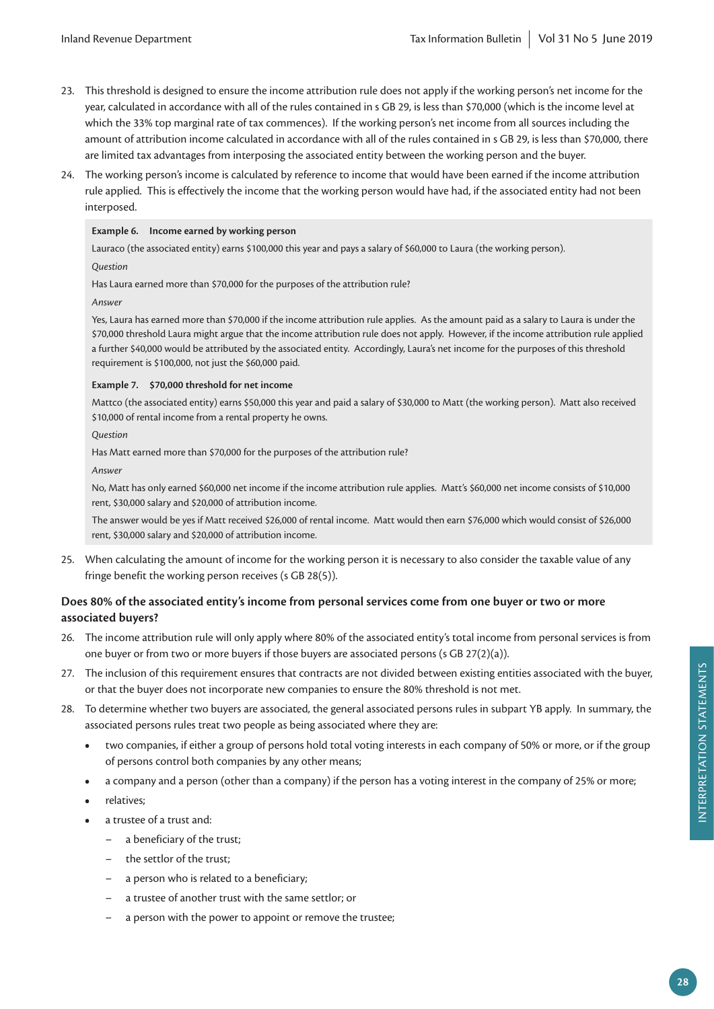- 23. This threshold is designed to ensure the income attribution rule does not apply if the working person's net income for the year, calculated in accordance with all of the rules contained in s GB 29, is less than \$70,000 (which is the income level at which the 33% top marginal rate of tax commences). If the working person's net income from all sources including the amount of attribution income calculated in accordance with all of the rules contained in s GB 29, is less than \$70,000, there are limited tax advantages from interposing the associated entity between the working person and the buyer.
- 24. The working person's income is calculated by reference to income that would have been earned if the income attribution rule applied. This is effectively the income that the working person would have had, if the associated entity had not been interposed.

#### **Example 6. Income earned by working person**

Lauraco (the associated entity) earns \$100,000 this year and pays a salary of \$60,000 to Laura (the working person). *Question*

Has Laura earned more than \$70,000 for the purposes of the attribution rule?

*Answer*

Yes, Laura has earned more than \$70,000 if the income attribution rule applies. As the amount paid as a salary to Laura is under the \$70,000 threshold Laura might argue that the income attribution rule does not apply. However, if the income attribution rule applied a further \$40,000 would be attributed by the associated entity. Accordingly, Laura's net income for the purposes of this threshold requirement is \$100,000, not just the \$60,000 paid.

#### **Example 7. \$70,000 threshold for net income**

Mattco (the associated entity) earns \$50,000 this year and paid a salary of \$30,000 to Matt (the working person). Matt also received \$10,000 of rental income from a rental property he owns.

*Question*

Has Matt earned more than \$70,000 for the purposes of the attribution rule?

*Answer*

No, Matt has only earned \$60,000 net income if the income attribution rule applies. Matt's \$60,000 net income consists of \$10,000 rent, \$30,000 salary and \$20,000 of attribution income.

The answer would be yes if Matt received \$26,000 of rental income. Matt would then earn \$76,000 which would consist of \$26,000 rent, \$30,000 salary and \$20,000 of attribution income.

25. When calculating the amount of income for the working person it is necessary to also consider the taxable value of any fringe benefit the working person receives (s GB 28(5)).

# **Does 80% of the associated entity's income from personal services come from one buyer or two or more associated buyers?**

- 26. The income attribution rule will only apply where 80% of the associated entity's total income from personal services is from one buyer or from two or more buyers if those buyers are associated persons (s GB 27(2)(a)).
- 27. The inclusion of this requirement ensures that contracts are not divided between existing entities associated with the buyer, or that the buyer does not incorporate new companies to ensure the 80% threshold is not met.
- 28. To determine whether two buyers are associated, the general associated persons rules in subpart YB apply. In summary, the associated persons rules treat two people as being associated where they are:
	- **•** two companies, if either a group of persons hold total voting interests in each company of 50% or more, or if the group of persons control both companies by any other means;
	- **•** a company and a person (other than a company) if the person has a voting interest in the company of 25% or more;
	- **•** relatives;
	- **•** a trustee of a trust and:
		- a beneficiary of the trust;
		- the settlor of the trust;
		- a person who is related to a beneficiary;
		- a trustee of another trust with the same settlor; or
		- a person with the power to appoint or remove the trustee;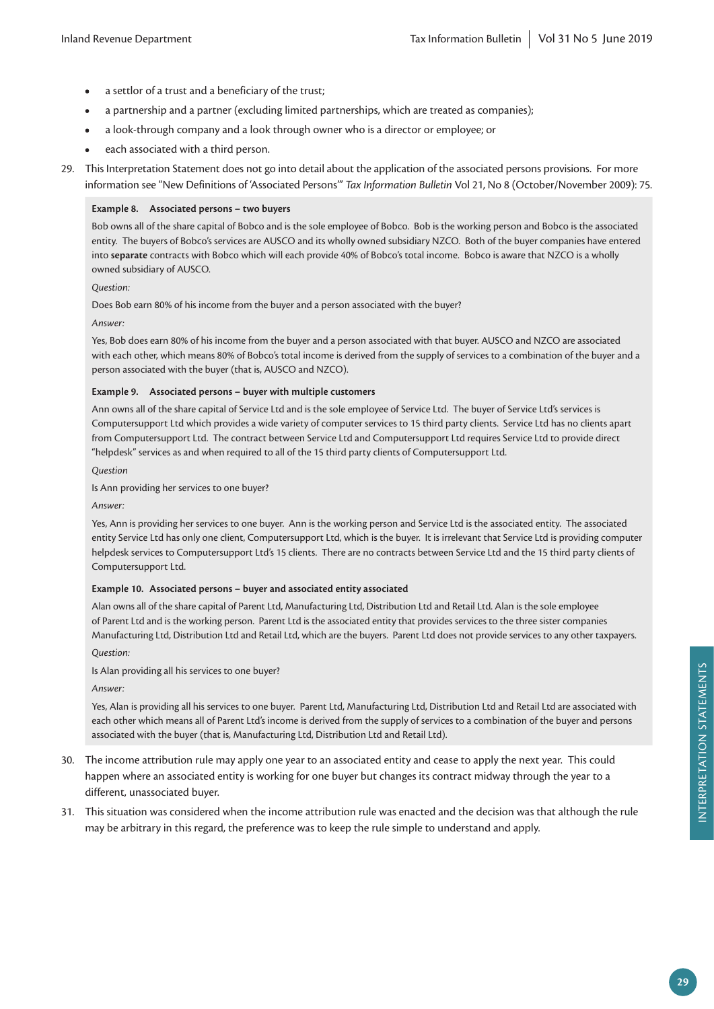- **•** a settlor of a trust and a beneficiary of the trust;
- **•** a partnership and a partner (excluding limited partnerships, which are treated as companies);
- **•** a look-through company and a look through owner who is a director or employee; or
- **•** each associated with a third person.
- 29. This Interpretation Statement does not go into detail about the application of the associated persons provisions. For more information see "New Definitions of 'Associated Persons'" *Tax Information Bulletin* Vol 21, No 8 (October/November 2009): 75.

#### **Example 8. Associated persons – two buyers**

Bob owns all of the share capital of Bobco and is the sole employee of Bobco. Bob is the working person and Bobco is the associated entity. The buyers of Bobco's services are AUSCO and its wholly owned subsidiary NZCO. Both of the buyer companies have entered into **separate** contracts with Bobco which will each provide 40% of Bobco's total income. Bobco is aware that NZCO is a wholly owned subsidiary of AUSCO.

#### *Question:*

Does Bob earn 80% of his income from the buyer and a person associated with the buyer?

*Answer:*

Yes, Bob does earn 80% of his income from the buyer and a person associated with that buyer. AUSCO and NZCO are associated with each other, which means 80% of Bobco's total income is derived from the supply of services to a combination of the buyer and a person associated with the buyer (that is, AUSCO and NZCO).

#### **Example 9. Associated persons – buyer with multiple customers**

Ann owns all of the share capital of Service Ltd and is the sole employee of Service Ltd. The buyer of Service Ltd's services is Computersupport Ltd which provides a wide variety of computer services to 15 third party clients. Service Ltd has no clients apart from Computersupport Ltd. The contract between Service Ltd and Computersupport Ltd requires Service Ltd to provide direct "helpdesk" services as and when required to all of the 15 third party clients of Computersupport Ltd.

*Question*

Is Ann providing her services to one buyer?

#### *Answer:*

Yes, Ann is providing her services to one buyer. Ann is the working person and Service Ltd is the associated entity. The associated entity Service Ltd has only one client, Computersupport Ltd, which is the buyer. It is irrelevant that Service Ltd is providing computer helpdesk services to Computersupport Ltd's 15 clients. There are no contracts between Service Ltd and the 15 third party clients of Computersupport Ltd.

#### **Example 10. Associated persons – buyer and associated entity associated**

Alan owns all of the share capital of Parent Ltd, Manufacturing Ltd, Distribution Ltd and Retail Ltd. Alan is the sole employee of Parent Ltd and is the working person. Parent Ltd is the associated entity that provides services to the three sister companies Manufacturing Ltd, Distribution Ltd and Retail Ltd, which are the buyers. Parent Ltd does not provide services to any other taxpayers.

*Question:*

Is Alan providing all his services to one buyer?

*Answer:*

Yes, Alan is providing all his services to one buyer. Parent Ltd, Manufacturing Ltd, Distribution Ltd and Retail Ltd are associated with each other which means all of Parent Ltd's income is derived from the supply of services to a combination of the buyer and persons associated with the buyer (that is, Manufacturing Ltd, Distribution Ltd and Retail Ltd).

- 30. The income attribution rule may apply one year to an associated entity and cease to apply the next year. This could happen where an associated entity is working for one buyer but changes its contract midway through the year to a different, unassociated buyer.
- 31. This situation was considered when the income attribution rule was enacted and the decision was that although the rule may be arbitrary in this regard, the preference was to keep the rule simple to understand and apply.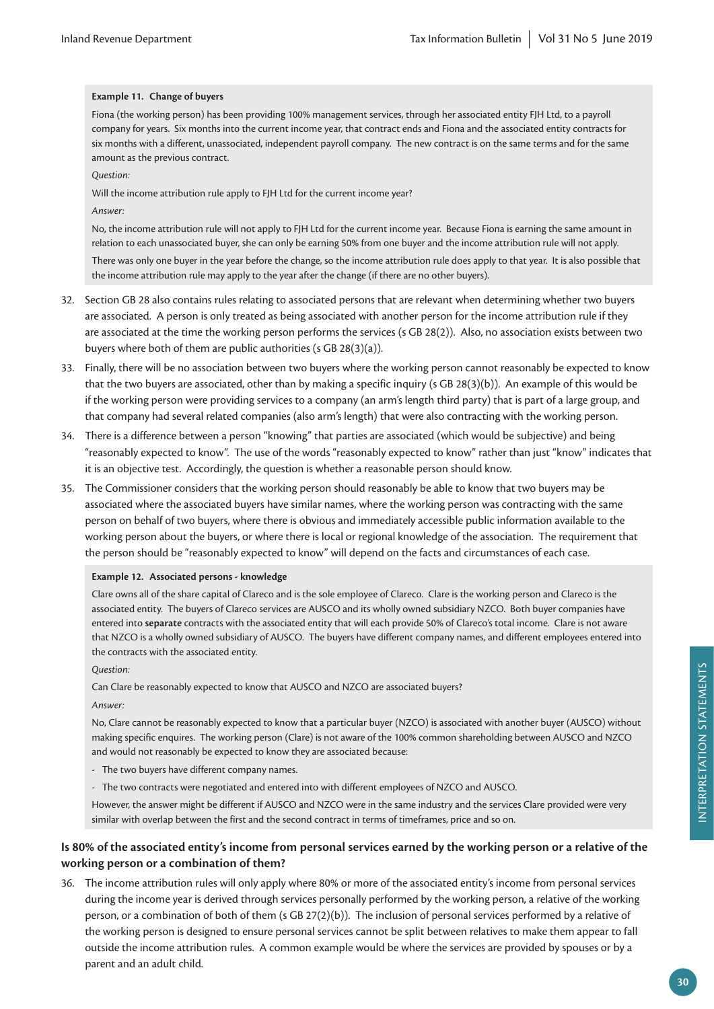#### **Example 11. Change of buyers**

Fiona (the working person) has been providing 100% management services, through her associated entity FJH Ltd, to a payroll company for years. Six months into the current income year, that contract ends and Fiona and the associated entity contracts for six months with a different, unassociated, independent payroll company. The new contract is on the same terms and for the same amount as the previous contract.

*Question:*

Will the income attribution rule apply to FJH Ltd for the current income year?

*Answer:*

No, the income attribution rule will not apply to FJH Ltd for the current income year. Because Fiona is earning the same amount in relation to each unassociated buyer, she can only be earning 50% from one buyer and the income attribution rule will not apply.

There was only one buyer in the year before the change, so the income attribution rule does apply to that year. It is also possible that the income attribution rule may apply to the year after the change (if there are no other buyers).

- 32. Section GB 28 also contains rules relating to associated persons that are relevant when determining whether two buyers are associated. A person is only treated as being associated with another person for the income attribution rule if they are associated at the time the working person performs the services (s GB 28(2)). Also, no association exists between two buyers where both of them are public authorities (s GB 28(3)(a)).
- 33. Finally, there will be no association between two buyers where the working person cannot reasonably be expected to know that the two buyers are associated, other than by making a specific inquiry (s GB 28(3)(b)). An example of this would be if the working person were providing services to a company (an arm's length third party) that is part of a large group, and that company had several related companies (also arm's length) that were also contracting with the working person.
- 34. There is a difference between a person "knowing" that parties are associated (which would be subjective) and being "reasonably expected to know". The use of the words "reasonably expected to know" rather than just "know" indicates that it is an objective test. Accordingly, the question is whether a reasonable person should know.
- 35. The Commissioner considers that the working person should reasonably be able to know that two buyers may be associated where the associated buyers have similar names, where the working person was contracting with the same person on behalf of two buyers, where there is obvious and immediately accessible public information available to the working person about the buyers, or where there is local or regional knowledge of the association. The requirement that the person should be "reasonably expected to know" will depend on the facts and circumstances of each case.

#### **Example 12. Associated persons - knowledge**

Clare owns all of the share capital of Clareco and is the sole employee of Clareco. Clare is the working person and Clareco is the associated entity. The buyers of Clareco services are AUSCO and its wholly owned subsidiary NZCO. Both buyer companies have entered into **separate** contracts with the associated entity that will each provide 50% of Clareco's total income. Clare is not aware that NZCO is a wholly owned subsidiary of AUSCO. The buyers have different company names, and different employees entered into the contracts with the associated entity.

#### *Question:*

Can Clare be reasonably expected to know that AUSCO and NZCO are associated buyers?

*Answer:*

No, Clare cannot be reasonably expected to know that a particular buyer (NZCO) is associated with another buyer (AUSCO) without making specific enquires. The working person (Clare) is not aware of the 100% common shareholding between AUSCO and NZCO and would not reasonably be expected to know they are associated because:

- The two buyers have different company names.
- The two contracts were negotiated and entered into with different employees of NZCO and AUSCO.

However, the answer might be different if AUSCO and NZCO were in the same industry and the services Clare provided were very similar with overlap between the first and the second contract in terms of timeframes, price and so on.

# **Is 80% of the associated entity's income from personal services earned by the working person or a relative of the working person or a combination of them?**

36. The income attribution rules will only apply where 80% or more of the associated entity's income from personal services during the income year is derived through services personally performed by the working person, a relative of the working person, or a combination of both of them (s GB 27(2)(b)). The inclusion of personal services performed by a relative of the working person is designed to ensure personal services cannot be split between relatives to make them appear to fall outside the income attribution rules. A common example would be where the services are provided by spouses or by a parent and an adult child.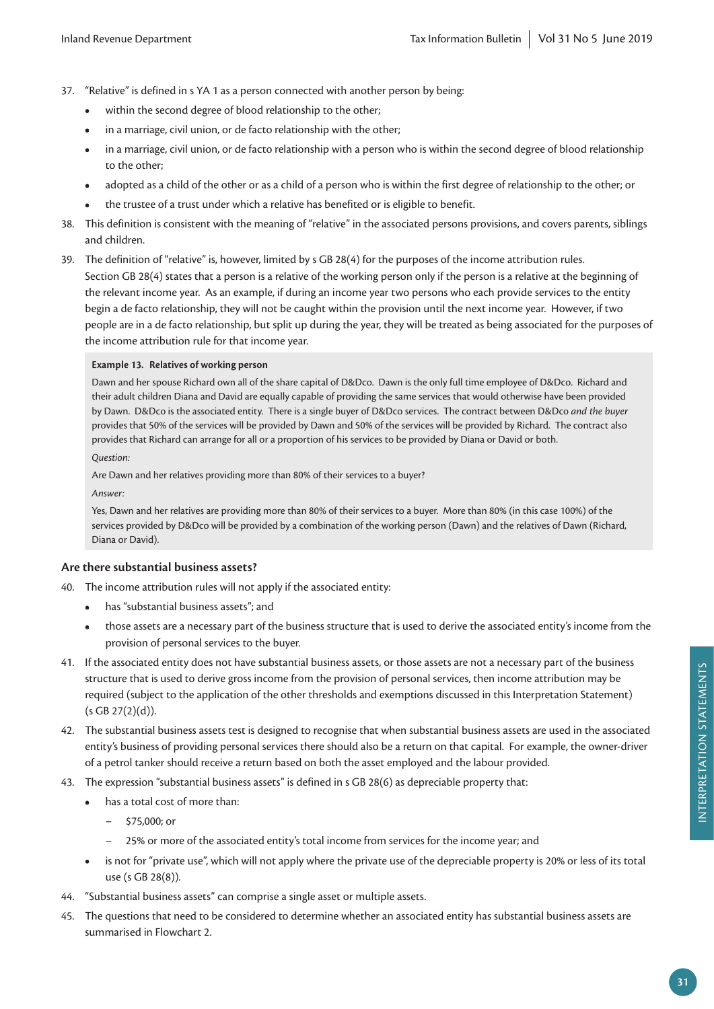- 37. "Relative" is defined in s YA 1 as a person connected with another person by being:
	- **•** within the second degree of blood relationship to the other;
	- **•** in a marriage, civil union, or de facto relationship with the other;
	- **•** in a marriage, civil union, or de facto relationship with a person who is within the second degree of blood relationship to the other;
	- **•** adopted as a child of the other or as a child of a person who is within the first degree of relationship to the other; or
	- **•** the trustee of a trust under which a relative has benefited or is eligible to benefit.
- 38. This definition is consistent with the meaning of "relative" in the associated persons provisions, and covers parents, siblings and children.
- 39. The definition of "relative" is, however, limited by s GB 28(4) for the purposes of the income attribution rules. Section GB 28(4) states that a person is a relative of the working person only if the person is a relative at the beginning of the relevant income year. As an example, if during an income year two persons who each provide services to the entity begin a de facto relationship, they will not be caught within the provision until the next income year. However, if two people are in a de facto relationship, but split up during the year, they will be treated as being associated for the purposes of the income attribution rule for that income year.

#### **Example 13. Relatives of working person**

Dawn and her spouse Richard own all of the share capital of D&Dco. Dawn is the only full time employee of D&Dco. Richard and their adult children Diana and David are equally capable of providing the same services that would otherwise have been provided by Dawn. D&Dco is the associated entity. There is a single buyer of D&Dco services. The contract between D&Dco *and the buyer* provides that 50% of the services will be provided by Dawn and 50% of the services will be provided by Richard. The contract also provides that Richard can arrange for all or a proportion of his services to be provided by Diana or David or both.

*Question:*

Are Dawn and her relatives providing more than 80% of their services to a buyer?

*Answer:*

Yes, Dawn and her relatives are providing more than 80% of their services to a buyer. More than 80% (in this case 100%) of the services provided by D&Dco will be provided by a combination of the working person (Dawn) and the relatives of Dawn (Richard, Diana or David).

#### **Are there substantial business assets?**

40. The income attribution rules will not apply if the associated entity:

- **•** has "substantial business assets"; and
- **•** those assets are a necessary part of the business structure that is used to derive the associated entity's income from the provision of personal services to the buyer.
- 41. If the associated entity does not have substantial business assets, or those assets are not a necessary part of the business structure that is used to derive gross income from the provision of personal services, then income attribution may be required (subject to the application of the other thresholds and exemptions discussed in this Interpretation Statement)  $(s GB 27(2)(d)).$
- 42. The substantial business assets test is designed to recognise that when substantial business assets are used in the associated entity's business of providing personal services there should also be a return on that capital. For example, the owner-driver of a petrol tanker should receive a return based on both the asset employed and the labour provided.
- 43. The expression "substantial business assets" is defined in s GB 28(6) as depreciable property that:
	- **•** has a total cost of more than:
		- \$75,000; or
		- 25% or more of the associated entity's total income from services for the income year; and
	- **•** is not for "private use", which will not apply where the private use of the depreciable property is 20% or less of its total use (s GB 28(8)).
- 44. "Substantial business assets" can comprise a single asset or multiple assets.
- 45. The questions that need to be considered to determine whether an associated entity has substantial business assets are summarised in Flowchart 2.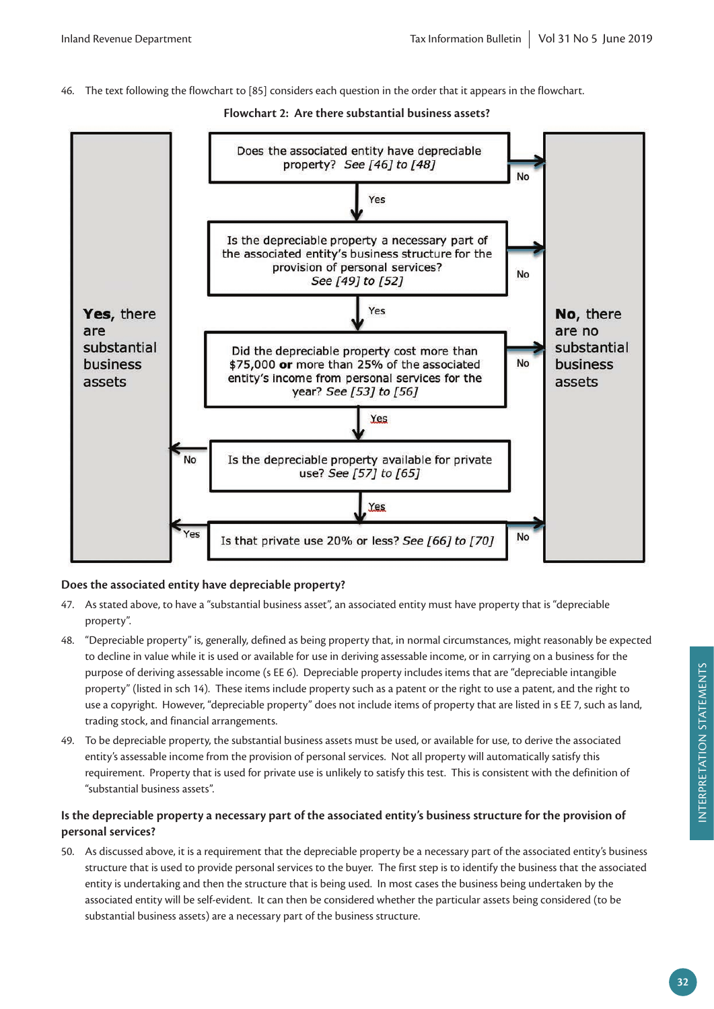46. The text following the flowchart to [85] considers each question in the order that it appears in the flowchart.



# **Flowchart 2: Are there substantial business assets?**

# **Does the associated entity have depreciable property?**

- 47. As stated above, to have a "substantial business asset", an associated entity must have property that is "depreciable property".
- 48. "Depreciable property" is, generally, defined as being property that, in normal circumstances, might reasonably be expected to decline in value while it is used or available for use in deriving assessable income, or in carrying on a business for the purpose of deriving assessable income (s EE 6). Depreciable property includes items that are "depreciable intangible property" (listed in sch 14). These items include property such as a patent or the right to use a patent, and the right to use a copyright. However, "depreciable property" does not include items of property that are listed in s EE 7, such as land, trading stock, and financial arrangements.
- 49. To be depreciable property, the substantial business assets must be used, or available for use, to derive the associated entity's assessable income from the provision of personal services. Not all property will automatically satisfy this requirement. Property that is used for private use is unlikely to satisfy this test. This is consistent with the definition of "substantial business assets".

# **Is the depreciable property a necessary part of the associated entity's business structure for the provision of personal services?**

50. As discussed above, it is a requirement that the depreciable property be a necessary part of the associated entity's business structure that is used to provide personal services to the buyer. The first step is to identify the business that the associated entity is undertaking and then the structure that is being used. In most cases the business being undertaken by the associated entity will be self-evident. It can then be considered whether the particular assets being considered (to be substantial business assets) are a necessary part of the business structure.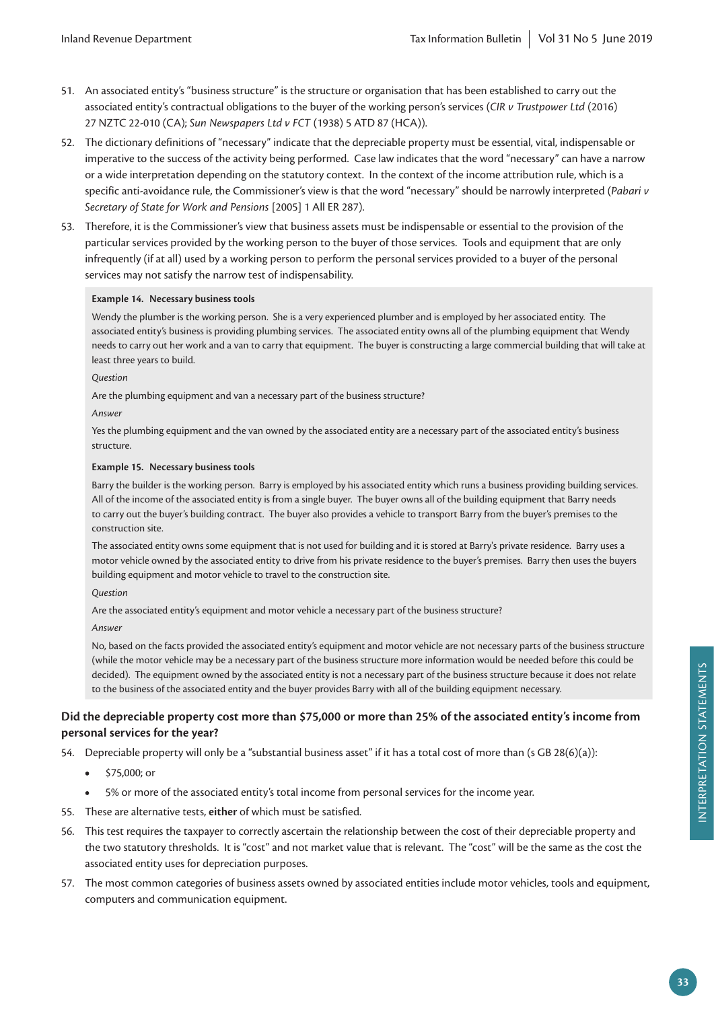- 51. An associated entity's "business structure" is the structure or organisation that has been established to carry out the associated entity's contractual obligations to the buyer of the working person's services (*CIR v Trustpower Ltd* (2016) 27 NZTC 22-010 (CA); *Sun Newspapers Ltd v FCT* (1938) 5 ATD 87 (HCA)).
- 52. The dictionary definitions of "necessary" indicate that the depreciable property must be essential, vital, indispensable or imperative to the success of the activity being performed. Case law indicates that the word "necessary" can have a narrow or a wide interpretation depending on the statutory context. In the context of the income attribution rule, which is a specific anti-avoidance rule, the Commissioner's view is that the word "necessary" should be narrowly interpreted (*Pabari v Secretary of State for Work and Pensions* [2005] 1 All ER 287).
- 53. Therefore, it is the Commissioner's view that business assets must be indispensable or essential to the provision of the particular services provided by the working person to the buyer of those services. Tools and equipment that are only infrequently (if at all) used by a working person to perform the personal services provided to a buyer of the personal services may not satisfy the narrow test of indispensability.

#### **Example 14. Necessary business tools**

Wendy the plumber is the working person. She is a very experienced plumber and is employed by her associated entity. The associated entity's business is providing plumbing services. The associated entity owns all of the plumbing equipment that Wendy needs to carry out her work and a van to carry that equipment. The buyer is constructing a large commercial building that will take at least three years to build.

*Question*

Are the plumbing equipment and van a necessary part of the business structure?

*Answer*

Yes the plumbing equipment and the van owned by the associated entity are a necessary part of the associated entity's business structure.

#### **Example 15. Necessary business tools**

Barry the builder is the working person. Barry is employed by his associated entity which runs a business providing building services. All of the income of the associated entity is from a single buyer. The buyer owns all of the building equipment that Barry needs to carry out the buyer's building contract. The buyer also provides a vehicle to transport Barry from the buyer's premises to the construction site.

The associated entity owns some equipment that is not used for building and it is stored at Barry's private residence. Barry uses a motor vehicle owned by the associated entity to drive from his private residence to the buyer's premises. Barry then uses the buyers building equipment and motor vehicle to travel to the construction site.

*Question*

Are the associated entity's equipment and motor vehicle a necessary part of the business structure?

*Answer*

No, based on the facts provided the associated entity's equipment and motor vehicle are not necessary parts of the business structure (while the motor vehicle may be a necessary part of the business structure more information would be needed before this could be decided). The equipment owned by the associated entity is not a necessary part of the business structure because it does not relate to the business of the associated entity and the buyer provides Barry with all of the building equipment necessary.

## **Did the depreciable property cost more than \$75,000 or more than 25% of the associated entity's income from personal services for the year?**

54. Depreciable property will only be a "substantial business asset" if it has a total cost of more than (s GB 28(6)(a)):

- **•** \$75,000; or
- **•** 5% or more of the associated entity's total income from personal services for the income year.
- 55. These are alternative tests, **either** of which must be satisfied.
- 56. This test requires the taxpayer to correctly ascertain the relationship between the cost of their depreciable property and the two statutory thresholds. It is "cost" and not market value that is relevant. The "cost" will be the same as the cost the associated entity uses for depreciation purposes.
- 57. The most common categories of business assets owned by associated entities include motor vehicles, tools and equipment, computers and communication equipment.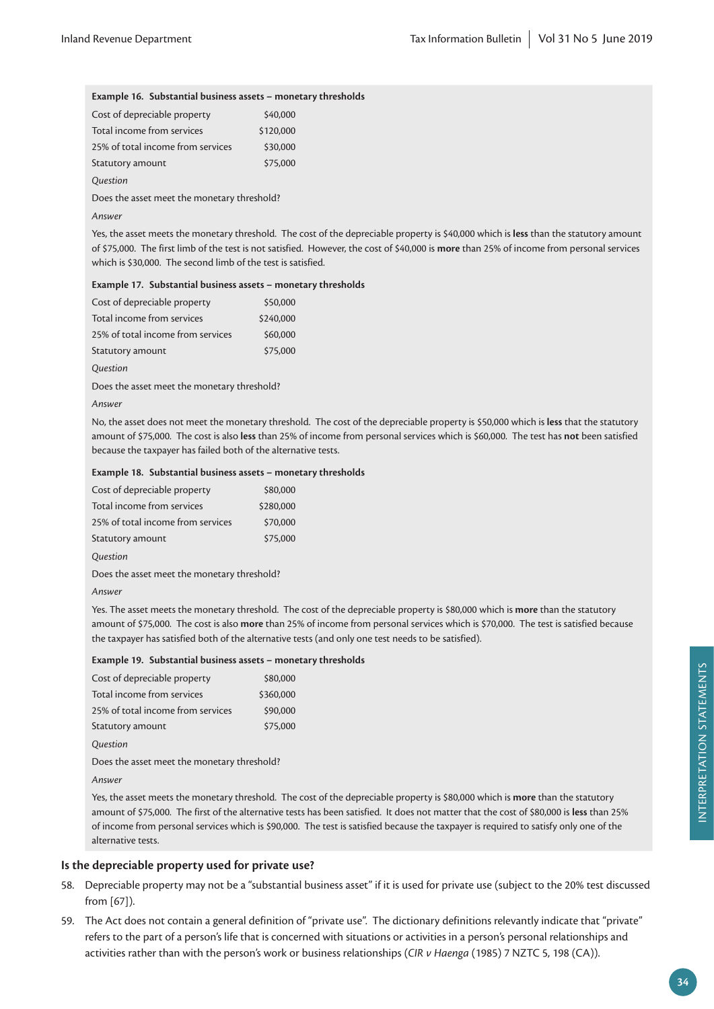#### **Example 16. Substantial business assets – monetary thresholds**

| Cost of depreciable property      | \$40,000  |
|-----------------------------------|-----------|
| Total income from services        | \$120,000 |
| 25% of total income from services | \$30,000  |
| Statutory amount                  | \$75,000  |
| Question                          |           |

Does the asset meet the monetary threshold?

#### *Answer*

Yes, the asset meets the monetary threshold. The cost of the depreciable property is \$40,000 which is **less** than the statutory amount of \$75,000. The first limb of the test is not satisfied. However, the cost of \$40,000 is **more** than 25% of income from personal services which is \$30,000. The second limb of the test is satisfied.

#### **Example 17. Substantial business assets – monetary thresholds**

| Cost of depreciable property      | \$50,000  |
|-----------------------------------|-----------|
| Total income from services        | \$240,000 |
| 25% of total income from services | \$60,000  |
| Statutory amount                  | \$75,000  |

*Question*

Does the asset meet the monetary threshold?

#### *Answer*

No, the asset does not meet the monetary threshold. The cost of the depreciable property is \$50,000 which is **less** that the statutory amount of \$75,000. The cost is also **less** than 25% of income from personal services which is \$60,000. The test has **not** been satisfied because the taxpayer has failed both of the alternative tests.

#### **Example 18. Substantial business assets – monetary thresholds**

| Cost of depreciable property      | \$80,000  |
|-----------------------------------|-----------|
| Total income from services        | \$280,000 |
| 25% of total income from services | \$70,000  |
| Statutory amount                  | \$75,000  |

*Question*

Does the asset meet the monetary threshold?

#### *Answer*

Yes. The asset meets the monetary threshold. The cost of the depreciable property is \$80,000 which is **more** than the statutory amount of \$75,000. The cost is also **more** than 25% of income from personal services which is \$70,000. The test is satisfied because the taxpayer has satisfied both of the alternative tests (and only one test needs to be satisfied).

#### **Example 19. Substantial business assets – monetary thresholds**

| Cost of depreciable property                | \$80,000  |  |  |  |  |  |  |  |  |
|---------------------------------------------|-----------|--|--|--|--|--|--|--|--|
| Total income from services                  | \$360,000 |  |  |  |  |  |  |  |  |
| 25% of total income from services           | \$90,000  |  |  |  |  |  |  |  |  |
| Statutory amount                            | \$75,000  |  |  |  |  |  |  |  |  |
| Question                                    |           |  |  |  |  |  |  |  |  |
| Does the asset meet the monetary threshold? |           |  |  |  |  |  |  |  |  |
| $A \rightarrow -$                           |           |  |  |  |  |  |  |  |  |

*Answer*

Yes, the asset meets the monetary threshold. The cost of the depreciable property is \$80,000 which is **more** than the statutory amount of \$75,000. The first of the alternative tests has been satisfied. It does not matter that the cost of \$80,000 is **less** than 25% of income from personal services which is \$90,000. The test is satisfied because the taxpayer is required to satisfy only one of the alternative tests.

#### **Is the depreciable property used for private use?**

- 58. Depreciable property may not be a "substantial business asset" if it is used for private use (subject to the 20% test discussed from [67]).
- 59. The Act does not contain a general definition of "private use". The dictionary definitions relevantly indicate that "private" refers to the part of a person's life that is concerned with situations or activities in a person's personal relationships and activities rather than with the person's work or business relationships (*CIR v Haenga* (1985) 7 NZTC 5, 198 (CA)).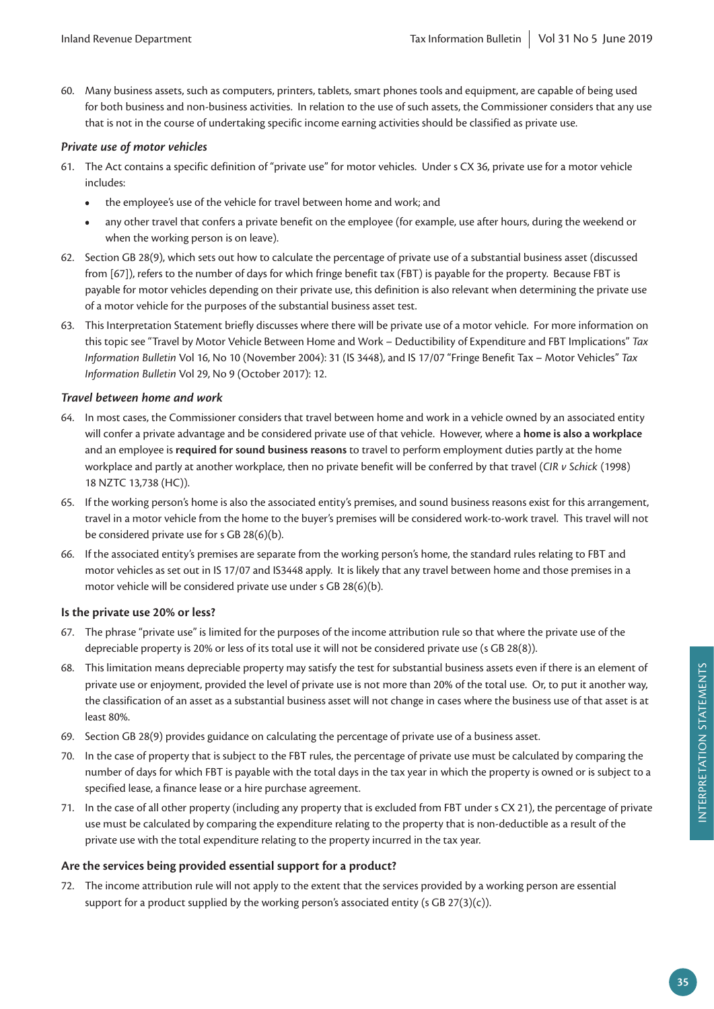60. Many business assets, such as computers, printers, tablets, smart phones tools and equipment, are capable of being used for both business and non-business activities. In relation to the use of such assets, the Commissioner considers that any use that is not in the course of undertaking specific income earning activities should be classified as private use.

## *Private use of motor vehicles*

- 61. The Act contains a specific definition of "private use" for motor vehicles. Under s CX 36, private use for a motor vehicle includes:
	- **•** the employee's use of the vehicle for travel between home and work; and
	- **•** any other travel that confers a private benefit on the employee (for example, use after hours, during the weekend or when the working person is on leave).
- 62. Section GB 28(9), which sets out how to calculate the percentage of private use of a substantial business asset (discussed from [67]), refers to the number of days for which fringe benefit tax (FBT) is payable for the property. Because FBT is payable for motor vehicles depending on their private use, this definition is also relevant when determining the private use of a motor vehicle for the purposes of the substantial business asset test.
- 63. This Interpretation Statement briefly discusses where there will be private use of a motor vehicle. For more information on this topic see "Travel by Motor Vehicle Between Home and Work – Deductibility of Expenditure and FBT Implications" *Tax Information Bulletin* Vol 16, No 10 (November 2004): 31 (IS 3448), and IS 17/07 "Fringe Benefit Tax – Motor Vehicles" *Tax Information Bulletin* Vol 29, No 9 (October 2017): 12.

## *Travel between home and work*

- 64. In most cases, the Commissioner considers that travel between home and work in a vehicle owned by an associated entity will confer a private advantage and be considered private use of that vehicle. However, where a **home is also a workplace** and an employee is **required for sound business reasons** to travel to perform employment duties partly at the home workplace and partly at another workplace, then no private benefit will be conferred by that travel (*CIR v Schick* (1998) 18 NZTC 13,738 (HC)).
- 65. If the working person's home is also the associated entity's premises, and sound business reasons exist for this arrangement, travel in a motor vehicle from the home to the buyer's premises will be considered work-to-work travel. This travel will not be considered private use for s GB 28(6)(b).
- 66. If the associated entity's premises are separate from the working person's home, the standard rules relating to FBT and motor vehicles as set out in IS 17/07 and IS3448 apply. It is likely that any travel between home and those premises in a motor vehicle will be considered private use under s GB 28(6)(b).

# **Is the private use 20% or less?**

- 67. The phrase "private use" is limited for the purposes of the income attribution rule so that where the private use of the depreciable property is 20% or less of its total use it will not be considered private use (s GB 28(8)).
- 68. This limitation means depreciable property may satisfy the test for substantial business assets even if there is an element of private use or enjoyment, provided the level of private use is not more than 20% of the total use. Or, to put it another way, the classification of an asset as a substantial business asset will not change in cases where the business use of that asset is at least 80%.
- 69. Section GB 28(9) provides guidance on calculating the percentage of private use of a business asset.
- 70. In the case of property that is subject to the FBT rules, the percentage of private use must be calculated by comparing the number of days for which FBT is payable with the total days in the tax year in which the property is owned or is subject to a specified lease, a finance lease or a hire purchase agreement.
- 71. In the case of all other property (including any property that is excluded from FBT under s CX 21), the percentage of private use must be calculated by comparing the expenditure relating to the property that is non-deductible as a result of the private use with the total expenditure relating to the property incurred in the tax year.

# **Are the services being provided essential support for a product?**

72. The income attribution rule will not apply to the extent that the services provided by a working person are essential support for a product supplied by the working person's associated entity (s GB  $27(3)(c)$ ).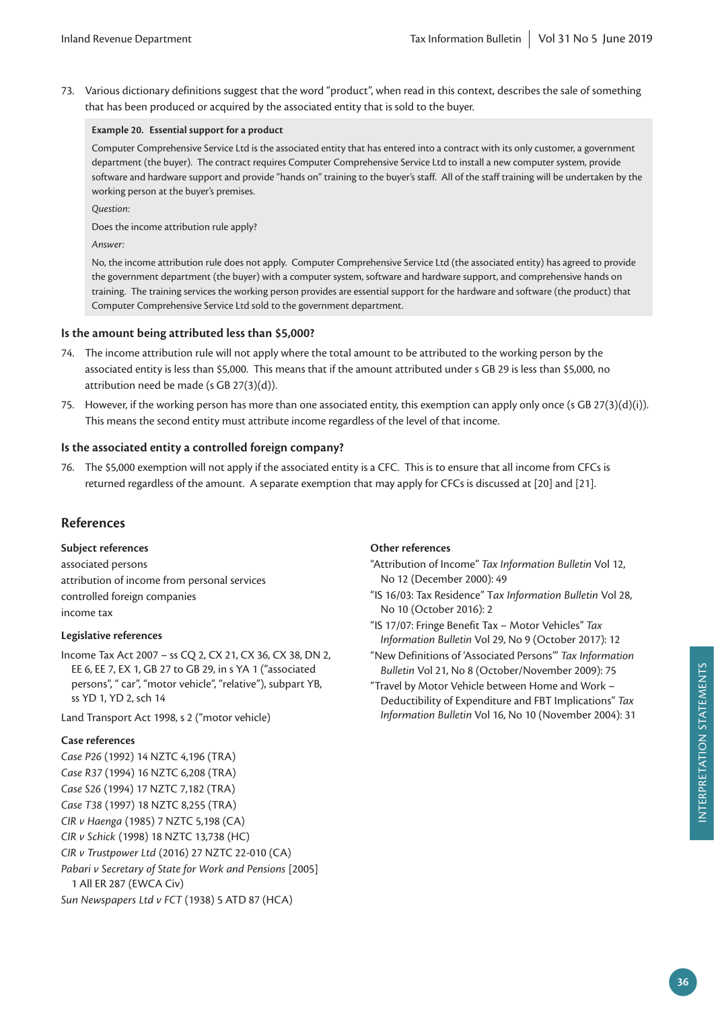73. Various dictionary definitions suggest that the word "product", when read in this context, describes the sale of something that has been produced or acquired by the associated entity that is sold to the buyer.

#### **Example 20. Essential support for a product**

Computer Comprehensive Service Ltd is the associated entity that has entered into a contract with its only customer, a government department (the buyer). The contract requires Computer Comprehensive Service Ltd to install a new computer system, provide software and hardware support and provide "hands on" training to the buyer's staff. All of the staff training will be undertaken by the working person at the buyer's premises.

*Question:*

Does the income attribution rule apply?

*Answer:*

No, the income attribution rule does not apply. Computer Comprehensive Service Ltd (the associated entity) has agreed to provide the government department (the buyer) with a computer system, software and hardware support, and comprehensive hands on training. The training services the working person provides are essential support for the hardware and software (the product) that Computer Comprehensive Service Ltd sold to the government department.

# **Is the amount being attributed less than \$5,000?**

- 74. The income attribution rule will not apply where the total amount to be attributed to the working person by the associated entity is less than \$5,000. This means that if the amount attributed under s GB 29 is less than \$5,000, no attribution need be made (s GB 27(3)(d)).
- 75. However, if the working person has more than one associated entity, this exemption can apply only once (s GB 27(3)(d)(i)). This means the second entity must attribute income regardless of the level of that income.

## **Is the associated entity a controlled foreign company?**

76. The \$5,000 exemption will not apply if the associated entity is a CFC. This is to ensure that all income from CFCs is returned regardless of the amount. A separate exemption that may apply for CFCs is discussed at [20] and [21].

# **References**

**Subject references**

associated persons attribution of income from personal services controlled foreign companies income tax

#### **Legislative references**

Income Tax Act 2007 – ss CQ 2, CX 21, CX 36, CX 38, DN 2, EE 6, EE 7, EX 1, GB 27 to GB 29, in s YA 1 ("associated persons", " car", "motor vehicle", "relative"), subpart YB, ss YD 1, YD 2, sch 14

Land Transport Act 1998, s 2 ("motor vehicle)

#### **Case references**

*Case P26* (1992) 14 NZTC 4,196 (TRA) *Case R37* (1994) 16 NZTC 6,208 (TRA) *Case S26* (1994) 17 NZTC 7,182 (TRA) *Case T38* (1997) 18 NZTC 8,255 (TRA) *CIR v Haenga* (1985) 7 NZTC 5,198 (CA) *CIR v Schick* (1998) 18 NZTC 13,738 (HC) *CIR v Trustpower Ltd* (2016) 27 NZTC 22-010 (CA) *Pabari v Secretary of State for Work and Pensions* [2005] 1 All ER 287 (EWCA Civ) *Sun Newspapers Ltd v FCT* (1938) 5 ATD 87 (HCA)

# **Other references**

- "Attribution of Income" *Tax Information Bulletin* Vol 12, No 12 (December 2000): 49
- "IS 16/03: Tax Residence" T*ax Information Bulletin* Vol 28, No 10 (October 2016): 2
- "IS 17/07: Fringe Benefit Tax Motor Vehicles" *Tax Information Bulletin* Vol 29, No 9 (October 2017): 12
- "New Definitions of 'Associated Persons'" *Tax Information Bulletin* Vol 21, No 8 (October/November 2009): 75
- "Travel by Motor Vehicle between Home and Work Deductibility of Expenditure and FBT Implications" *Tax Information Bulletin* Vol 16, No 10 (November 2004): 31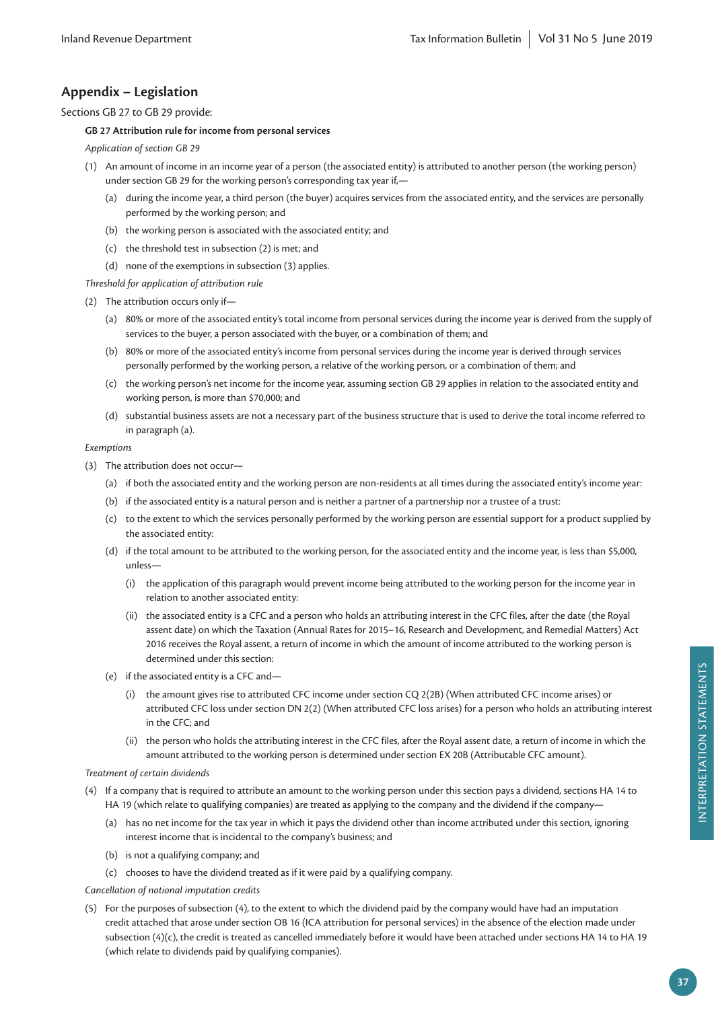# **Appendix – Legislation**

Sections GB 27 to GB 29 provide:

#### **GB 27 Attribution rule for income from personal services**

*Application of section GB 29*

- (1) An amount of income in an income year of a person (the associated entity) is attributed to another person (the working person) under section GB 29 for the working person's corresponding tax year if,—
	- (a) during the income year, a third person (the buyer) acquires services from the associated entity, and the services are personally performed by the working person; and
	- (b) the working person is associated with the associated entity; and
	- (c) the threshold test in subsection (2) is met; and
	- (d) none of the exemptions in subsection (3) applies.

*Threshold for application of attribution rule*

(2) The attribution occurs only if—

- (a) 80% or more of the associated entity's total income from personal services during the income year is derived from the supply of services to the buyer, a person associated with the buyer, or a combination of them; and
- (b) 80% or more of the associated entity's income from personal services during the income year is derived through services personally performed by the working person, a relative of the working person, or a combination of them; and
- (c) the working person's net income for the income year, assuming section GB 29 applies in relation to the associated entity and working person, is more than \$70,000; and
- (d) substantial business assets are not a necessary part of the business structure that is used to derive the total income referred to in paragraph (a).

#### *Exemptions*

- (3) The attribution does not occur—
	- (a) if both the associated entity and the working person are non-residents at all times during the associated entity's income year:
	- (b) if the associated entity is a natural person and is neither a partner of a partnership nor a trustee of a trust:
	- (c) to the extent to which the services personally performed by the working person are essential support for a product supplied by the associated entity:
	- (d) if the total amount to be attributed to the working person, for the associated entity and the income year, is less than \$5,000, unless—
		- (i) the application of this paragraph would prevent income being attributed to the working person for the income year in relation to another associated entity:
		- (ii) the associated entity is a CFC and a person who holds an attributing interest in the CFC files, after the date (the Royal assent date) on which the Taxation (Annual Rates for 2015–16, Research and Development, and Remedial Matters) Act 2016 receives the Royal assent, a return of income in which the amount of income attributed to the working person is determined under this section:
	- (e) if the associated entity is a CFC and—
		- (i) the amount gives rise to attributed CFC income under section CQ 2(2B) (When attributed CFC income arises) or attributed CFC loss under section DN 2(2) (When attributed CFC loss arises) for a person who holds an attributing interest in the CFC; and
		- (ii) the person who holds the attributing interest in the CFC files, after the Royal assent date, a return of income in which the amount attributed to the working person is determined under section EX 20B (Attributable CFC amount).

#### *Treatment of certain dividends*

- (4) If a company that is required to attribute an amount to the working person under this section pays a dividend, sections HA 14 to HA 19 (which relate to qualifying companies) are treated as applying to the company and the dividend if the company-
	- (a) has no net income for the tax year in which it pays the dividend other than income attributed under this section, ignoring interest income that is incidental to the company's business; and
	- (b) is not a qualifying company; and
	- (c) chooses to have the dividend treated as if it were paid by a qualifying company.

*Cancellation of notional imputation credits*

(5) For the purposes of subsection (4), to the extent to which the dividend paid by the company would have had an imputation credit attached that arose under section OB 16 (ICA attribution for personal services) in the absence of the election made under subsection (4)(c), the credit is treated as cancelled immediately before it would have been attached under sections HA 14 to HA 19 (which relate to dividends paid by qualifying companies).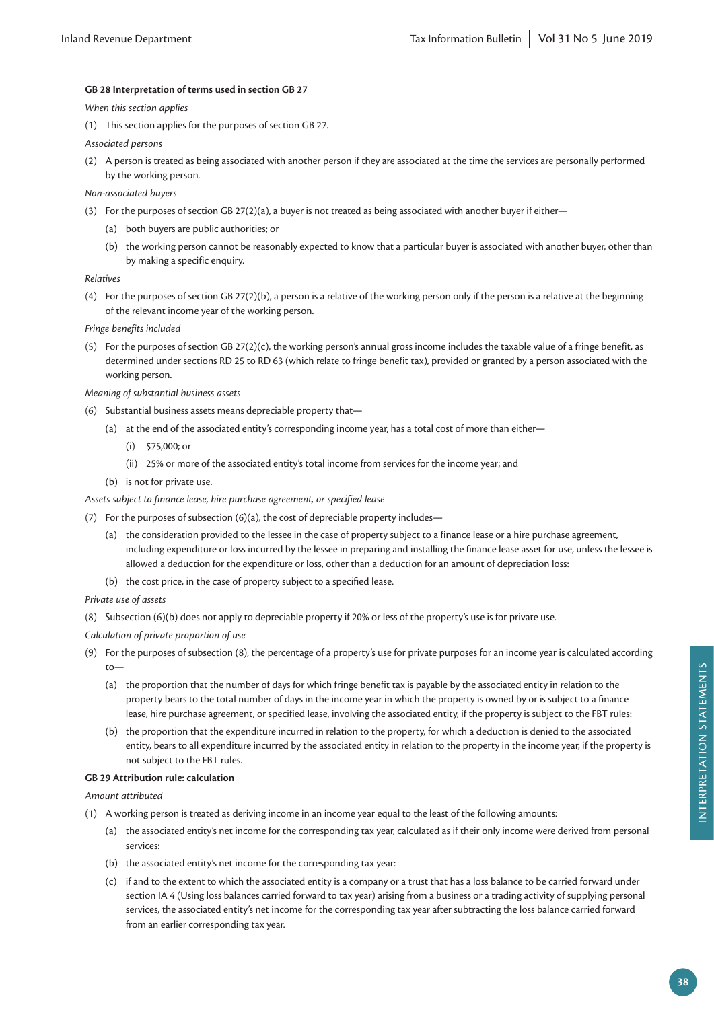#### **GB 28 Interpretation of terms used in section GB 27**

*When this section applies*

- (1) This section applies for the purposes of section GB 27.
- *Associated persons*
- (2) A person is treated as being associated with another person if they are associated at the time the services are personally performed by the working person.
- *Non-associated buyers*
- (3) For the purposes of section GB 27(2)(a), a buyer is not treated as being associated with another buyer if either—
	- (a) both buyers are public authorities; or
	- (b) the working person cannot be reasonably expected to know that a particular buyer is associated with another buyer, other than by making a specific enquiry.

#### *Relatives*

(4) For the purposes of section GB 27(2)(b), a person is a relative of the working person only if the person is a relative at the beginning of the relevant income year of the working person.

*Fringe benefits included*

(5) For the purposes of section GB 27(2)(c), the working person's annual gross income includes the taxable value of a fringe benefit, as determined under sections RD 25 to RD 63 (which relate to fringe benefit tax), provided or granted by a person associated with the working person.

*Meaning of substantial business assets*

- (6) Substantial business assets means depreciable property that—
	- (a) at the end of the associated entity's corresponding income year, has a total cost of more than either—
		- (i) \$75,000; or
		- (ii) 25% or more of the associated entity's total income from services for the income year; and
	- (b) is not for private use.

#### *Assets subject to finance lease, hire purchase agreement, or specified lease*

- (7) For the purposes of subsection (6)(a), the cost of depreciable property includes—
	- (a) the consideration provided to the lessee in the case of property subject to a finance lease or a hire purchase agreement, including expenditure or loss incurred by the lessee in preparing and installing the finance lease asset for use, unless the lessee is allowed a deduction for the expenditure or loss, other than a deduction for an amount of depreciation loss:
	- (b) the cost price, in the case of property subject to a specified lease.

#### *Private use of assets*

- (8) Subsection (6)(b) does not apply to depreciable property if 20% or less of the property's use is for private use.
- *Calculation of private proportion of use*
- (9) For the purposes of subsection (8), the percentage of a property's use for private purposes for an income year is calculated according  $t_0$ —
	- (a) the proportion that the number of days for which fringe benefit tax is payable by the associated entity in relation to the property bears to the total number of days in the income year in which the property is owned by or is subject to a finance lease, hire purchase agreement, or specified lease, involving the associated entity, if the property is subject to the FBT rules:
	- (b) the proportion that the expenditure incurred in relation to the property, for which a deduction is denied to the associated entity, bears to all expenditure incurred by the associated entity in relation to the property in the income year, if the property is not subject to the FBT rules.

#### **GB 29 Attribution rule: calculation**

*Amount attributed*

- (1) A working person is treated as deriving income in an income year equal to the least of the following amounts:
	- (a) the associated entity's net income for the corresponding tax year, calculated as if their only income were derived from personal services:
	- (b) the associated entity's net income for the corresponding tax year:
	- (c) if and to the extent to which the associated entity is a company or a trust that has a loss balance to be carried forward under section IA 4 (Using loss balances carried forward to tax year) arising from a business or a trading activity of supplying personal services, the associated entity's net income for the corresponding tax year after subtracting the loss balance carried forward from an earlier corresponding tax year.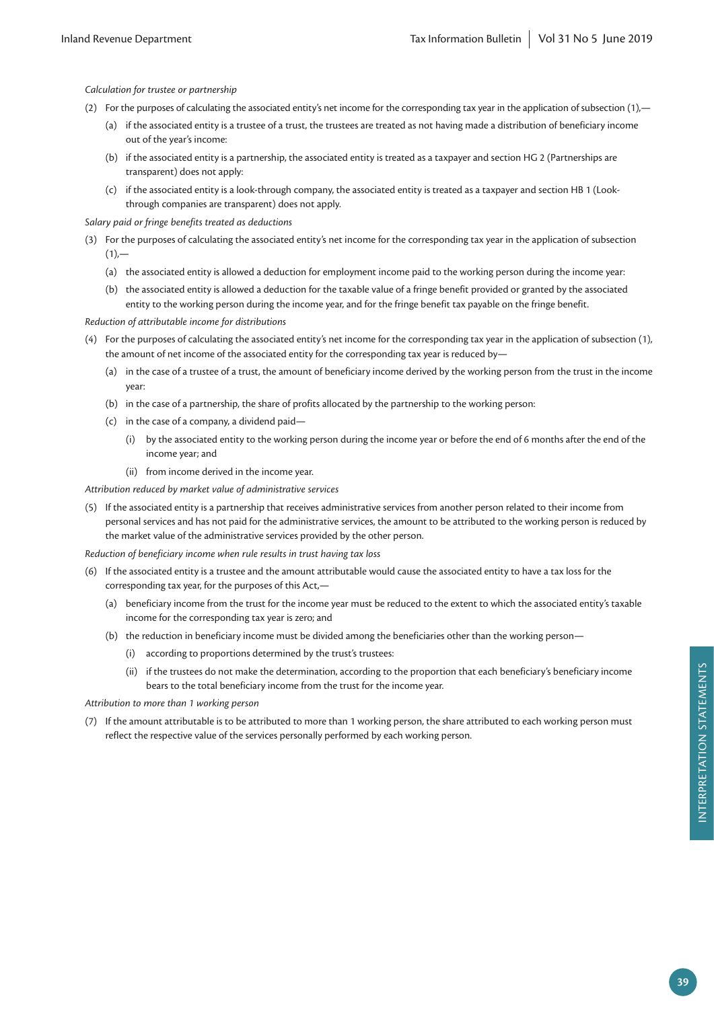*Calculation for trustee or partnership*

- (2) For the purposes of calculating the associated entity's net income for the corresponding tax year in the application of subsection (1),—
	- (a) if the associated entity is a trustee of a trust, the trustees are treated as not having made a distribution of beneficiary income out of the year's income:
	- (b) if the associated entity is a partnership, the associated entity is treated as a taxpayer and section HG 2 (Partnerships are transparent) does not apply:
	- (c) if the associated entity is a look-through company, the associated entity is treated as a taxpayer and section HB 1 (Lookthrough companies are transparent) does not apply.

*Salary paid or fringe benefits treated as deductions*

- (3) For the purposes of calculating the associated entity's net income for the corresponding tax year in the application of subsection  $(1)$ , $-$ 
	- (a) the associated entity is allowed a deduction for employment income paid to the working person during the income year:
	- (b) the associated entity is allowed a deduction for the taxable value of a fringe benefit provided or granted by the associated entity to the working person during the income year, and for the fringe benefit tax payable on the fringe benefit.

*Reduction of attributable income for distributions*

- (4) For the purposes of calculating the associated entity's net income for the corresponding tax year in the application of subsection (1), the amount of net income of the associated entity for the corresponding tax year is reduced by—
	- (a) in the case of a trustee of a trust, the amount of beneficiary income derived by the working person from the trust in the income year:
	- (b) in the case of a partnership, the share of profits allocated by the partnership to the working person:
	- (c) in the case of a company, a dividend paid—
		- (i) by the associated entity to the working person during the income year or before the end of 6 months after the end of the income year; and
		- (ii) from income derived in the income year.

*Attribution reduced by market value of administrative services*

(5) If the associated entity is a partnership that receives administrative services from another person related to their income from personal services and has not paid for the administrative services, the amount to be attributed to the working person is reduced by the market value of the administrative services provided by the other person.

*Reduction of beneficiary income when rule results in trust having tax loss*

- (6) If the associated entity is a trustee and the amount attributable would cause the associated entity to have a tax loss for the corresponding tax year, for the purposes of this Act,—
	- (a) beneficiary income from the trust for the income year must be reduced to the extent to which the associated entity's taxable income for the corresponding tax year is zero; and
	- (b) the reduction in beneficiary income must be divided among the beneficiaries other than the working person—
		- (i) according to proportions determined by the trust's trustees:
		- (ii) if the trustees do not make the determination, according to the proportion that each beneficiary's beneficiary income bears to the total beneficiary income from the trust for the income year.

*Attribution to more than 1 working person*

(7) If the amount attributable is to be attributed to more than 1 working person, the share attributed to each working person must reflect the respective value of the services personally performed by each working person.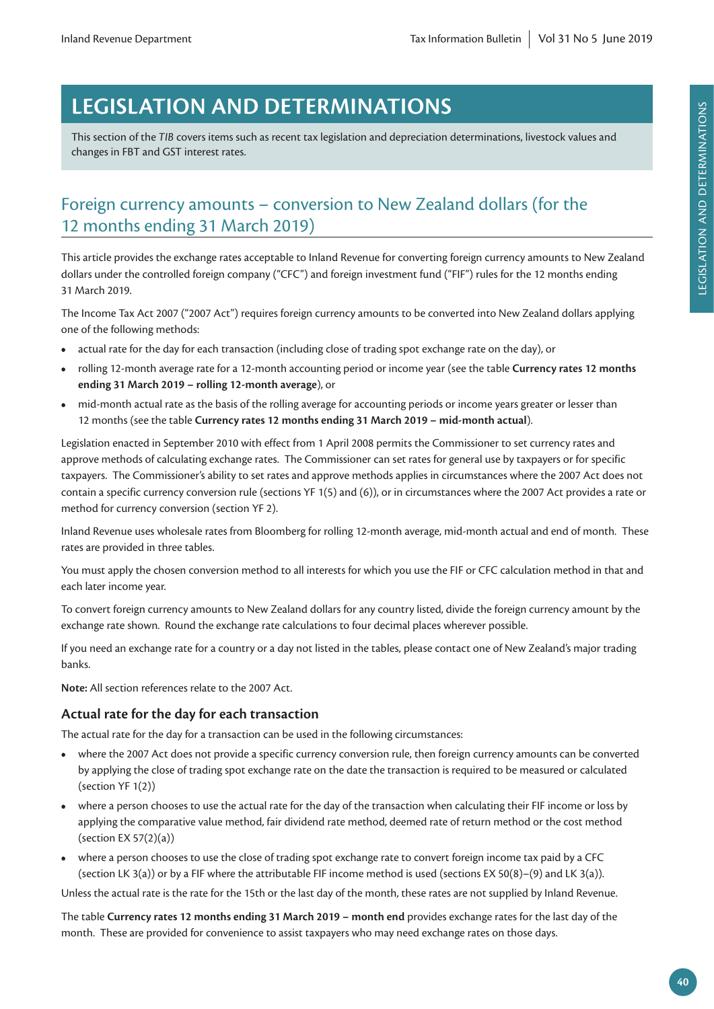# **LEGISLATION AND DETERMINATIONS**

This section of the *TIB* covers items such as recent tax legislation and depreciation determinations, livestock values and changes in FBT and GST interest rates.

# Foreign currency amounts – conversion to New Zealand dollars (for the 12 months ending 31 March 2019)

This article provides the exchange rates acceptable to Inland Revenue for converting foreign currency amounts to New Zealand dollars under the controlled foreign company ("CFC") and foreign investment fund ("FIF") rules for the 12 months ending 31 March 2019.

The Income Tax Act 2007 ("2007 Act") requires foreign currency amounts to be converted into New Zealand dollars applying one of the following methods:

- **•** actual rate for the day for each transaction (including close of trading spot exchange rate on the day), or
- **•** rolling 12-month average rate for a 12-month accounting period or income year (see the table **Currency rates 12 months ending 31 March 2019 – rolling 12-month average**), or
- **•** mid-month actual rate as the basis of the rolling average for accounting periods or income years greater or lesser than 12 months (see the table **Currency rates 12 months ending 31 March 2019 – mid-month actual**).

Legislation enacted in September 2010 with effect from 1 April 2008 permits the Commissioner to set currency rates and approve methods of calculating exchange rates. The Commissioner can set rates for general use by taxpayers or for specific taxpayers. The Commissioner's ability to set rates and approve methods applies in circumstances where the 2007 Act does not contain a specific currency conversion rule (sections YF 1(5) and (6)), or in circumstances where the 2007 Act provides a rate or method for currency conversion (section YF 2).

Inland Revenue uses wholesale rates from Bloomberg for rolling 12-month average, mid-month actual and end of month. These rates are provided in three tables.

You must apply the chosen conversion method to all interests for which you use the FIF or CFC calculation method in that and each later income year.

To convert foreign currency amounts to New Zealand dollars for any country listed, divide the foreign currency amount by the exchange rate shown. Round the exchange rate calculations to four decimal places wherever possible.

If you need an exchange rate for a country or a day not listed in the tables, please contact one of New Zealand's major trading banks.

**Note:** All section references relate to the 2007 Act.

# **Actual rate for the day for each transaction**

The actual rate for the day for a transaction can be used in the following circumstances:

- **•** where the 2007 Act does not provide a specific currency conversion rule, then foreign currency amounts can be converted by applying the close of trading spot exchange rate on the date the transaction is required to be measured or calculated (section YF 1(2))
- **•** where a person chooses to use the actual rate for the day of the transaction when calculating their FIF income or loss by applying the comparative value method, fair dividend rate method, deemed rate of return method or the cost method (section EX 57(2)(a))
- **•** where a person chooses to use the close of trading spot exchange rate to convert foreign income tax paid by a CFC (section LK 3(a)) or by a FIF where the attributable FIF income method is used (sections EX 50(8)–(9) and LK 3(a)).

Unless the actual rate is the rate for the 15th or the last day of the month, these rates are not supplied by Inland Revenue.

The table **Currency rates 12 months ending 31 March 2019 – month end** provides exchange rates for the last day of the month. These are provided for convenience to assist taxpayers who may need exchange rates on those days.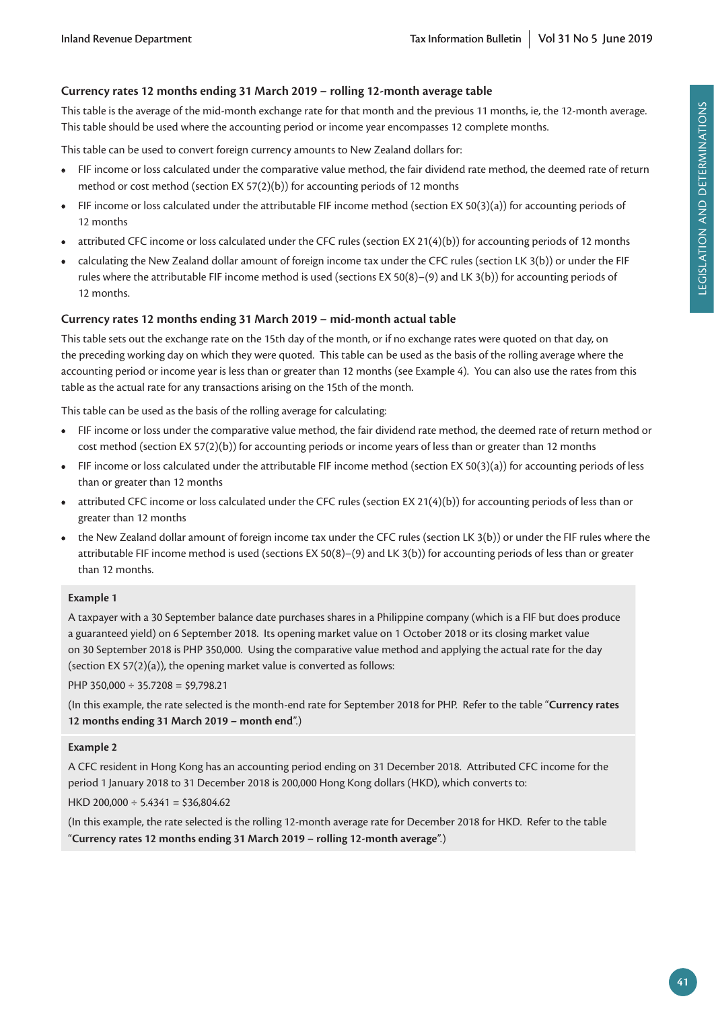# **Currency rates 12 months ending 31 March 2019 – rolling 12-month average table**

This table is the average of the mid-month exchange rate for that month and the previous 11 months, ie, the 12-month average. This table should be used where the accounting period or income year encompasses 12 complete months.

This table can be used to convert foreign currency amounts to New Zealand dollars for:

- **•** FIF income or loss calculated under the comparative value method, the fair dividend rate method, the deemed rate of return method or cost method (section EX 57(2)(b)) for accounting periods of 12 months
- **•** FIF income or loss calculated under the attributable FIF income method (section EX 50(3)(a)) for accounting periods of 12 months
- **•** attributed CFC income or loss calculated under the CFC rules (section EX 21(4)(b)) for accounting periods of 12 months
- **•** calculating the New Zealand dollar amount of foreign income tax under the CFC rules (section LK 3(b)) or under the FIF rules where the attributable FIF income method is used (sections EX 50(8)–(9) and LK 3(b)) for accounting periods of 12 months.

# **Currency rates 12 months ending 31 March 2019 – mid-month actual table**

This table sets out the exchange rate on the 15th day of the month, or if no exchange rates were quoted on that day, on the preceding working day on which they were quoted. This table can be used as the basis of the rolling average where the accounting period or income year is less than or greater than 12 months (see Example 4). You can also use the rates from this table as the actual rate for any transactions arising on the 15th of the month.

This table can be used as the basis of the rolling average for calculating:

- **•** FIF income or loss under the comparative value method, the fair dividend rate method, the deemed rate of return method or cost method (section EX 57(2)(b)) for accounting periods or income years of less than or greater than 12 months
- **•** FIF income or loss calculated under the attributable FIF income method (section EX 50(3)(a)) for accounting periods of less than or greater than 12 months
- **•** attributed CFC income or loss calculated under the CFC rules (section EX 21(4)(b)) for accounting periods of less than or greater than 12 months
- **•** the New Zealand dollar amount of foreign income tax under the CFC rules (section LK 3(b)) or under the FIF rules where the attributable FIF income method is used (sections EX 50(8)–(9) and LK 3(b)) for accounting periods of less than or greater than 12 months.

# **Example 1**

A taxpayer with a 30 September balance date purchases shares in a Philippine company (which is a FIF but does produce a guaranteed yield) on 6 September 2018. Its opening market value on 1 October 2018 or its closing market value on 30 September 2018 is PHP 350,000. Using the comparative value method and applying the actual rate for the day (section EX 57(2)(a)), the opening market value is converted as follows:

#### PHP 350,000  $\div$  35.7208 = \$9,798.21

(In this example, the rate selected is the month-end rate for September 2018 for PHP. Refer to the table "**Currency rates 12 months ending 31 March 2019 – month end**".)

#### **Example 2**

A CFC resident in Hong Kong has an accounting period ending on 31 December 2018. Attributed CFC income for the period 1 January 2018 to 31 December 2018 is 200,000 Hong Kong dollars (HKD), which converts to:

HKD 200,000  $\div$  5.4341 = \$36,804.62

(In this example, the rate selected is the rolling 12-month average rate for December 2018 for HKD. Refer to the table "**Currency rates 12 months ending 31 March 2019 – rolling 12-month average**".)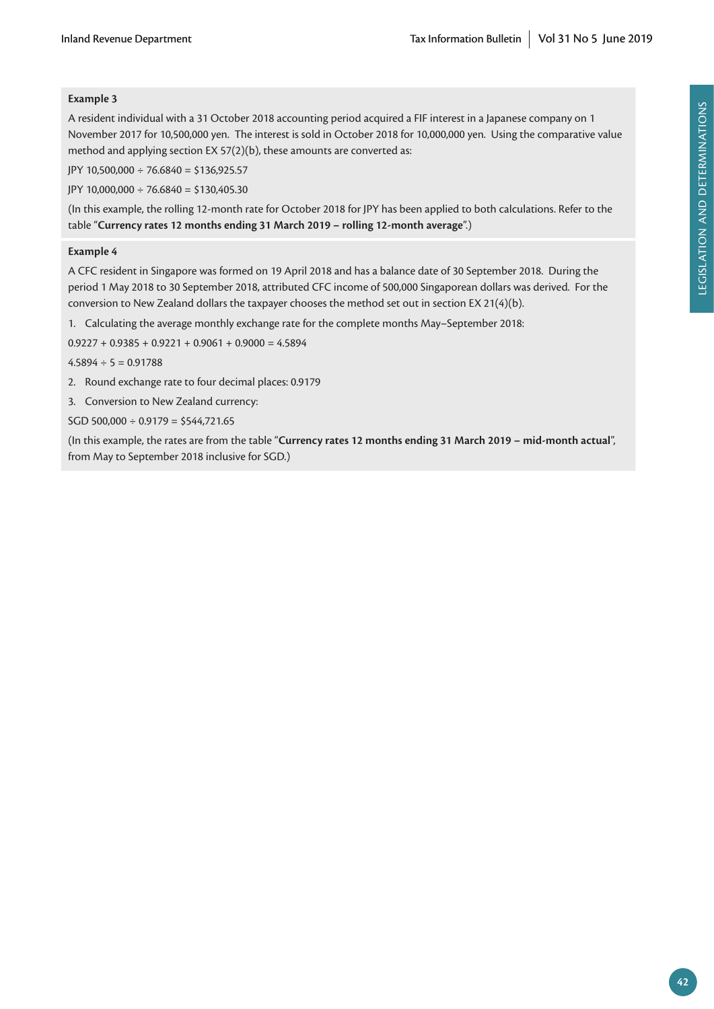# **Example 3**

A resident individual with a 31 October 2018 accounting period acquired a FIF interest in a Japanese company on 1 November 2017 for 10,500,000 yen. The interest is sold in October 2018 for 10,000,000 yen. Using the comparative value method and applying section EX 57(2)(b), these amounts are converted as:

JPY 10,500,000 ÷ 76.6840 = \$136,925.57

JPY 10,000,000 ÷ 76.6840 = \$130,405.30

(In this example, the rolling 12-month rate for October 2018 for JPY has been applied to both calculations. Refer to the table "**Currency rates 12 months ending 31 March 2019 – rolling 12-month average**".)

#### **Example 4**

A CFC resident in Singapore was formed on 19 April 2018 and has a balance date of 30 September 2018. During the period 1 May 2018 to 30 September 2018, attributed CFC income of 500,000 Singaporean dollars was derived. For the conversion to New Zealand dollars the taxpayer chooses the method set out in section EX 21(4)(b).

1. Calculating the average monthly exchange rate for the complete months May–September 2018:

 $0.9227 + 0.9385 + 0.9221 + 0.9061 + 0.9000 = 4.5894$ 

 $4.5894 \div 5 = 0.91788$ 

- 2. Round exchange rate to four decimal places: 0.9179
- 3. Conversion to New Zealand currency:

 $SGD 500,000 \div 0.9179 = $544,721.65$ 

(In this example, the rates are from the table "**Currency rates 12 months ending 31 March 2019 – mid-month actual**", from May to September 2018 inclusive for SGD.)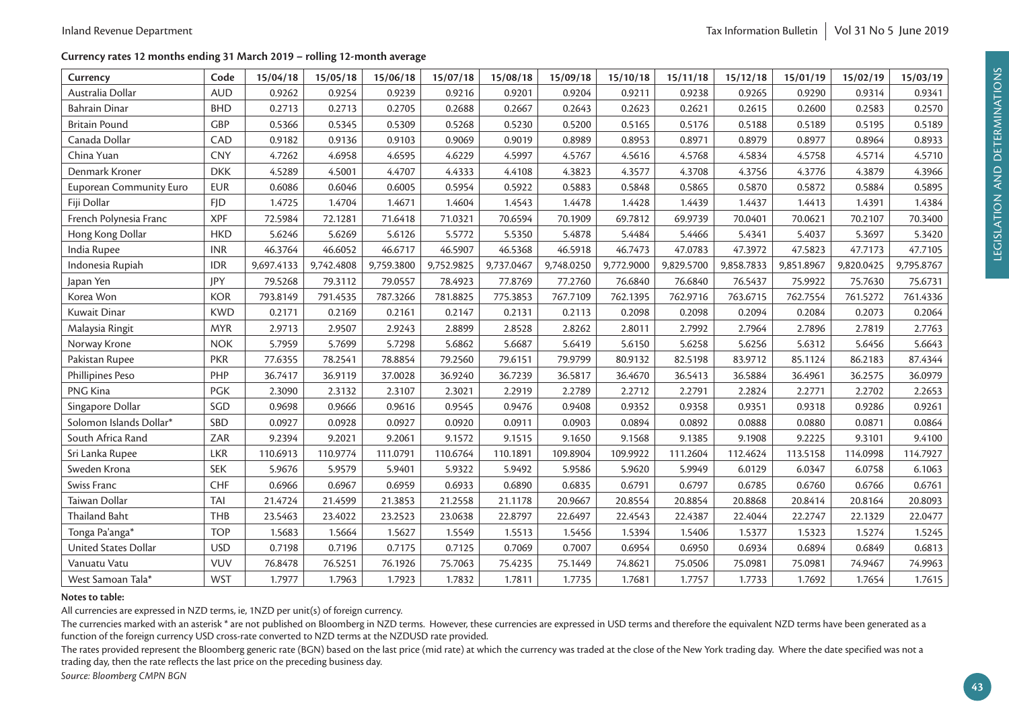#### **Currency rates 12 months ending 31 March 2019 – rolling 12-month average**

| Currency                       | Code       | 15/04/18   | 15/05/18   | 15/06/18   | 15/07/18   | 15/08/18   | 15/09/18   | 15/10/18   | 15/11/18   | 15/12/18   | 15/01/19   | 15/02/19   | 15/03/19   |
|--------------------------------|------------|------------|------------|------------|------------|------------|------------|------------|------------|------------|------------|------------|------------|
| Australia Dollar               | <b>AUD</b> | 0.9262     | 0.9254     | 0.9239     | 0.9216     | 0.9201     | 0.9204     | 0.9211     | 0.9238     | 0.9265     | 0.9290     | 0.9314     | 0.9341     |
| <b>Bahrain Dinar</b>           | <b>BHD</b> | 0.2713     | 0.2713     | 0.2705     | 0.2688     | 0.2667     | 0.2643     | 0.2623     | 0.2621     | 0.2615     | 0.2600     | 0.2583     | 0.2570     |
| <b>Britain Pound</b>           | <b>GBP</b> | 0.5366     | 0.5345     | 0.5309     | 0.5268     | 0.5230     | 0.5200     | 0.5165     | 0.5176     | 0.5188     | 0.5189     | 0.5195     | 0.5189     |
| Canada Dollar                  | CAD        | 0.9182     | 0.9136     | 0.9103     | 0.9069     | 0.9019     | 0.8989     | 0.8953     | 0.8971     | 0.8979     | 0.8977     | 0.8964     | 0.8933     |
| China Yuan                     | <b>CNY</b> | 4.7262     | 4.6958     | 4.6595     | 4.6229     | 4.5997     | 4.5767     | 4.5616     | 4.5768     | 4.5834     | 4.5758     | 4.5714     | 4.5710     |
| Denmark Kroner                 | <b>DKK</b> | 4.5289     | 4.5001     | 4.4707     | 4.4333     | 4.4108     | 4.3823     | 4.3577     | 4.3708     | 4.3756     | 4.3776     | 4.3879     | 4.3966     |
| <b>Euporean Community Euro</b> | <b>EUR</b> | 0.6086     | 0.6046     | 0.6005     | 0.5954     | 0.5922     | 0.5883     | 0.5848     | 0.5865     | 0.5870     | 0.5872     | 0.5884     | 0.5895     |
| Fiji Dollar                    | <b>FJD</b> | 1.4725     | 1.4704     | 1.4671     | 1.4604     | 1.4543     | 1.4478     | 1.4428     | 1.4439     | 1.4437     | 1.4413     | 1.4391     | 1.4384     |
| French Polynesia Franc         | <b>XPF</b> | 72.5984    | 72.1281    | 71.6418    | 71.0321    | 70.6594    | 70.1909    | 69.7812    | 69.9739    | 70.0401    | 70.0621    | 70.2107    | 70.3400    |
| Hong Kong Dollar               | <b>HKD</b> | 5.6246     | 5.6269     | 5.6126     | 5.5772     | 5.5350     | 5.4878     | 5.4484     | 5.4466     | 5.4341     | 5.4037     | 5.3697     | 5.3420     |
| India Rupee                    | <b>INR</b> | 46.3764    | 46.6052    | 46.6717    | 46.5907    | 46.5368    | 46.5918    | 46.7473    | 47.0783    | 47.3972    | 47.5823    | 47.7173    | 47.7105    |
| Indonesia Rupiah               | <b>IDR</b> | 9,697.4133 | 9,742.4808 | 9,759.3800 | 9,752.9825 | 9,737.0467 | 9,748.0250 | 9,772.9000 | 9,829.5700 | 9,858.7833 | 9,851.8967 | 9,820.0425 | 9,795.8767 |
| Japan Yen                      | <b>IPY</b> | 79.5268    | 79.3112    | 79.0557    | 78.4923    | 77.8769    | 77.2760    | 76.6840    | 76.6840    | 76.5437    | 75.9922    | 75.7630    | 75.6731    |
| Korea Won                      | <b>KOR</b> | 793.8149   | 791.4535   | 787.3266   | 781.8825   | 775.3853   | 767.7109   | 762.1395   | 762.9716   | 763.6715   | 762.7554   | 761.5272   | 761.4336   |
| Kuwait Dinar                   | <b>KWD</b> | 0.2171     | 0.2169     | 0.2161     | 0.2147     | 0.2131     | 0.2113     | 0.2098     | 0.2098     | 0.2094     | 0.2084     | 0.2073     | 0.2064     |
| Malaysia Ringit                | <b>MYR</b> | 2.9713     | 2.9507     | 2.9243     | 2.8899     | 2.8528     | 2.8262     | 2.8011     | 2.7992     | 2.7964     | 2.7896     | 2.7819     | 2.7763     |
| Norway Krone                   | <b>NOK</b> | 5.7959     | 5.7699     | 5.7298     | 5.6862     | 5.6687     | 5.6419     | 5.6150     | 5.6258     | 5.6256     | 5.6312     | 5.6456     | 5.6643     |
| Pakistan Rupee                 | <b>PKR</b> | 77.6355    | 78.2541    | 78.8854    | 79.2560    | 79.6151    | 79.9799    | 80.9132    | 82.5198    | 83.9712    | 85.1124    | 86.2183    | 87.4344    |
| Phillipines Peso               | PHP        | 36.7417    | 36.9119    | 37.0028    | 36.9240    | 36.7239    | 36.5817    | 36.4670    | 36.5413    | 36.5884    | 36.4961    | 36.2575    | 36.0979    |
| PNG Kina                       | <b>PGK</b> | 2.3090     | 2.3132     | 2.3107     | 2.3021     | 2.2919     | 2.2789     | 2.2712     | 2.2791     | 2.2824     | 2.2771     | 2.2702     | 2.2653     |
| Singapore Dollar               | SGD        | 0.9698     | 0.9666     | 0.9616     | 0.9545     | 0.9476     | 0.9408     | 0.9352     | 0.9358     | 0.9351     | 0.9318     | 0.9286     | 0.9261     |
| Solomon Islands Dollar*        | SBD        | 0.0927     | 0.0928     | 0.0927     | 0.0920     | 0.0911     | 0.0903     | 0.0894     | 0.0892     | 0.0888     | 0.0880     | 0.0871     | 0.0864     |
| South Africa Rand              | ZAR        | 9.2394     | 9.2021     | 9.2061     | 9.1572     | 9.1515     | 9.1650     | 9.1568     | 9.1385     | 9.1908     | 9.2225     | 9.3101     | 9.4100     |
| Sri Lanka Rupee                | <b>LKR</b> | 110.6913   | 110.9774   | 111.0791   | 110.6764   | 110.1891   | 109.8904   | 109.9922   | 111.2604   | 112.4624   | 113.5158   | 114.0998   | 114.7927   |
| Sweden Krona                   | <b>SEK</b> | 5.9676     | 5.9579     | 5.9401     | 5.9322     | 5.9492     | 5.9586     | 5.9620     | 5.9949     | 6.0129     | 6.0347     | 6.0758     | 6.1063     |
| Swiss Franc                    | <b>CHF</b> | 0.6966     | 0.6967     | 0.6959     | 0.6933     | 0.6890     | 0.6835     | 0.6791     | 0.6797     | 0.6785     | 0.6760     | 0.6766     | 0.6761     |
| Taiwan Dollar                  | <b>TAI</b> | 21.4724    | 21.4599    | 21.3853    | 21.2558    | 21.1178    | 20.9667    | 20.8554    | 20.8854    | 20.8868    | 20.8414    | 20.8164    | 20.8093    |
| <b>Thailand Baht</b>           | THB        | 23.5463    | 23.4022    | 23.2523    | 23.0638    | 22.8797    | 22.6497    | 22.4543    | 22.4387    | 22.4044    | 22.2747    | 22.1329    | 22.0477    |
| Tonga Pa'anga*                 | <b>TOP</b> | 1.5683     | 1.5664     | 1.5627     | 1.5549     | 1.5513     | 1.5456     | 1.5394     | 1.5406     | 1.5377     | 1.5323     | 1.5274     | 1.5245     |
| United States Dollar           | <b>USD</b> | 0.7198     | 0.7196     | 0.7175     | 0.7125     | 0.7069     | 0.7007     | 0.6954     | 0.6950     | 0.6934     | 0.6894     | 0.6849     | 0.6813     |
| Vanuatu Vatu                   | <b>VUV</b> | 76.8478    | 76.5251    | 76.1926    | 75.7063    | 75.4235    | 75.1449    | 74.8621    | 75.0506    | 75.0981    | 75.0981    | 74.9467    | 74.9963    |
| West Samoan Tala*              | <b>WST</b> | 1.7977     | 1.7963     | 1.7923     | 1.7832     | 1.7811     | 1.7735     | 1.7681     | 1.7757     | 1.7733     | 1.7692     | 1.7654     | 1.7615     |

#### **Notes to table:**

All currencies are expressed in NZD terms, ie, 1NZD per unit(s) of foreign currency.

The currencies marked with an asterisk \* are not published on Bloomberg in NZD terms. However, these currencies are expressed in USD terms and therefore the equivalent NZD terms have been generated as a function of the foreign currency USD cross-rate converted to NZD terms at the NZDUSD rate provided.

The rates provided represent the Bloomberg generic rate (BGN) based on the last price (mid rate) at which the currency was traded at the close of the New York trading day. Where the date specified was not a trading day, then the rate reflects the last price on the preceding business day.

*Source: Bloomberg CMPN BGN*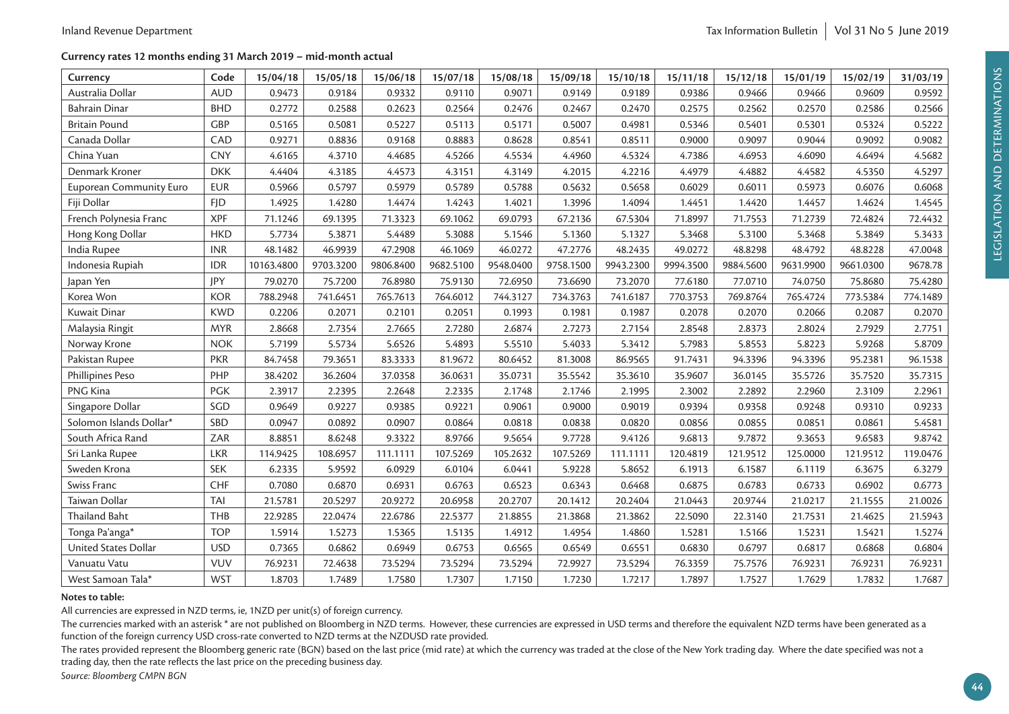#### **Currency rates 12 months ending 31 March 2019 – mid-month actual**

| Currency                       | Code       | 15/04/18   | 15/05/18  | 15/06/18  | 15/07/18  | 15/08/18  | 15/09/18  | 15/10/18  | 15/11/18  | 15/12/18  | 15/01/19  | 15/02/19  | 31/03/19 |
|--------------------------------|------------|------------|-----------|-----------|-----------|-----------|-----------|-----------|-----------|-----------|-----------|-----------|----------|
| Australia Dollar               | <b>AUD</b> | 0.9473     | 0.9184    | 0.9332    | 0.9110    | 0.9071    | 0.9149    | 0.9189    | 0.9386    | 0.9466    | 0.9466    | 0.9609    | 0.9592   |
| <b>Bahrain Dinar</b>           | <b>BHD</b> | 0.2772     | 0.2588    | 0.2623    | 0.2564    | 0.2476    | 0.2467    | 0.2470    | 0.2575    | 0.2562    | 0.2570    | 0.2586    | 0.2566   |
| <b>Britain Pound</b>           | <b>GBP</b> | 0.5165     | 0.5081    | 0.5227    | 0.5113    | 0.5171    | 0.5007    | 0.4981    | 0.5346    | 0.5401    | 0.5301    | 0.5324    | 0.5222   |
| Canada Dollar                  | CAD        | 0.9271     | 0.8836    | 0.9168    | 0.8883    | 0.8628    | 0.8541    | 0.8511    | 0.9000    | 0.9097    | 0.9044    | 0.9092    | 0.9082   |
| China Yuan                     | <b>CNY</b> | 4.6165     | 4.3710    | 4.4685    | 4.5266    | 4.5534    | 4.4960    | 4.5324    | 4.7386    | 4.6953    | 4.6090    | 4.6494    | 4.5682   |
| Denmark Kroner                 | <b>DKK</b> | 4.4404     | 4.3185    | 4.4573    | 4.3151    | 4.3149    | 4.2015    | 4.2216    | 4.4979    | 4.4882    | 4.4582    | 4.5350    | 4.5297   |
| <b>Euporean Community Euro</b> | <b>EUR</b> | 0.5966     | 0.5797    | 0.5979    | 0.5789    | 0.5788    | 0.5632    | 0.5658    | 0.6029    | 0.6011    | 0.5973    | 0.6076    | 0.6068   |
| Fiji Dollar                    | <b>FJD</b> | 1.4925     | 1.4280    | 1.4474    | 1.4243    | 1.4021    | 1.3996    | 1.4094    | 1.4451    | 1.4420    | 1.4457    | 1.4624    | 1.4545   |
| French Polynesia Franc         | <b>XPF</b> | 71.1246    | 69.1395   | 71.3323   | 69.1062   | 69.0793   | 67.2136   | 67.5304   | 71.8997   | 71.7553   | 71.2739   | 72.4824   | 72.4432  |
| Hong Kong Dollar               | <b>HKD</b> | 5.7734     | 5.3871    | 5.4489    | 5.3088    | 5.1546    | 5.1360    | 5.1327    | 5.3468    | 5.3100    | 5.3468    | 5.3849    | 5.3433   |
| India Rupee                    | <b>INR</b> | 48.1482    | 46.9939   | 47.2908   | 46.1069   | 46.0272   | 47.2776   | 48.2435   | 49.0272   | 48.8298   | 48.4792   | 48.8228   | 47.0048  |
| Indonesia Rupiah               | <b>IDR</b> | 10163.4800 | 9703.3200 | 9806.8400 | 9682.5100 | 9548.0400 | 9758.1500 | 9943.2300 | 9994.3500 | 9884.5600 | 9631.9900 | 9661.0300 | 9678.78  |
| Japan Yen                      | JPY        | 79.0270    | 75.7200   | 76.8980   | 75.9130   | 72.6950   | 73.6690   | 73.2070   | 77.6180   | 77.0710   | 74.0750   | 75.8680   | 75.4280  |
| Korea Won                      | <b>KOR</b> | 788.2948   | 741.6451  | 765.7613  | 764.6012  | 744.3127  | 734.3763  | 741.6187  | 770.3753  | 769.8764  | 765.4724  | 773.5384  | 774.1489 |
| Kuwait Dinar                   | <b>KWD</b> | 0.2206     | 0.2071    | 0.2101    | 0.2051    | 0.1993    | 0.1981    | 0.1987    | 0.2078    | 0.2070    | 0.2066    | 0.2087    | 0.2070   |
| Malaysia Ringit                | <b>MYR</b> | 2.8668     | 2.7354    | 2.7665    | 2.7280    | 2.6874    | 2.7273    | 2.7154    | 2.8548    | 2.8373    | 2.8024    | 2.7929    | 2.7751   |
| Norway Krone                   | <b>NOK</b> | 5.7199     | 5.5734    | 5.6526    | 5.4893    | 5.5510    | 5.4033    | 5.3412    | 5.7983    | 5.8553    | 5.8223    | 5.9268    | 5.8709   |
| Pakistan Rupee                 | <b>PKR</b> | 84.7458    | 79.3651   | 83.3333   | 81.9672   | 80.6452   | 81.3008   | 86.9565   | 91.7431   | 94.3396   | 94.3396   | 95.2381   | 96.1538  |
| Phillipines Peso               | PHP        | 38.4202    | 36.2604   | 37.0358   | 36.0631   | 35.0731   | 35.5542   | 35.3610   | 35.9607   | 36.0145   | 35.5726   | 35.7520   | 35.7315  |
| PNG Kina                       | <b>PGK</b> | 2.3917     | 2.2395    | 2.2648    | 2.2335    | 2.1748    | 2.1746    | 2.1995    | 2.3002    | 2.2892    | 2.2960    | 2.3109    | 2.2961   |
| Singapore Dollar               | SGD        | 0.9649     | 0.9227    | 0.9385    | 0.9221    | 0.9061    | 0.9000    | 0.9019    | 0.9394    | 0.9358    | 0.9248    | 0.9310    | 0.9233   |
| Solomon Islands Dollar*        | SBD        | 0.0947     | 0.0892    | 0.0907    | 0.0864    | 0.0818    | 0.0838    | 0.0820    | 0.0856    | 0.0855    | 0.0851    | 0.0861    | 5.4581   |
| South Africa Rand              | ZAR        | 8.8851     | 8.6248    | 9.3322    | 8.9766    | 9.5654    | 9.7728    | 9.4126    | 9.6813    | 9.7872    | 9.3653    | 9.6583    | 9.8742   |
| Sri Lanka Rupee                | <b>LKR</b> | 114.9425   | 108.6957  | 111.1111  | 107.5269  | 105.2632  | 107.5269  | 111.1111  | 120.4819  | 121.9512  | 125.0000  | 121.9512  | 119.0476 |
| Sweden Krona                   | <b>SEK</b> | 6.2335     | 5.9592    | 6.0929    | 6.0104    | 6.0441    | 5.9228    | 5.8652    | 6.1913    | 6.1587    | 6.1119    | 6.3675    | 6.3279   |
| Swiss Franc                    | CHF        | 0.7080     | 0.6870    | 0.6931    | 0.6763    | 0.6523    | 0.6343    | 0.6468    | 0.6875    | 0.6783    | 0.6733    | 0.6902    | 0.6773   |
| Taiwan Dollar                  | TAI        | 21.5781    | 20.5297   | 20.9272   | 20.6958   | 20.2707   | 20.1412   | 20.2404   | 21.0443   | 20.9744   | 21.0217   | 21.1555   | 21.0026  |
| Thailand Baht                  | THB        | 22.9285    | 22.0474   | 22.6786   | 22.5377   | 21.8855   | 21.3868   | 21.3862   | 22.5090   | 22.3140   | 21.7531   | 21.4625   | 21.5943  |
| Tonga Pa'anga*                 | <b>TOP</b> | 1.5914     | 1.5273    | 1.5365    | 1.5135    | 1.4912    | 1.4954    | 1.4860    | 1.5281    | 1.5166    | 1.5231    | 1.5421    | 1.5274   |
| United States Dollar           | <b>USD</b> | 0.7365     | 0.6862    | 0.6949    | 0.6753    | 0.6565    | 0.6549    | 0.6551    | 0.6830    | 0.6797    | 0.6817    | 0.6868    | 0.6804   |
| Vanuatu Vatu                   | <b>VUV</b> | 76.9231    | 72.4638   | 73.5294   | 73.5294   | 73.5294   | 72.9927   | 73.5294   | 76.3359   | 75.7576   | 76.9231   | 76.9231   | 76.9231  |
| West Samoan Tala*              | <b>WST</b> | 1.8703     | 1.7489    | 1.7580    | 1.7307    | 1.7150    | 1.7230    | 1.7217    | 1.7897    | 1.7527    | 1.7629    | 1.7832    | 1.7687   |

#### **Notes to table:**

All currencies are expressed in NZD terms, ie, 1NZD per unit(s) of foreign currency.

The currencies marked with an asterisk \* are not published on Bloomberg in NZD terms. However, these currencies are expressed in USD terms and therefore the equivalent NZD terms have been generated as a function of the foreign currency USD cross-rate converted to NZD terms at the NZDUSD rate provided.

The rates provided represent the Bloomberg generic rate (BGN) based on the last price (mid rate) at which the currency was traded at the close of the New York trading day. Where the date specified was not a trading day, then the rate reflects the last price on the preceding business day.

*Source: Bloomberg CMPN BGN*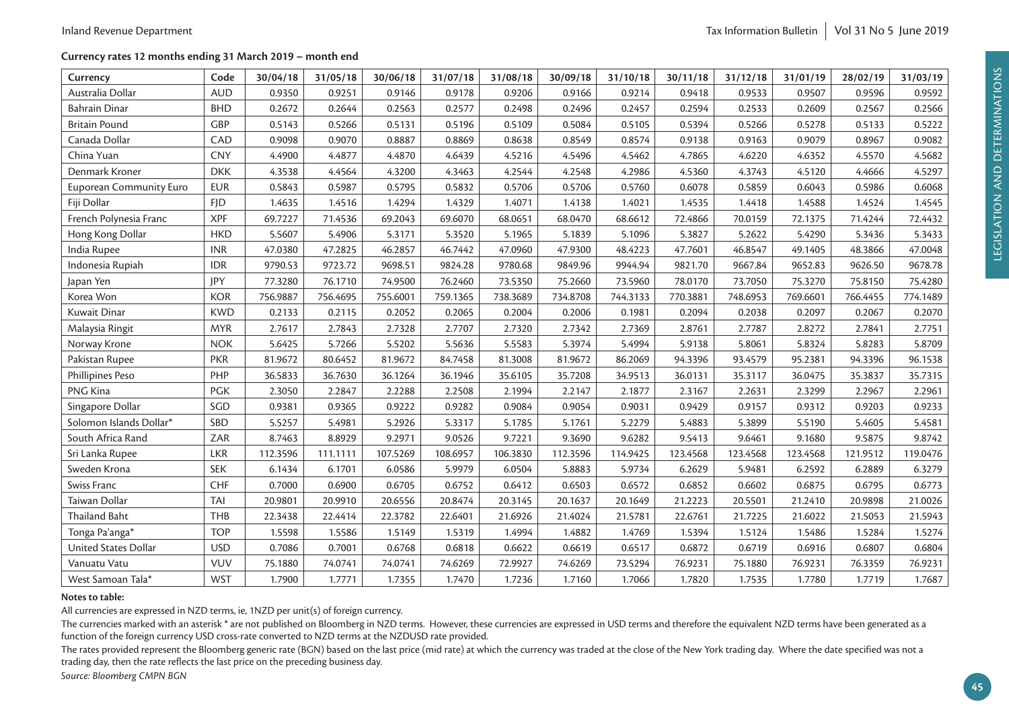#### **Currency rates 12 months ending 31 March 2019 – month end**

| Currency                       | Code       | 30/04/18 | 31/05/18 | 30/06/18 | 31/07/18 | 31/08/18 | 30/09/18 | 31/10/18 | 30/11/18 | 31/12/18 | 31/01/19 | 28/02/19 | 31/03/19 |
|--------------------------------|------------|----------|----------|----------|----------|----------|----------|----------|----------|----------|----------|----------|----------|
| Australia Dollar               | <b>AUD</b> | 0.9350   | 0.9251   | 0.9146   | 0.9178   | 0.9206   | 0.9166   | 0.9214   | 0.9418   | 0.9533   | 0.9507   | 0.9596   | 0.9592   |
| <b>Bahrain Dinar</b>           | <b>BHD</b> | 0.2672   | 0.2644   | 0.2563   | 0.2577   | 0.2498   | 0.2496   | 0.2457   | 0.2594   | 0.2533   | 0.2609   | 0.2567   | 0.2566   |
| <b>Britain Pound</b>           | <b>GBP</b> | 0.5143   | 0.5266   | 0.5131   | 0.5196   | 0.5109   | 0.5084   | 0.5105   | 0.5394   | 0.5266   | 0.5278   | 0.5133   | 0.5222   |
| Canada Dollar                  | CAD        | 0.9098   | 0.9070   | 0.8887   | 0.8869   | 0.8638   | 0.8549   | 0.8574   | 0.9138   | 0.9163   | 0.9079   | 0.8967   | 0.9082   |
| China Yuan                     | <b>CNY</b> | 4.4900   | 4.4877   | 4.4870   | 4.6439   | 4.5216   | 4.5496   | 4.5462   | 4.7865   | 4.6220   | 4.6352   | 4.5570   | 4.5682   |
| Denmark Kroner                 | <b>DKK</b> | 4.3538   | 4.4564   | 4.3200   | 4.3463   | 4.2544   | 4.2548   | 4.2986   | 4.5360   | 4.3743   | 4.5120   | 4.4666   | 4.5297   |
| <b>Euporean Community Euro</b> | <b>EUR</b> | 0.5843   | 0.5987   | 0.5795   | 0.5832   | 0.5706   | 0.5706   | 0.5760   | 0.6078   | 0.5859   | 0.6043   | 0.5986   | 0.6068   |
| Fiji Dollar                    | <b>FID</b> | 1.4635   | 1.4516   | 1.4294   | 1.4329   | 1.4071   | 1.4138   | 1.4021   | 1.4535   | 1.4418   | 1.4588   | 1.4524   | 1.4545   |
| French Polynesia Franc         | <b>XPF</b> | 69.7227  | 71.4536  | 69.2043  | 69.6070  | 68.0651  | 68.0470  | 68.6612  | 72.4866  | 70.0159  | 72.1375  | 71.4244  | 72.4432  |
| Hong Kong Dollar               | <b>HKD</b> | 5.5607   | 5.4906   | 5.3171   | 5.3520   | 5.1965   | 5.1839   | 5.1096   | 5.3827   | 5.2622   | 5.4290   | 5.3436   | 5.3433   |
| India Rupee                    | <b>INR</b> | 47.0380  | 47.2825  | 46.2857  | 46.7442  | 47.0960  | 47.9300  | 48.4223  | 47.7601  | 46.8547  | 49.1405  | 48.3866  | 47.0048  |
| Indonesia Rupiah               | <b>IDR</b> | 9790.53  | 9723.72  | 9698.51  | 9824.28  | 9780.68  | 9849.96  | 9944.94  | 9821.70  | 9667.84  | 9652.83  | 9626.50  | 9678.78  |
| Japan Yen                      | JPY        | 77.3280  | 76.1710  | 74.9500  | 76.2460  | 73.5350  | 75.2660  | 73.5960  | 78.0170  | 73.7050  | 75.3270  | 75.8150  | 75.4280  |
| Korea Won                      | <b>KOR</b> | 756.9887 | 756.4695 | 755.6001 | 759.1365 | 738.3689 | 734.8708 | 744.3133 | 770.3881 | 748.6953 | 769.6601 | 766.4455 | 774.1489 |
| Kuwait Dinar                   | <b>KWD</b> | 0.2133   | 0.2115   | 0.2052   | 0.2065   | 0.2004   | 0.2006   | 0.1981   | 0.2094   | 0.2038   | 0.2097   | 0.2067   | 0.2070   |
| Malaysia Ringit                | <b>MYR</b> | 2.7617   | 2.7843   | 2.7328   | 2.7707   | 2.7320   | 2.7342   | 2.7369   | 2.8761   | 2.7787   | 2.8272   | 2.7841   | 2.7751   |
| Norway Krone                   | <b>NOK</b> | 5.6425   | 5.7266   | 5.5202   | 5.5636   | 5.5583   | 5.3974   | 5.4994   | 5.9138   | 5.8061   | 5.8324   | 5.8283   | 5.8709   |
| Pakistan Rupee                 | <b>PKR</b> | 81.9672  | 80.6452  | 81.9672  | 84.7458  | 81.3008  | 81.9672  | 86.2069  | 94.3396  | 93.4579  | 95.2381  | 94.3396  | 96.1538  |
| Phillipines Peso               | PHP        | 36.5833  | 36.7630  | 36.1264  | 36.1946  | 35.6105  | 35.7208  | 34.9513  | 36.0131  | 35.3117  | 36.0475  | 35.3837  | 35.7315  |
| PNG Kina                       | <b>PGK</b> | 2.3050   | 2.2847   | 2.2288   | 2.2508   | 2.1994   | 2.2147   | 2.1877   | 2.3167   | 2.2631   | 2.3299   | 2.2967   | 2.2961   |
| Singapore Dollar               | SGD        | 0.9381   | 0.9365   | 0.9222   | 0.9282   | 0.9084   | 0.9054   | 0.9031   | 0.9429   | 0.9157   | 0.9312   | 0.9203   | 0.9233   |
| Solomon Islands Dollar*        | SBD        | 5.5257   | 5.4981   | 5.2926   | 5.3317   | 5.1785   | 5.1761   | 5.2279   | 5.4883   | 5.3899   | 5.5190   | 5.4605   | 5.4581   |
| South Africa Rand              | ZAR        | 8.7463   | 8.8929   | 9.2971   | 9.0526   | 9.7221   | 9.3690   | 9.6282   | 9.5413   | 9.6461   | 9.1680   | 9.5875   | 9.8742   |
| Sri Lanka Rupee                | <b>LKR</b> | 112.3596 | 111.1111 | 107.5269 | 108.6957 | 106.3830 | 112.3596 | 114.9425 | 123.4568 | 123.4568 | 123.4568 | 121.9512 | 119.0476 |
| Sweden Krona                   | <b>SEK</b> | 6.1434   | 6.1701   | 6.0586   | 5.9979   | 6.0504   | 5.8883   | 5.9734   | 6.2629   | 5.9481   | 6.2592   | 6.2889   | 6.3279   |
| Swiss Franc                    | CHF        | 0.7000   | 0.6900   | 0.6705   | 0.6752   | 0.6412   | 0.6503   | 0.6572   | 0.6852   | 0.6602   | 0.6875   | 0.6795   | 0.6773   |
| Taiwan Dollar                  | <b>TAI</b> | 20.9801  | 20.9910  | 20.6556  | 20.8474  | 20.3145  | 20.1637  | 20.1649  | 21.2223  | 20.5501  | 21.2410  | 20.9898  | 21.0026  |
| <b>Thailand Baht</b>           | <b>THB</b> | 22.3438  | 22.4414  | 22.3782  | 22.6401  | 21.6926  | 21.4024  | 21.5781  | 22.6761  | 21.7225  | 21.6022  | 21.5053  | 21.5943  |
| Tonga Pa'anga*                 | <b>TOP</b> | 1.5598   | 1.5586   | 1.5149   | 1.5319   | 1.4994   | 1.4882   | 1.4769   | 1.5394   | 1.5124   | 1.5486   | 1.5284   | 1.5274   |
| United States Dollar           | <b>USD</b> | 0.7086   | 0.7001   | 0.6768   | 0.6818   | 0.6622   | 0.6619   | 0.6517   | 0.6872   | 0.6719   | 0.6916   | 0.6807   | 0.6804   |
| Vanuatu Vatu                   | <b>VUV</b> | 75.1880  | 74.0741  | 74.0741  | 74.6269  | 72.9927  | 74.6269  | 73.5294  | 76.9231  | 75.1880  | 76.9231  | 76.3359  | 76.9231  |
| West Samoan Tala*              | <b>WST</b> | 1.7900   | 1.7771   | 1.7355   | 1.7470   | 1.7236   | 1.7160   | 1.7066   | 1.7820   | 1.7535   | 1.7780   | 1.7719   | 1.7687   |

#### **Notes to table:**

All currencies are expressed in NZD terms, ie, 1NZD per unit(s) of foreign currency.

The currencies marked with an asterisk \* are not published on Bloomberg in NZD terms. However, these currencies are expressed in USD terms and therefore the equivalent NZD terms have been generated as a function of the foreign currency USD cross-rate converted to NZD terms at the NZDUSD rate provided.

The rates provided represent the Bloomberg generic rate (BGN) based on the last price (mid rate) at which the currency was traded at the close of the New York trading day. Where the date specified was not a trading day, then the rate reflects the last price on the preceding business day.

*Source: Bloomberg CMPN BGN*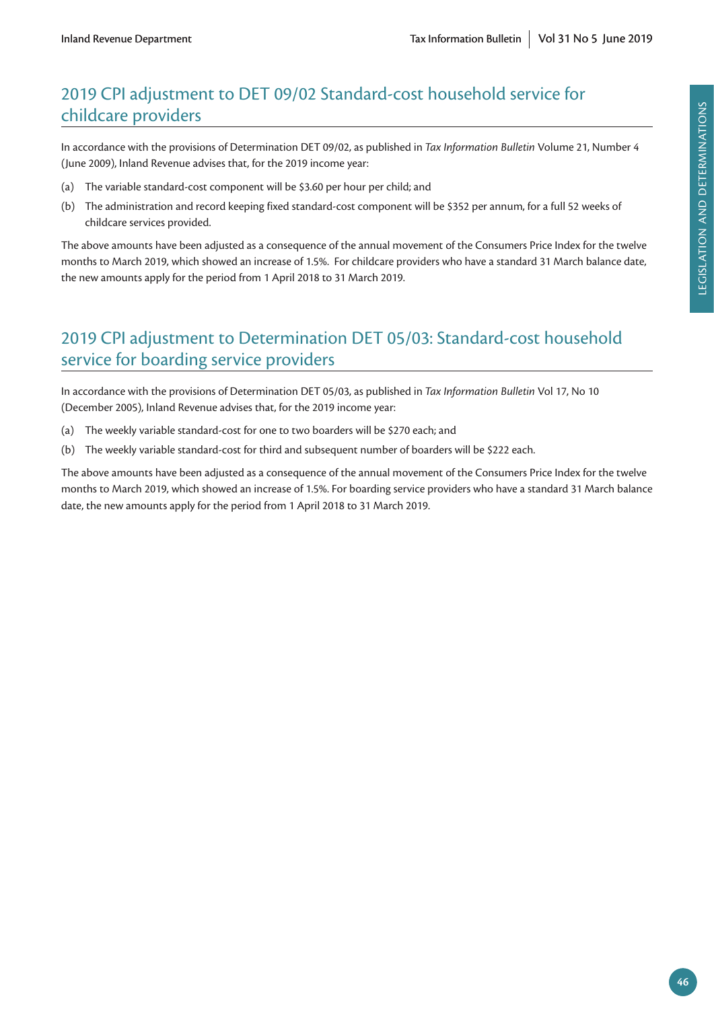# 2019 CPI adjustment to DET 09/02 Standard-cost household service for childcare providers

In accordance with the provisions of Determination DET 09/02, as published in *Tax Information Bulletin* Volume 21, Number 4 (June 2009), Inland Revenue advises that, for the 2019 income year:

- (a) The variable standard-cost component will be \$3.60 per hour per child; and
- (b) The administration and record keeping fixed standard-cost component will be \$352 per annum, for a full 52 weeks of childcare services provided.

The above amounts have been adjusted as a consequence of the annual movement of the Consumers Price Index for the twelve months to March 2019, which showed an increase of 1.5%. For childcare providers who have a standard 31 March balance date, the new amounts apply for the period from 1 April 2018 to 31 March 2019.

# 2019 CPI adjustment to Determination DET 05/03: Standard-cost household service for boarding service providers

In accordance with the provisions of Determination DET 05/03, as published in *Tax Information Bulletin* Vol 17, No 10 (December 2005), Inland Revenue advises that, for the 2019 income year:

- (a) The weekly variable standard-cost for one to two boarders will be \$270 each; and
- (b) The weekly variable standard-cost for third and subsequent number of boarders will be \$222 each.

The above amounts have been adjusted as a consequence of the annual movement of the Consumers Price Index for the twelve months to March 2019, which showed an increase of 1.5%. For boarding service providers who have a standard 31 March balance date, the new amounts apply for the period from 1 April 2018 to 31 March 2019.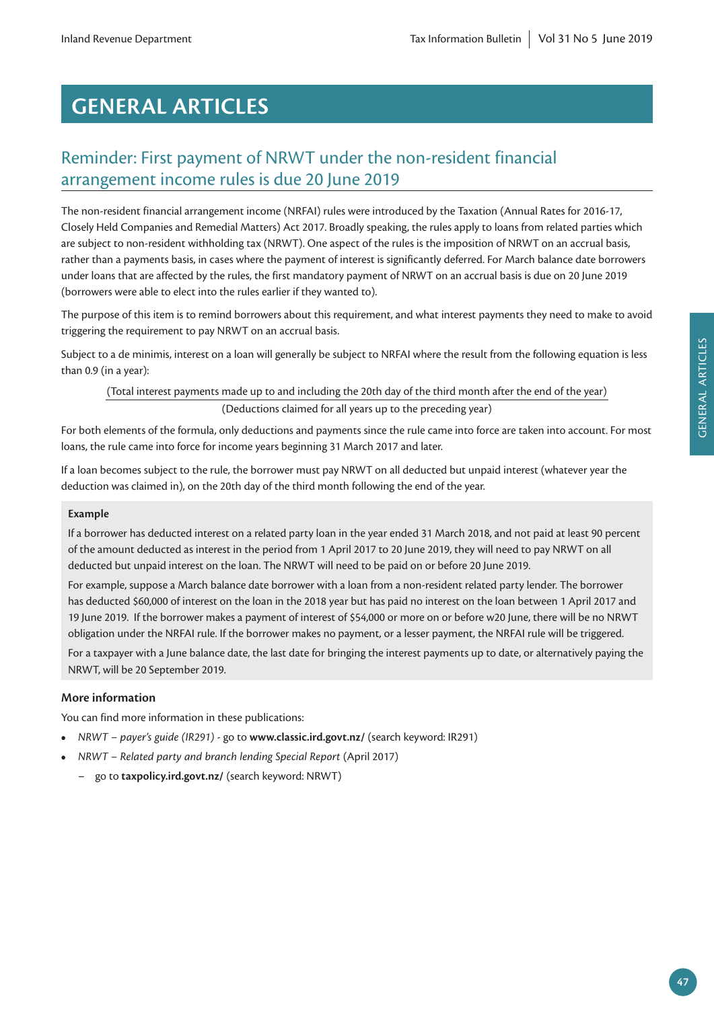# **GENERAL ARTICLES**

# Reminder: First payment of NRWT under the non-resident financial arrangement income rules is due 20 June 2019

The non-resident financial arrangement income (NRFAI) rules were introduced by the Taxation (Annual Rates for 2016-17, Closely Held Companies and Remedial Matters) Act 2017. Broadly speaking, the rules apply to loans from related parties which are subject to non-resident withholding tax (NRWT). One aspect of the rules is the imposition of NRWT on an accrual basis, rather than a payments basis, in cases where the payment of interest is significantly deferred. For March balance date borrowers under loans that are affected by the rules, the first mandatory payment of NRWT on an accrual basis is due on 20 June 2019 (borrowers were able to elect into the rules earlier if they wanted to).

The purpose of this item is to remind borrowers about this requirement, and what interest payments they need to make to avoid triggering the requirement to pay NRWT on an accrual basis.

Subject to a de minimis, interest on a loan will generally be subject to NRFAI where the result from the following equation is less than 0.9 (in a year):

(Total interest payments made up to and including the 20th day of the third month after the end of the year) (Deductions claimed for all years up to the preceding year)

For both elements of the formula, only deductions and payments since the rule came into force are taken into account. For most loans, the rule came into force for income years beginning 31 March 2017 and later.

If a loan becomes subject to the rule, the borrower must pay NRWT on all deducted but unpaid interest (whatever year the deduction was claimed in), on the 20th day of the third month following the end of the year.

#### **Example**

If a borrower has deducted interest on a related party loan in the year ended 31 March 2018, and not paid at least 90 percent of the amount deducted as interest in the period from 1 April 2017 to 20 June 2019, they will need to pay NRWT on all deducted but unpaid interest on the loan. The NRWT will need to be paid on or before 20 June 2019.

For example, suppose a March balance date borrower with a loan from a non-resident related party lender. The borrower has deducted \$60,000 of interest on the loan in the 2018 year but has paid no interest on the loan between 1 April 2017 and 19 June 2019. If the borrower makes a payment of interest of \$54,000 or more on or before w20 June, there will be no NRWT obligation under the NRFAI rule. If the borrower makes no payment, or a lesser payment, the NRFAI rule will be triggered.

For a taxpayer with a June balance date, the last date for bringing the interest payments up to date, or alternatively paying the NRWT, will be 20 September 2019.

#### **More information**

You can find more information in these publications:

- **•** *NRWT payer's guide (IR291)* go to **[www.classic.ird.govt.nz/](http://www.classic.ird.govt.nz/)** (search keyword: IR291)
- **•** *NRWT Related party and branch lending Special Report* (April 2017)
	- go to **[taxpolicy.ird.govt.nz/](http://taxpolicy.ird.govt.nz/)** (search keyword: NRWT)